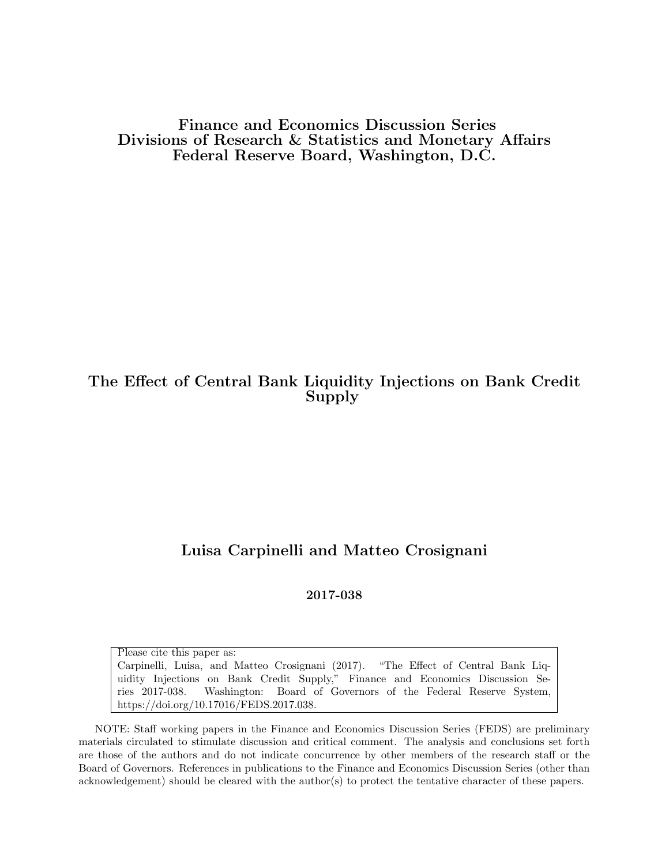Finance and Economics Discussion Series Divisions of Research & Statistics and Monetary Affairs Federal Reserve Board, Washington, D.C.

## The Effect of Central Bank Liquidity Injections on Bank Credit Supply

# Luisa Carpinelli and Matteo Crosignani

#### 2017-038

Please cite this paper as: Carpinelli, Luisa, and Matteo Crosignani (2017). "The Effect of Central Bank Liquidity Injections on Bank Credit Supply," Finance and Economics Discussion Series 2017-038. Washington: Board of Governors of the Federal Reserve System, https://doi.org/10.17016/FEDS.2017.038.

NOTE: Staff working papers in the Finance and Economics Discussion Series (FEDS) are preliminary materials circulated to stimulate discussion and critical comment. The analysis and conclusions set forth are those of the authors and do not indicate concurrence by other members of the research staff or the Board of Governors. References in publications to the Finance and Economics Discussion Series (other than acknowledgement) should be cleared with the author(s) to protect the tentative character of these papers.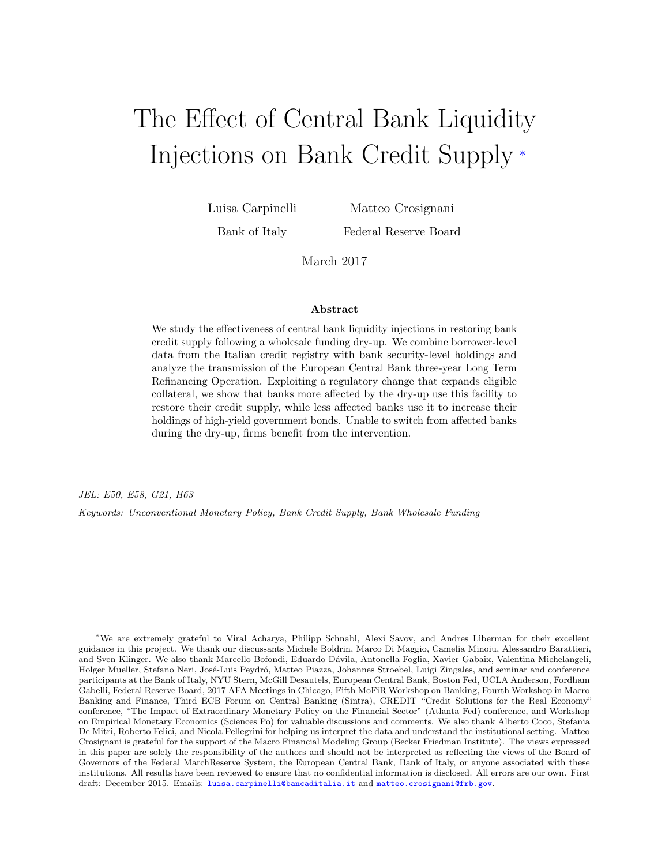# The Effect of Central Bank Liquidity Injections on Bank Credit Supply <sup>∗</sup>

Luisa Carpinelli

Matteo Crosignani

Bank of Italy

Federal Reserve Board

March 2017

#### Abstract

We study the effectiveness of central bank liquidity injections in restoring bank credit supply following a wholesale funding dry-up. We combine borrower-level data from the Italian credit registry with bank security-level holdings and analyze the transmission of the European Central Bank three-year Long Term Refinancing Operation. Exploiting a regulatory change that expands eligible collateral, we show that banks more affected by the dry-up use this facility to restore their credit supply, while less affected banks use it to increase their holdings of high-yield government bonds. Unable to switch from affected banks during the dry-up, firms benefit from the intervention.

JEL: E50, E58, G21, H63

Keywords: Unconventional Monetary Policy, Bank Credit Supply, Bank Wholesale Funding

<sup>∗</sup>We are extremely grateful to Viral Acharya, Philipp Schnabl, Alexi Savov, and Andres Liberman for their excellent guidance in this project. We thank our discussants Michele Boldrin, Marco Di Maggio, Camelia Minoiu, Alessandro Barattieri, and Sven Klinger. We also thank Marcello Bofondi, Eduardo Dávila, Antonella Foglia, Xavier Gabaix, Valentina Michelangeli, Holger Mueller, Stefano Neri, José-Luis Peydró, Matteo Piazza, Johannes Stroebel, Luigi Zingales, and seminar and conference participants at the Bank of Italy, NYU Stern, McGill Desautels, European Central Bank, Boston Fed, UCLA Anderson, Fordham Gabelli, Federal Reserve Board, 2017 AFA Meetings in Chicago, Fifth MoFiR Workshop on Banking, Fourth Workshop in Macro Banking and Finance, Third ECB Forum on Central Banking (Sintra), CREDIT "Credit Solutions for the Real Economy" conference, "The Impact of Extraordinary Monetary Policy on the Financial Sector" (Atlanta Fed) conference, and Workshop on Empirical Monetary Economics (Sciences Po) for valuable discussions and comments. We also thank Alberto Coco, Stefania De Mitri, Roberto Felici, and Nicola Pellegrini for helping us interpret the data and understand the institutional setting. Matteo Crosignani is grateful for the support of the Macro Financial Modeling Group (Becker Friedman Institute). The views expressed in this paper are solely the responsibility of the authors and should not be interpreted as reflecting the views of the Board of Governors of the Federal MarchReserve System, the European Central Bank, Bank of Italy, or anyone associated with these institutions. All results have been reviewed to ensure that no confidential information is disclosed. All errors are our own. First draft: December 2015. Emails: [luisa.carpinelli@bancaditalia.it](mailto:luisa.carpinelli@bancaditalia.it) and [matteo.crosignani@frb.gov](mailto:matteo.crosignani@frb.gov).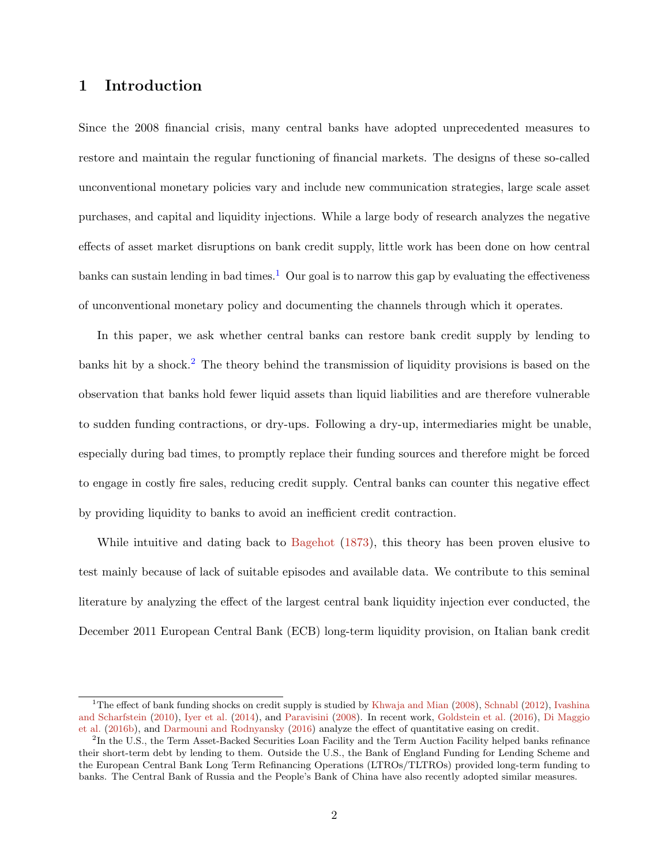## 1 Introduction

Since the 2008 financial crisis, many central banks have adopted unprecedented measures to restore and maintain the regular functioning of financial markets. The designs of these so-called unconventional monetary policies vary and include new communication strategies, large scale asset purchases, and capital and liquidity injections. While a large body of research analyzes the negative effects of asset market disruptions on bank credit supply, little work has been done on how central banks can sustain lending in bad times.<sup>[1](#page-2-0)</sup> Our goal is to narrow this gap by evaluating the effectiveness of unconventional monetary policy and documenting the channels through which it operates.

In this paper, we ask whether central banks can restore bank credit supply by lending to banks hit by a shock.<sup>[2](#page-2-1)</sup> The theory behind the transmission of liquidity provisions is based on the observation that banks hold fewer liquid assets than liquid liabilities and are therefore vulnerable to sudden funding contractions, or dry-ups. Following a dry-up, intermediaries might be unable, especially during bad times, to promptly replace their funding sources and therefore might be forced to engage in costly fire sales, reducing credit supply. Central banks can counter this negative effect by providing liquidity to banks to avoid an inefficient credit contraction.

While intuitive and dating back to [Bagehot](#page-46-0) [\(1873\)](#page-46-0), this theory has been proven elusive to test mainly because of lack of suitable episodes and available data. We contribute to this seminal literature by analyzing the effect of the largest central bank liquidity injection ever conducted, the December 2011 European Central Bank (ECB) long-term liquidity provision, on Italian bank credit

<span id="page-2-0"></span><sup>&</sup>lt;sup>1</sup>The effect of bank funding shocks on credit supply is studied by [Khwaja and Mian](#page-49-0) [\(2008\)](#page-49-0), [Schnabl](#page-49-1) [\(2012\)](#page-49-1), [Ivashina](#page-48-0) [and Scharfstein](#page-48-0) [\(2010\)](#page-48-0), [Iyer et al.](#page-48-1) [\(2014\)](#page-48-1), and [Paravisini](#page-49-2) [\(2008\)](#page-49-2). In recent work, [Goldstein et al.](#page-48-2) [\(2016\)](#page-48-2), [Di Maggio](#page-48-3) [et al.](#page-48-3) [\(2016b\)](#page-48-3), and [Darmouni and Rodnyansky](#page-47-0) [\(2016\)](#page-47-0) analyze the effect of quantitative easing on credit.

<span id="page-2-1"></span><sup>&</sup>lt;sup>2</sup>In the U.S., the Term Asset-Backed Securities Loan Facility and the Term Auction Facility helped banks refinance their short-term debt by lending to them. Outside the U.S., the Bank of England Funding for Lending Scheme and the European Central Bank Long Term Refinancing Operations (LTROs/TLTROs) provided long-term funding to banks. The Central Bank of Russia and the People's Bank of China have also recently adopted similar measures.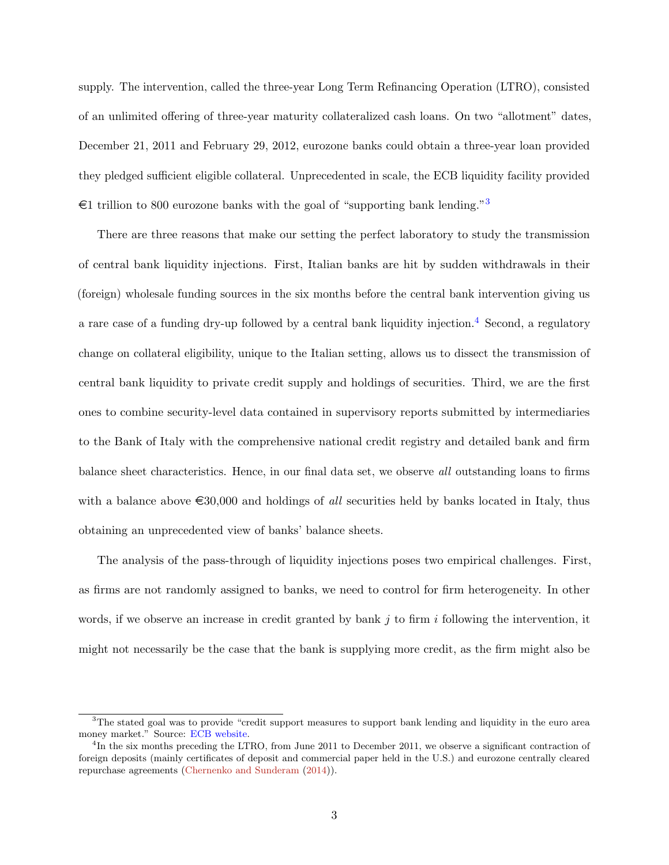supply. The intervention, called the three-year Long Term Refinancing Operation (LTRO), consisted of an unlimited offering of three-year maturity collateralized cash loans. On two "allotment" dates, December 21, 2011 and February 29, 2012, eurozone banks could obtain a three-year loan provided they pledged sufficient eligible collateral. Unprecedented in scale, the ECB liquidity facility provided  $\epsilon$ 1 trillion to 800 eurozone banks with the goal of "supporting bank lending."<sup>[3](#page-3-0)</sup>

There are three reasons that make our setting the perfect laboratory to study the transmission of central bank liquidity injections. First, Italian banks are hit by sudden withdrawals in their (foreign) wholesale funding sources in the six months before the central bank intervention giving us a rare case of a funding dry-up followed by a central bank liquidity injection.[4](#page-3-1) Second, a regulatory change on collateral eligibility, unique to the Italian setting, allows us to dissect the transmission of central bank liquidity to private credit supply and holdings of securities. Third, we are the first ones to combine security-level data contained in supervisory reports submitted by intermediaries to the Bank of Italy with the comprehensive national credit registry and detailed bank and firm balance sheet characteristics. Hence, in our final data set, we observe all outstanding loans to firms with a balance above  $\epsilon$ 30,000 and holdings of *all* securities held by banks located in Italy, thus obtaining an unprecedented view of banks' balance sheets.

The analysis of the pass-through of liquidity injections poses two empirical challenges. First, as firms are not randomly assigned to banks, we need to control for firm heterogeneity. In other words, if we observe an increase in credit granted by bank  $j$  to firm i following the intervention, it might not necessarily be the case that the bank is supplying more credit, as the firm might also be

<span id="page-3-0"></span><sup>&</sup>lt;sup>3</sup>The stated goal was to provide "credit support measures to support bank lending and liquidity in the euro area money market." Source: [ECB website.](https://www.ecb.europa.eu/press/pr/date/2011/html/pr111208_1.en.html)

<span id="page-3-1"></span><sup>&</sup>lt;sup>4</sup>In the six months preceding the LTRO, from June 2011 to December 2011, we observe a significant contraction of foreign deposits (mainly certificates of deposit and commercial paper held in the U.S.) and eurozone centrally cleared repurchase agreements [\(Chernenko and Sunderam](#page-47-1) [\(2014\)](#page-47-1)).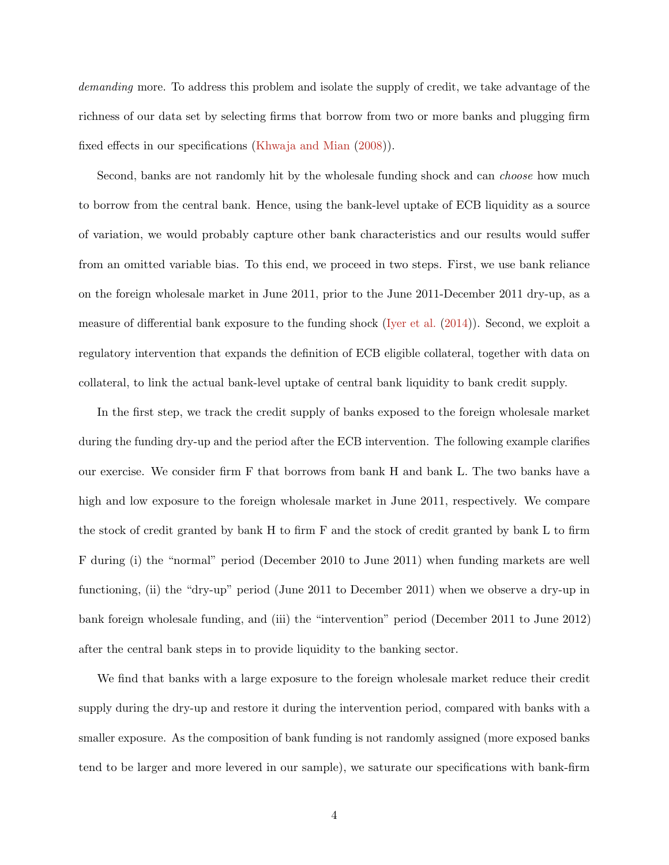demanding more. To address this problem and isolate the supply of credit, we take advantage of the richness of our data set by selecting firms that borrow from two or more banks and plugging firm fixed effects in our specifications [\(Khwaja and Mian](#page-49-0) [\(2008\)](#page-49-0)).

Second, banks are not randomly hit by the wholesale funding shock and can choose how much to borrow from the central bank. Hence, using the bank-level uptake of ECB liquidity as a source of variation, we would probably capture other bank characteristics and our results would suffer from an omitted variable bias. To this end, we proceed in two steps. First, we use bank reliance on the foreign wholesale market in June 2011, prior to the June 2011-December 2011 dry-up, as a measure of differential bank exposure to the funding shock [\(Iyer et al.](#page-48-1) [\(2014\)](#page-48-1)). Second, we exploit a regulatory intervention that expands the definition of ECB eligible collateral, together with data on collateral, to link the actual bank-level uptake of central bank liquidity to bank credit supply.

In the first step, we track the credit supply of banks exposed to the foreign wholesale market during the funding dry-up and the period after the ECB intervention. The following example clarifies our exercise. We consider firm F that borrows from bank H and bank L. The two banks have a high and low exposure to the foreign wholesale market in June 2011, respectively. We compare the stock of credit granted by bank H to firm F and the stock of credit granted by bank L to firm F during (i) the "normal" period (December 2010 to June 2011) when funding markets are well functioning, (ii) the "dry-up" period (June 2011 to December 2011) when we observe a dry-up in bank foreign wholesale funding, and (iii) the "intervention" period (December 2011 to June 2012) after the central bank steps in to provide liquidity to the banking sector.

We find that banks with a large exposure to the foreign wholesale market reduce their credit supply during the dry-up and restore it during the intervention period, compared with banks with a smaller exposure. As the composition of bank funding is not randomly assigned (more exposed banks tend to be larger and more levered in our sample), we saturate our specifications with bank-firm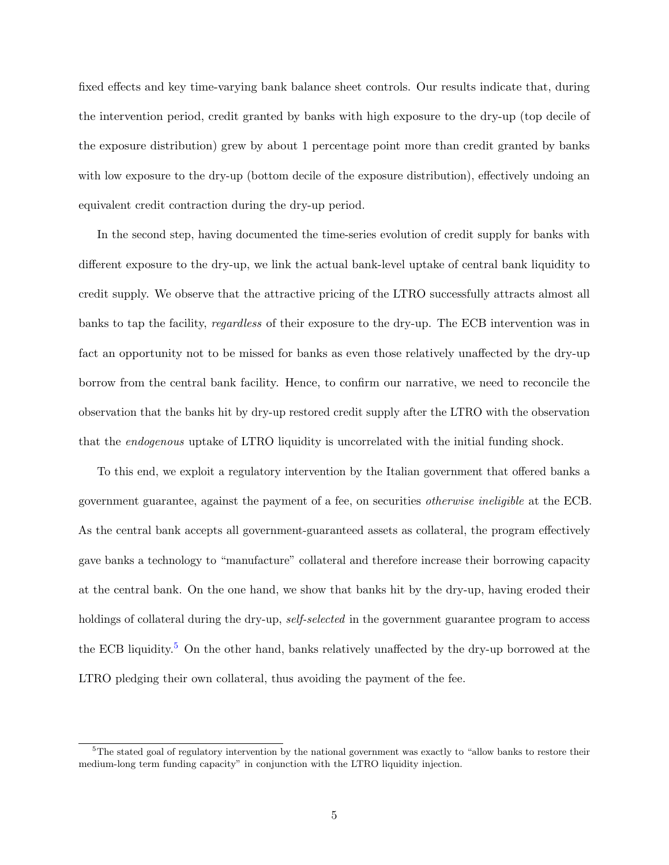fixed effects and key time-varying bank balance sheet controls. Our results indicate that, during the intervention period, credit granted by banks with high exposure to the dry-up (top decile of the exposure distribution) grew by about 1 percentage point more than credit granted by banks with low exposure to the dry-up (bottom decile of the exposure distribution), effectively undoing an equivalent credit contraction during the dry-up period.

In the second step, having documented the time-series evolution of credit supply for banks with different exposure to the dry-up, we link the actual bank-level uptake of central bank liquidity to credit supply. We observe that the attractive pricing of the LTRO successfully attracts almost all banks to tap the facility, regardless of their exposure to the dry-up. The ECB intervention was in fact an opportunity not to be missed for banks as even those relatively unaffected by the dry-up borrow from the central bank facility. Hence, to confirm our narrative, we need to reconcile the observation that the banks hit by dry-up restored credit supply after the LTRO with the observation that the endogenous uptake of LTRO liquidity is uncorrelated with the initial funding shock.

To this end, we exploit a regulatory intervention by the Italian government that offered banks a government guarantee, against the payment of a fee, on securities otherwise ineligible at the ECB. As the central bank accepts all government-guaranteed assets as collateral, the program effectively gave banks a technology to "manufacture" collateral and therefore increase their borrowing capacity at the central bank. On the one hand, we show that banks hit by the dry-up, having eroded their holdings of collateral during the dry-up, self-selected in the government guarantee program to access the ECB liquidity.<sup>[5](#page-5-0)</sup> On the other hand, banks relatively unaffected by the dry-up borrowed at the LTRO pledging their own collateral, thus avoiding the payment of the fee.

<span id="page-5-0"></span><sup>&</sup>lt;sup>5</sup>The stated goal of regulatory intervention by the national government was exactly to "allow banks to restore their medium-long term funding capacity" in conjunction with the LTRO liquidity injection.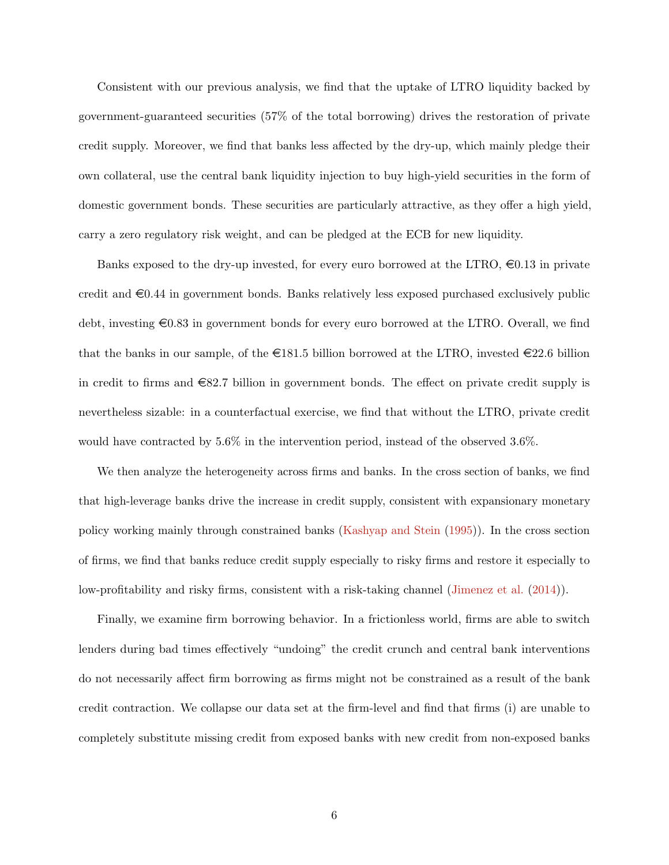Consistent with our previous analysis, we find that the uptake of LTRO liquidity backed by government-guaranteed securities (57% of the total borrowing) drives the restoration of private credit supply. Moreover, we find that banks less affected by the dry-up, which mainly pledge their own collateral, use the central bank liquidity injection to buy high-yield securities in the form of domestic government bonds. These securities are particularly attractive, as they offer a high yield, carry a zero regulatory risk weight, and can be pledged at the ECB for new liquidity.

Banks exposed to the dry-up invested, for every euro borrowed at the LTRO,  $\epsilon$ 0.13 in private credit and  $\epsilon$ 0.44 in government bonds. Banks relatively less exposed purchased exclusively public debt, investing  $\epsilon$ 0.83 in government bonds for every euro borrowed at the LTRO. Overall, we find that the banks in our sample, of the  $\in$ 181.5 billion borrowed at the LTRO, invested  $\in$ 22.6 billion in credit to firms and  $\epsilon$ 82.7 billion in government bonds. The effect on private credit supply is nevertheless sizable: in a counterfactual exercise, we find that without the LTRO, private credit would have contracted by 5.6% in the intervention period, instead of the observed 3.6%.

We then analyze the heterogeneity across firms and banks. In the cross section of banks, we find that high-leverage banks drive the increase in credit supply, consistent with expansionary monetary policy working mainly through constrained banks [\(Kashyap and Stein](#page-49-3) [\(1995\)](#page-49-3)). In the cross section of firms, we find that banks reduce credit supply especially to risky firms and restore it especially to low-profitability and risky firms, consistent with a risk-taking channel [\(Jimenez et al.](#page-48-4) [\(2014\)](#page-48-4)).

Finally, we examine firm borrowing behavior. In a frictionless world, firms are able to switch lenders during bad times effectively "undoing" the credit crunch and central bank interventions do not necessarily affect firm borrowing as firms might not be constrained as a result of the bank credit contraction. We collapse our data set at the firm-level and find that firms (i) are unable to completely substitute missing credit from exposed banks with new credit from non-exposed banks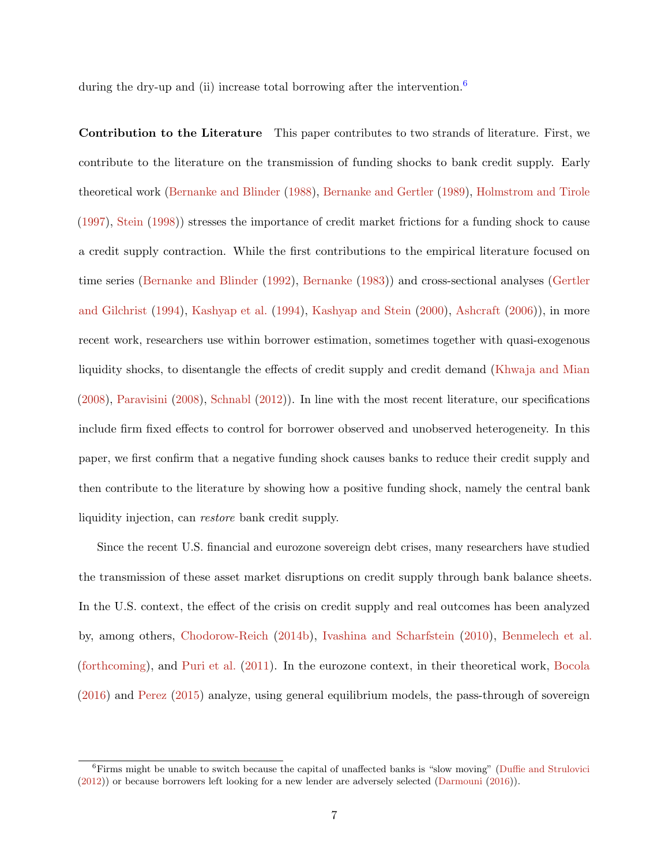during the dry-up and (ii) increase total borrowing after the intervention.<sup>[6](#page-7-0)</sup>

Contribution to the Literature This paper contributes to two strands of literature. First, we contribute to the literature on the transmission of funding shocks to bank credit supply. Early theoretical work [\(Bernanke and Blinder](#page-46-1) [\(1988\)](#page-46-1), [Bernanke and Gertler](#page-46-2) [\(1989\)](#page-46-2), [Holmstrom and Tirole](#page-48-5) [\(1997\)](#page-48-5), [Stein](#page-49-4) [\(1998\)](#page-49-4)) stresses the importance of credit market frictions for a funding shock to cause a credit supply contraction. While the first contributions to the empirical literature focused on time series [\(Bernanke and Blinder](#page-47-2) [\(1992\)](#page-47-2), [Bernanke](#page-46-3) [\(1983\)](#page-46-3)) and cross-sectional analyses [\(Gertler](#page-48-6) [and Gilchrist](#page-48-6) [\(1994\)](#page-48-6), [Kashyap et al.](#page-48-7) [\(1994\)](#page-48-7), [Kashyap and Stein](#page-49-5) [\(2000\)](#page-49-5), [Ashcraft](#page-46-4) [\(2006\)](#page-46-4)), in more recent work, researchers use within borrower estimation, sometimes together with quasi-exogenous liquidity shocks, to disentangle the effects of credit supply and credit demand [\(Khwaja and Mian](#page-49-0) [\(2008\)](#page-49-0), [Paravisini](#page-49-2) [\(2008\)](#page-49-2), [Schnabl](#page-49-1) [\(2012\)](#page-49-1)). In line with the most recent literature, our specifications include firm fixed effects to control for borrower observed and unobserved heterogeneity. In this paper, we first confirm that a negative funding shock causes banks to reduce their credit supply and then contribute to the literature by showing how a positive funding shock, namely the central bank liquidity injection, can restore bank credit supply.

Since the recent U.S. financial and eurozone sovereign debt crises, many researchers have studied the transmission of these asset market disruptions on credit supply through bank balance sheets. In the U.S. context, the effect of the crisis on credit supply and real outcomes has been analyzed by, among others, [Chodorow-Reich](#page-47-3) [\(2014b\)](#page-47-3), [Ivashina and Scharfstein](#page-48-0) [\(2010\)](#page-48-0), [Benmelech et al.](#page-46-5) [\(forthcoming\)](#page-46-5), and [Puri et al.](#page-49-6) [\(2011\)](#page-49-6). In the eurozone context, in their theoretical work, [Bocola](#page-47-4) [\(2016\)](#page-47-4) and [Perez](#page-49-7) [\(2015\)](#page-49-7) analyze, using general equilibrium models, the pass-through of sovereign

<span id="page-7-0"></span><sup>&</sup>lt;sup>6</sup>Firms might be unable to switch because the capital of unaffected banks is "slow moving" [\(Duffie and Strulovici](#page-48-8) [\(2012\)](#page-48-8)) or because borrowers left looking for a new lender are adversely selected [\(Darmouni](#page-47-5) [\(2016\)](#page-47-5)).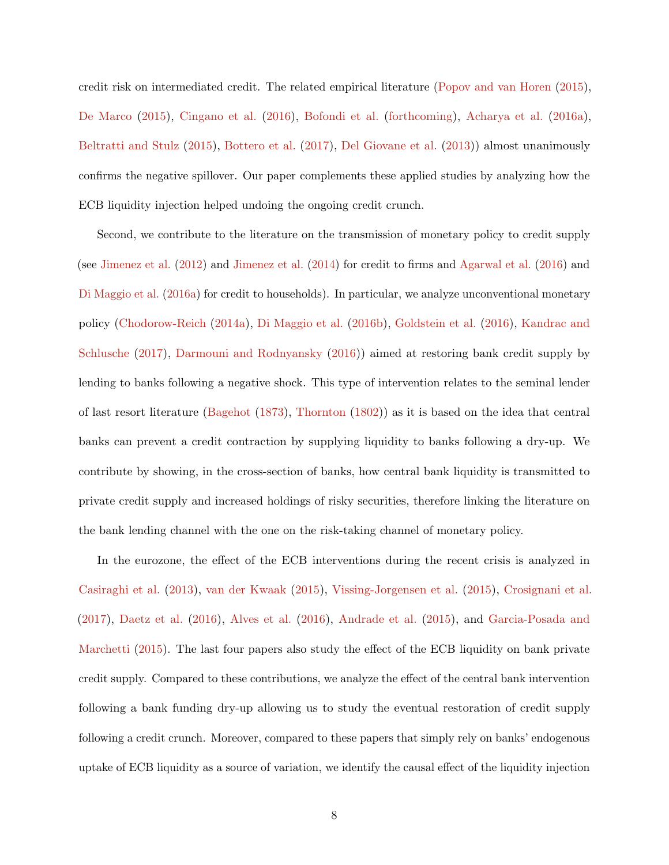credit risk on intermediated credit. The related empirical literature [\(Popov and van Horen](#page-49-8) [\(2015\)](#page-49-8), [De Marco](#page-47-6) [\(2015\)](#page-47-6), [Cingano et al.](#page-47-7) [\(2016\)](#page-47-7), [Bofondi et al.](#page-47-8) [\(forthcoming\)](#page-47-8), [Acharya et al.](#page-46-6) [\(2016a\)](#page-46-6), [Beltratti and Stulz](#page-46-7) [\(2015\)](#page-46-7), [Bottero et al.](#page-47-9) [\(2017\)](#page-47-9), [Del Giovane et al.](#page-47-10) [\(2013\)](#page-47-10)) almost unanimously confirms the negative spillover. Our paper complements these applied studies by analyzing how the ECB liquidity injection helped undoing the ongoing credit crunch.

Second, we contribute to the literature on the transmission of monetary policy to credit supply (see [Jimenez et al.](#page-48-9) [\(2012\)](#page-48-9) and [Jimenez et al.](#page-48-4) [\(2014\)](#page-48-4) for credit to firms and [Agarwal et al.](#page-46-8) [\(2016\)](#page-46-8) and [Di Maggio et al.](#page-48-10) [\(2016a\)](#page-48-10) for credit to households). In particular, we analyze unconventional monetary policy [\(Chodorow-Reich](#page-47-11) [\(2014a\)](#page-47-11), [Di Maggio et al.](#page-48-3) [\(2016b\)](#page-48-3), [Goldstein et al.](#page-48-2) [\(2016\)](#page-48-2), [Kandrac and](#page-48-11) [Schlusche](#page-48-11) [\(2017\)](#page-48-11), [Darmouni and Rodnyansky](#page-47-0) [\(2016\)](#page-47-0)) aimed at restoring bank credit supply by lending to banks following a negative shock. This type of intervention relates to the seminal lender of last resort literature [\(Bagehot](#page-46-0) [\(1873\)](#page-46-0), [Thornton](#page-49-9) [\(1802\)](#page-49-9)) as it is based on the idea that central banks can prevent a credit contraction by supplying liquidity to banks following a dry-up. We contribute by showing, in the cross-section of banks, how central bank liquidity is transmitted to private credit supply and increased holdings of risky securities, therefore linking the literature on the bank lending channel with the one on the risk-taking channel of monetary policy.

In the eurozone, the effect of the ECB interventions during the recent crisis is analyzed in [Casiraghi et al.](#page-47-12) [\(2013\)](#page-47-12), [van der Kwaak](#page-49-10) [\(2015\)](#page-49-10), [Vissing-Jorgensen et al.](#page-49-11) [\(2015\)](#page-49-11), [Crosignani et al.](#page-47-13) [\(2017\)](#page-47-13), [Daetz et al.](#page-47-14) [\(2016\)](#page-47-14), [Alves et al.](#page-46-9) [\(2016\)](#page-46-9), [Andrade et al.](#page-46-10) [\(2015\)](#page-46-10), and [Garcia-Posada and](#page-48-12) [Marchetti](#page-48-12) [\(2015\)](#page-48-12). The last four papers also study the effect of the ECB liquidity on bank private credit supply. Compared to these contributions, we analyze the effect of the central bank intervention following a bank funding dry-up allowing us to study the eventual restoration of credit supply following a credit crunch. Moreover, compared to these papers that simply rely on banks' endogenous uptake of ECB liquidity as a source of variation, we identify the causal effect of the liquidity injection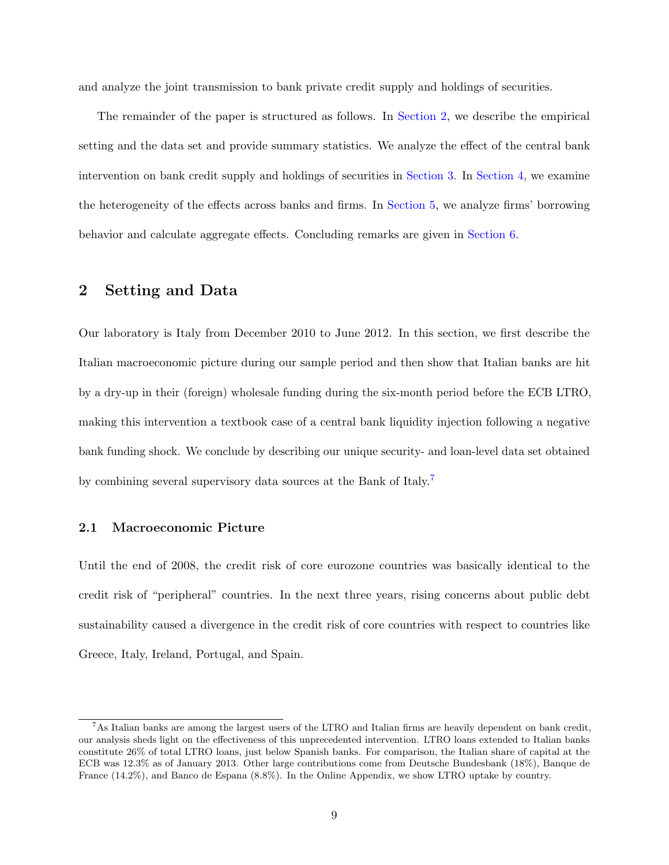and analyze the joint transmission to bank private credit supply and holdings of securities.

The remainder of the paper is structured as follows. In [Section](#page-9-0) [2,](#page-9-0) we describe the empirical setting and the data set and provide summary statistics. We analyze the effect of the central bank intervention on bank credit supply and holdings of securities in [Section](#page-16-0) [3.](#page-16-0) In [Section](#page-35-0) [4,](#page-35-0) we examine the heterogeneity of the effects across banks and firms. In [Section](#page-39-0) [5,](#page-39-0) we analyze firms' borrowing behavior and calculate aggregate effects. Concluding remarks are given in [Section](#page-44-0) [6.](#page-44-0)

## <span id="page-9-0"></span>2 Setting and Data

Our laboratory is Italy from December 2010 to June 2012. In this section, we first describe the Italian macroeconomic picture during our sample period and then show that Italian banks are hit by a dry-up in their (foreign) wholesale funding during the six-month period before the ECB LTRO, making this intervention a textbook case of a central bank liquidity injection following a negative bank funding shock. We conclude by describing our unique security- and loan-level data set obtained by combining several supervisory data sources at the Bank of Italy.[7](#page-9-1)

#### 2.1 Macroeconomic Picture

Until the end of 2008, the credit risk of core eurozone countries was basically identical to the credit risk of "peripheral" countries. In the next three years, rising concerns about public debt sustainability caused a divergence in the credit risk of core countries with respect to countries like Greece, Italy, Ireland, Portugal, and Spain.

<span id="page-9-1"></span> $^7$ As Italian banks are among the largest users of the LTRO and Italian firms are heavily dependent on bank credit, our analysis sheds light on the effectiveness of this unprecedented intervention. LTRO loans extended to Italian banks constitute 26% of total LTRO loans, just below Spanish banks. For comparison, the Italian share of capital at the ECB was 12.3% as of January 2013. Other large contributions come from Deutsche Bundesbank (18%), Banque de France (14.2%), and Banco de Espana (8.8%). In the Online Appendix, we show LTRO uptake by country.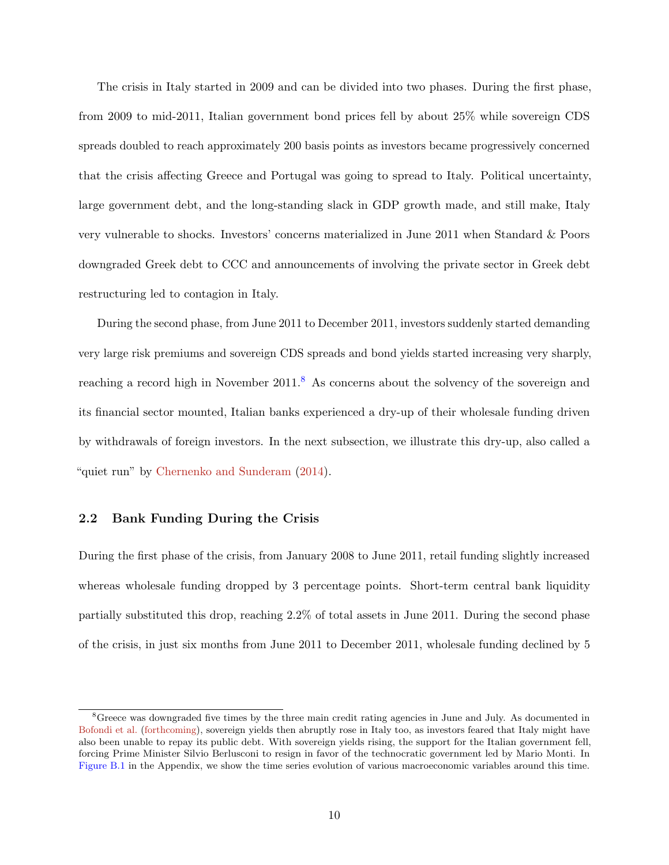The crisis in Italy started in 2009 and can be divided into two phases. During the first phase, from 2009 to mid-2011, Italian government bond prices fell by about 25% while sovereign CDS spreads doubled to reach approximately 200 basis points as investors became progressively concerned that the crisis affecting Greece and Portugal was going to spread to Italy. Political uncertainty, large government debt, and the long-standing slack in GDP growth made, and still make, Italy very vulnerable to shocks. Investors' concerns materialized in June 2011 when Standard & Poors downgraded Greek debt to CCC and announcements of involving the private sector in Greek debt restructuring led to contagion in Italy.

During the second phase, from June 2011 to December 2011, investors suddenly started demanding very large risk premiums and sovereign CDS spreads and bond yields started increasing very sharply, reaching a record high in November  $2011<sup>8</sup>$  $2011<sup>8</sup>$  $2011<sup>8</sup>$  As concerns about the solvency of the sovereign and its financial sector mounted, Italian banks experienced a dry-up of their wholesale funding driven by withdrawals of foreign investors. In the next subsection, we illustrate this dry-up, also called a "quiet run" by [Chernenko and Sunderam](#page-47-1) [\(2014\)](#page-47-1).

#### 2.2 Bank Funding During the Crisis

During the first phase of the crisis, from January 2008 to June 2011, retail funding slightly increased whereas wholesale funding dropped by 3 percentage points. Short-term central bank liquidity partially substituted this drop, reaching 2.2% of total assets in June 2011. During the second phase of the crisis, in just six months from June 2011 to December 2011, wholesale funding declined by 5

<span id="page-10-0"></span><sup>8</sup>Greece was downgraded five times by the three main credit rating agencies in June and July. As documented in [Bofondi et al.](#page-47-8) [\(forthcoming\)](#page-47-8), sovereign yields then abruptly rose in Italy too, as investors feared that Italy might have also been unable to repay its public debt. With sovereign yields rising, the support for the Italian government fell, forcing Prime Minister Silvio Berlusconi to resign in favor of the technocratic government led by Mario Monti. In [Figure](#page-51-0) [B.1](#page-51-0) in the Appendix, we show the time series evolution of various macroeconomic variables around this time.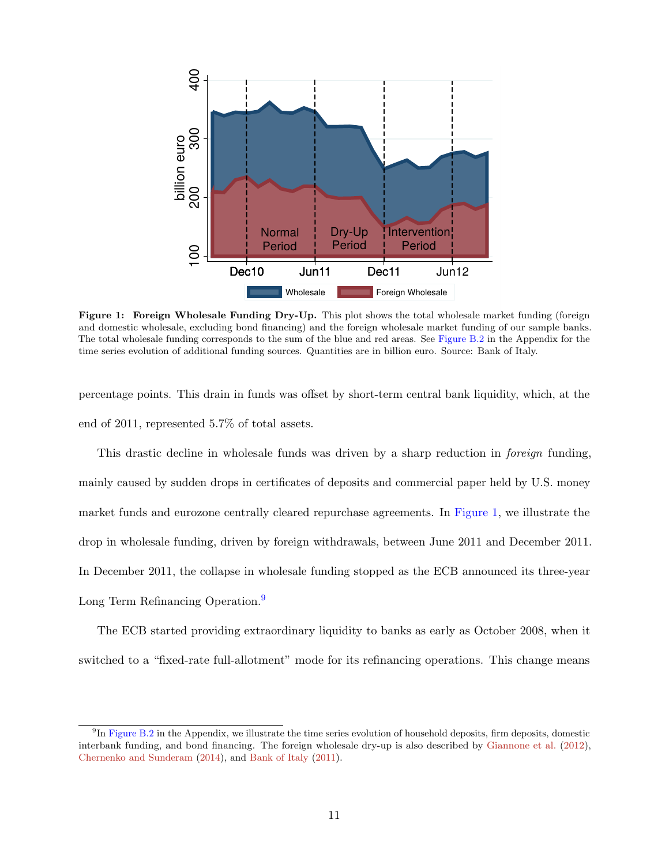<span id="page-11-0"></span>

Figure 1: Foreign Wholesale Funding Dry-Up. This plot shows the total wholesale market funding (foreign and domestic wholesale, excluding bond financing) and the foreign wholesale market funding of our sample banks. The total wholesale funding corresponds to the sum of the blue and red areas. See [Figure](#page-52-0) [B.2](#page-52-0) in the Appendix for the time series evolution of additional funding sources. Quantities are in billion euro. Source: Bank of Italy.

percentage points. This drain in funds was offset by short-term central bank liquidity, which, at the end of 2011, represented 5.7% of total assets.

This drastic decline in wholesale funds was driven by a sharp reduction in foreign funding, mainly caused by sudden drops in certificates of deposits and commercial paper held by U.S. money market funds and eurozone centrally cleared repurchase agreements. In [Figure](#page-11-0) [1,](#page-11-0) we illustrate the drop in wholesale funding, driven by foreign withdrawals, between June 2011 and December 2011. In December 2011, the collapse in wholesale funding stopped as the ECB announced its three-year Long Term Refinancing Operation.<sup>[9](#page-11-1)</sup>

The ECB started providing extraordinary liquidity to banks as early as October 2008, when it switched to a "fixed-rate full-allotment" mode for its refinancing operations. This change means

<span id="page-11-1"></span><sup>&</sup>lt;sup>9</sup>In [Figure](#page-52-0) [B.2](#page-52-0) in the Appendix, we illustrate the time series evolution of household deposits, firm deposits, domestic interbank funding, and bond financing. The foreign wholesale dry-up is also described by [Giannone et al.](#page-48-13) [\(2012\)](#page-48-13), [Chernenko and Sunderam](#page-47-1) [\(2014\)](#page-47-1), and [Bank of Italy](#page-46-11) [\(2011\)](#page-46-11).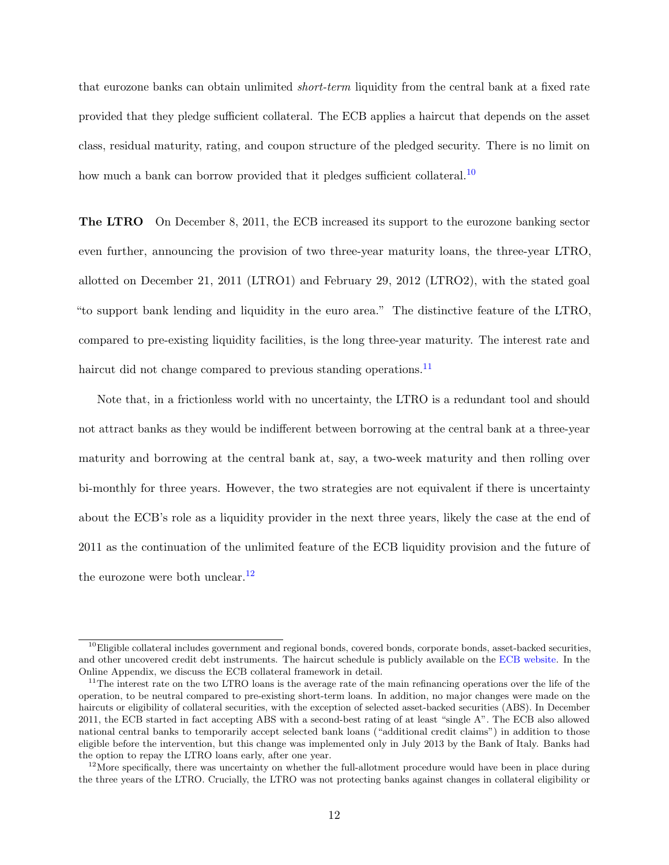that eurozone banks can obtain unlimited short-term liquidity from the central bank at a fixed rate provided that they pledge sufficient collateral. The ECB applies a haircut that depends on the asset class, residual maturity, rating, and coupon structure of the pledged security. There is no limit on how much a bank can borrow provided that it pledges sufficient collateral.<sup>[10](#page-12-0)</sup>

The LTRO On December 8, 2011, the ECB increased its support to the eurozone banking sector even further, announcing the provision of two three-year maturity loans, the three-year LTRO, allotted on December 21, 2011 (LTRO1) and February 29, 2012 (LTRO2), with the stated goal "to support bank lending and liquidity in the euro area." The distinctive feature of the LTRO, compared to pre-existing liquidity facilities, is the long three-year maturity. The interest rate and haircut did not change compared to previous standing operations.<sup>[11](#page-12-1)</sup>

Note that, in a frictionless world with no uncertainty, the LTRO is a redundant tool and should not attract banks as they would be indifferent between borrowing at the central bank at a three-year maturity and borrowing at the central bank at, say, a two-week maturity and then rolling over bi-monthly for three years. However, the two strategies are not equivalent if there is uncertainty about the ECB's role as a liquidity provider in the next three years, likely the case at the end of 2011 as the continuation of the unlimited feature of the ECB liquidity provision and the future of the eurozone were both unclear. $^{12}$  $^{12}$  $^{12}$ 

<span id="page-12-0"></span> $10E$ ligible collateral includes government and regional bonds, covered bonds, corporate bonds, asset-backed securities, and other uncovered credit debt instruments. The haircut schedule is publicly available on the [ECB website.](https://www.ecb.europa.eu/paym/coll/risk/liquidity/html/index.en.html) In the Online Appendix, we discuss the ECB collateral framework in detail.

<span id="page-12-1"></span><sup>&</sup>lt;sup>11</sup>The interest rate on the two LTRO loans is the average rate of the main refinancing operations over the life of the operation, to be neutral compared to pre-existing short-term loans. In addition, no major changes were made on the haircuts or eligibility of collateral securities, with the exception of selected asset-backed securities (ABS). In December 2011, the ECB started in fact accepting ABS with a second-best rating of at least "single A". The ECB also allowed national central banks to temporarily accept selected bank loans ("additional credit claims") in addition to those eligible before the intervention, but this change was implemented only in July 2013 by the Bank of Italy. Banks had the option to repay the LTRO loans early, after one year.

<span id="page-12-2"></span> $12$ More specifically, there was uncertainty on whether the full-allotment procedure would have been in place during the three years of the LTRO. Crucially, the LTRO was not protecting banks against changes in collateral eligibility or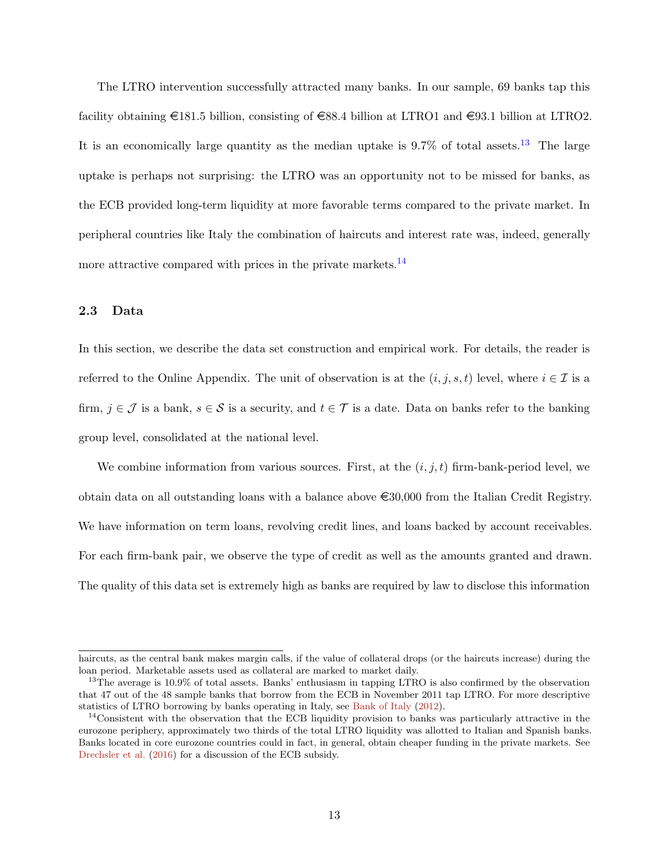The LTRO intervention successfully attracted many banks. In our sample, 69 banks tap this facility obtaining  $\in$ 181.5 billion, consisting of  $\in$ 88.4 billion at LTRO1 and  $\in$ 93.1 billion at LTRO2. It is an economically large quantity as the median uptake is  $9.7\%$  of total assets.<sup>[13](#page-13-0)</sup> The large uptake is perhaps not surprising: the LTRO was an opportunity not to be missed for banks, as the ECB provided long-term liquidity at more favorable terms compared to the private market. In peripheral countries like Italy the combination of haircuts and interest rate was, indeed, generally more attractive compared with prices in the private markets.<sup>[14](#page-13-1)</sup>

#### 2.3 Data

In this section, we describe the data set construction and empirical work. For details, the reader is referred to the Online Appendix. The unit of observation is at the  $(i, j, s, t)$  level, where  $i \in \mathcal{I}$  is a firm,  $j \in \mathcal{J}$  is a bank,  $s \in \mathcal{S}$  is a security, and  $t \in \mathcal{T}$  is a date. Data on banks refer to the banking group level, consolidated at the national level.

We combine information from various sources. First, at the  $(i, j, t)$  firm-bank-period level, we obtain data on all outstanding loans with a balance above  $\epsilon$ 30,000 from the Italian Credit Registry. We have information on term loans, revolving credit lines, and loans backed by account receivables. For each firm-bank pair, we observe the type of credit as well as the amounts granted and drawn. The quality of this data set is extremely high as banks are required by law to disclose this information

haircuts, as the central bank makes margin calls, if the value of collateral drops (or the haircuts increase) during the loan period. Marketable assets used as collateral are marked to market daily.

<span id="page-13-0"></span><sup>&</sup>lt;sup>13</sup>The average is 10.9% of total assets. Banks' enthusiasm in tapping LTRO is also confirmed by the observation that 47 out of the 48 sample banks that borrow from the ECB in November 2011 tap LTRO. For more descriptive statistics of LTRO borrowing by banks operating in Italy, see [Bank of Italy](#page-46-12) [\(2012\)](#page-46-12).

<span id="page-13-1"></span><sup>&</sup>lt;sup>14</sup>Consistent with the observation that the ECB liquidity provision to banks was particularly attractive in the eurozone periphery, approximately two thirds of the total LTRO liquidity was allotted to Italian and Spanish banks. Banks located in core eurozone countries could in fact, in general, obtain cheaper funding in the private markets. See [Drechsler et al.](#page-48-14) [\(2016\)](#page-48-14) for a discussion of the ECB subsidy.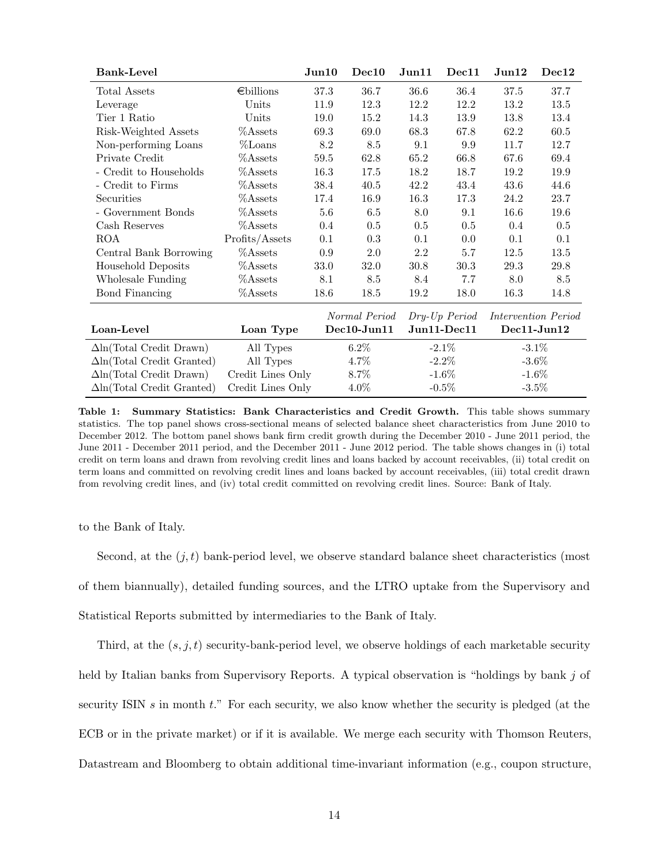<span id="page-14-0"></span>

| <b>Bank-Level</b>                 |                   | Jun10    | Dec10          | Jun11   | Dec11                | Jun12    | Dec12                      |
|-----------------------------------|-------------------|----------|----------------|---------|----------------------|----------|----------------------------|
| Total Assets                      | $\in$ billions    | 37.3     | 36.7           | 36.6    | 36.4                 | 37.5     | 37.7                       |
| Leverage                          | Units             | 11.9     | 12.3           | 12.2    | 12.2                 | 13.2     | 13.5                       |
| Tier 1 Ratio                      | Units             | 19.0     | 15.2           | 14.3    | 13.9                 | 13.8     | 13.4                       |
| Risk-Weighted Assets              | $\%$ Assets       | 69.3     | 69.0           | 68.3    | 67.8                 | 62.2     | 60.5                       |
| Non-performing Loans              | $\%$ Loans        | 8.2      | 8.5            | 9.1     | 9.9                  | 11.7     | 12.7                       |
| Private Credit                    | $\%$ Assets       | $59.5\,$ | 62.8           | 65.2    | 66.8                 | 67.6     | 69.4                       |
| - Credit to Households            | $\%$ Assets       | 16.3     | 17.5           | 18.2    | 18.7                 | $19.2\,$ | 19.9                       |
| - Credit to Firms                 | $\%$ Assets       | 38.4     | 40.5           | 42.2    | 43.4                 | 43.6     | 44.6                       |
| Securities                        | %Assets           | 17.4     | 16.9           | 16.3    | 17.3                 | 24.2     | 23.7                       |
| - Government Bonds                | $\%$ Assets       | 5.6      | 6.5            | 8.0     | 9.1                  | 16.6     | 19.6                       |
| Cash Reserves                     | $\%$ Assets       | $0.4\,$  | 0.5            | $0.5\,$ | $0.5\,$              | $0.4\,$  | $0.5\,$                    |
| <b>ROA</b>                        | Profits/Assets    | 0.1      | 0.3            | 0.1     | 0.0                  | 0.1      | 0.1                        |
| Central Bank Borrowing            | %Assets           | 0.9      | 2.0            | 2.2     | 5.7                  | 12.5     | 13.5                       |
| Household Deposits                | $\%$ Assets       | 33.0     | 32.0           | 30.8    | 30.3                 | 29.3     | 29.8                       |
| Wholesale Funding                 | %Assets           | 8.1      | 8.5            | 8.4     | 7.7                  | 8.0      | 8.5                        |
| <b>Bond Financing</b>             | $\%$ Assets       | 18.6     | 18.5           | 19.2    | 18.0                 | 16.3     | 14.8                       |
|                                   |                   |          | Normal Period  |         | $Dry$ - $Up\ Period$ |          | <i>Intervention Period</i> |
| Loan-Level                        | Loan Type         |          | $Dec10$ -Jun11 |         | Jun11-Dec11          |          | Dec11-Jun12                |
| $\Delta$ ln(Total Credit Drawn)   | All Types         |          | $6.2\%$        |         | $-2.1\%$             |          | $-3.1\%$                   |
| $\Delta$ ln(Total Credit Granted) | All Types         |          | 4.7%           |         | $-2.2\%$             |          | $-3.6\%$                   |
| $\Delta$ ln(Total Credit Drawn)   | Credit Lines Only |          | 8.7%           |         | $-1.6\%$             |          | $-1.6\%$                   |
| $\Delta$ ln(Total Credit Granted) | Credit Lines Only |          | 4.0%           |         | $-0.5\%$             |          | $-3.5\%$                   |

Table 1: Summary Statistics: Bank Characteristics and Credit Growth. This table shows summary statistics. The top panel shows cross-sectional means of selected balance sheet characteristics from June 2010 to December 2012. The bottom panel shows bank firm credit growth during the December 2010 - June 2011 period, the June 2011 - December 2011 period, and the December 2011 - June 2012 period. The table shows changes in (i) total credit on term loans and drawn from revolving credit lines and loans backed by account receivables, (ii) total credit on term loans and committed on revolving credit lines and loans backed by account receivables, (iii) total credit drawn from revolving credit lines, and (iv) total credit committed on revolving credit lines. Source: Bank of Italy.

to the Bank of Italy.

Second, at the  $(j, t)$  bank-period level, we observe standard balance sheet characteristics (most of them biannually), detailed funding sources, and the LTRO uptake from the Supervisory and Statistical Reports submitted by intermediaries to the Bank of Italy.

Third, at the  $(s, j, t)$  security-bank-period level, we observe holdings of each marketable security held by Italian banks from Supervisory Reports. A typical observation is "holdings by bank j of security ISIN  $s$  in month  $t$ ." For each security, we also know whether the security is pledged (at the ECB or in the private market) or if it is available. We merge each security with Thomson Reuters, Datastream and Bloomberg to obtain additional time-invariant information (e.g., coupon structure,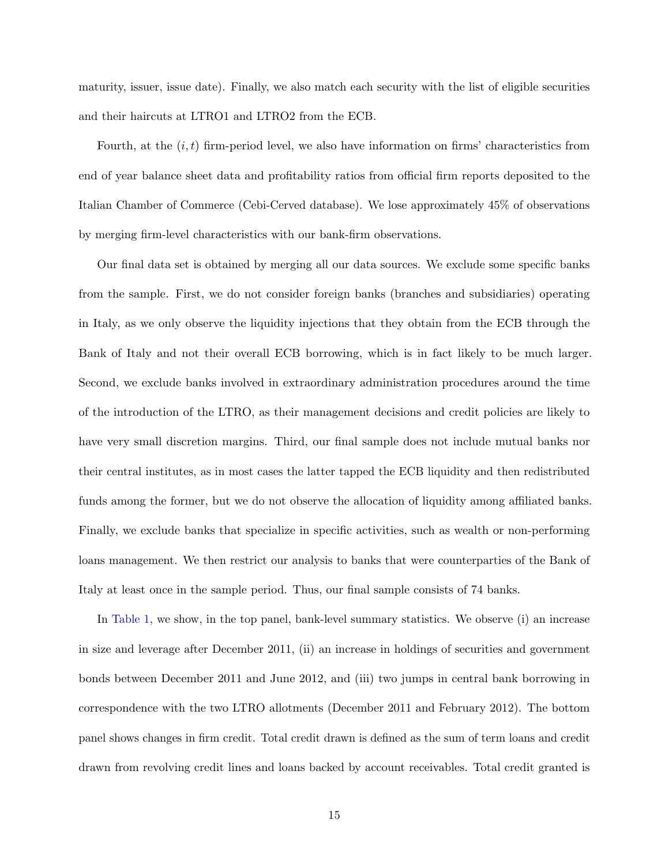maturity, issuer, issue date). Finally, we also match each security with the list of eligible securities and their haircuts at LTRO1 and LTRO2 from the ECB.

Fourth, at the  $(i, t)$  firm-period level, we also have information on firms' characteristics from end of year balance sheet data and profitability ratios from official firm reports deposited to the Italian Chamber of Commerce (Cebi-Cerved database). We lose approximately 45% of observations by merging firm-level characteristics with our bank-firm observations.

Our final data set is obtained by merging all our data sources. We exclude some specific banks from the sample. First, we do not consider foreign banks (branches and subsidiaries) operating in Italy, as we only observe the liquidity injections that they obtain from the ECB through the Bank of Italy and not their overall ECB borrowing, which is in fact likely to be much larger. Second, we exclude banks involved in extraordinary administration procedures around the time of the introduction of the LTRO, as their management decisions and credit policies are likely to have very small discretion margins. Third, our final sample does not include mutual banks nor their central institutes, as in most cases the latter tapped the ECB liquidity and then redistributed funds among the former, but we do not observe the allocation of liquidity among affiliated banks. Finally, we exclude banks that specialize in specific activities, such as wealth or non-performing loans management. We then restrict our analysis to banks that were counterparties of the Bank of Italy at least once in the sample period. Thus, our final sample consists of 74 banks.

In [Table](#page-14-0) [1,](#page-14-0) we show, in the top panel, bank-level summary statistics. We observe (i) an increase in size and leverage after December 2011, (ii) an increase in holdings of securities and government bonds between December 2011 and June 2012, and (iii) two jumps in central bank borrowing in correspondence with the two LTRO allotments (December 2011 and February 2012). The bottom panel shows changes in firm credit. Total credit drawn is defined as the sum of term loans and credit drawn from revolving credit lines and loans backed by account receivables. Total credit granted is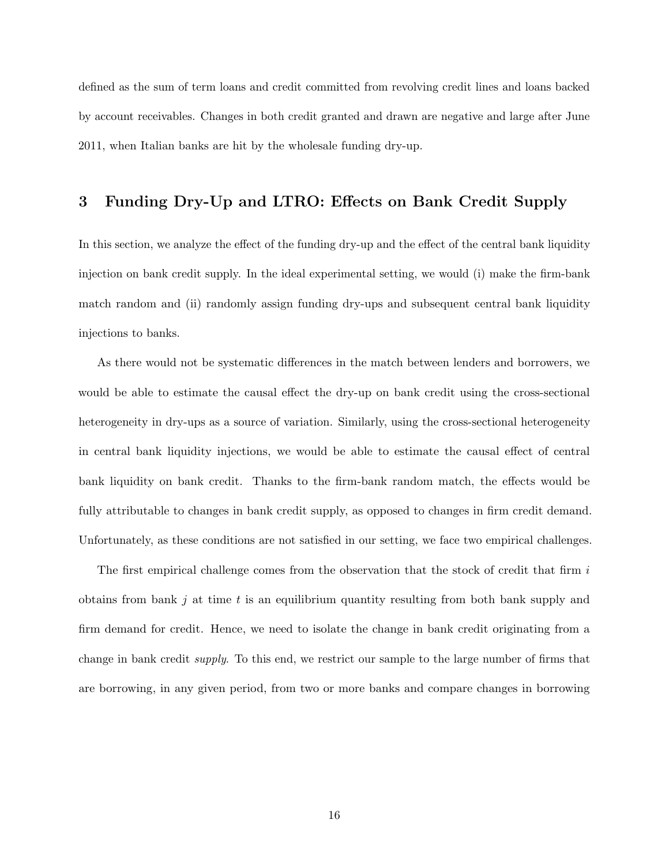defined as the sum of term loans and credit committed from revolving credit lines and loans backed by account receivables. Changes in both credit granted and drawn are negative and large after June 2011, when Italian banks are hit by the wholesale funding dry-up.

## <span id="page-16-0"></span>3 Funding Dry-Up and LTRO: Effects on Bank Credit Supply

In this section, we analyze the effect of the funding dry-up and the effect of the central bank liquidity injection on bank credit supply. In the ideal experimental setting, we would (i) make the firm-bank match random and (ii) randomly assign funding dry-ups and subsequent central bank liquidity injections to banks.

As there would not be systematic differences in the match between lenders and borrowers, we would be able to estimate the causal effect the dry-up on bank credit using the cross-sectional heterogeneity in dry-ups as a source of variation. Similarly, using the cross-sectional heterogeneity in central bank liquidity injections, we would be able to estimate the causal effect of central bank liquidity on bank credit. Thanks to the firm-bank random match, the effects would be fully attributable to changes in bank credit supply, as opposed to changes in firm credit demand. Unfortunately, as these conditions are not satisfied in our setting, we face two empirical challenges.

The first empirical challenge comes from the observation that the stock of credit that firm i obtains from bank  $j$  at time  $t$  is an equilibrium quantity resulting from both bank supply and firm demand for credit. Hence, we need to isolate the change in bank credit originating from a change in bank credit supply. To this end, we restrict our sample to the large number of firms that are borrowing, in any given period, from two or more banks and compare changes in borrowing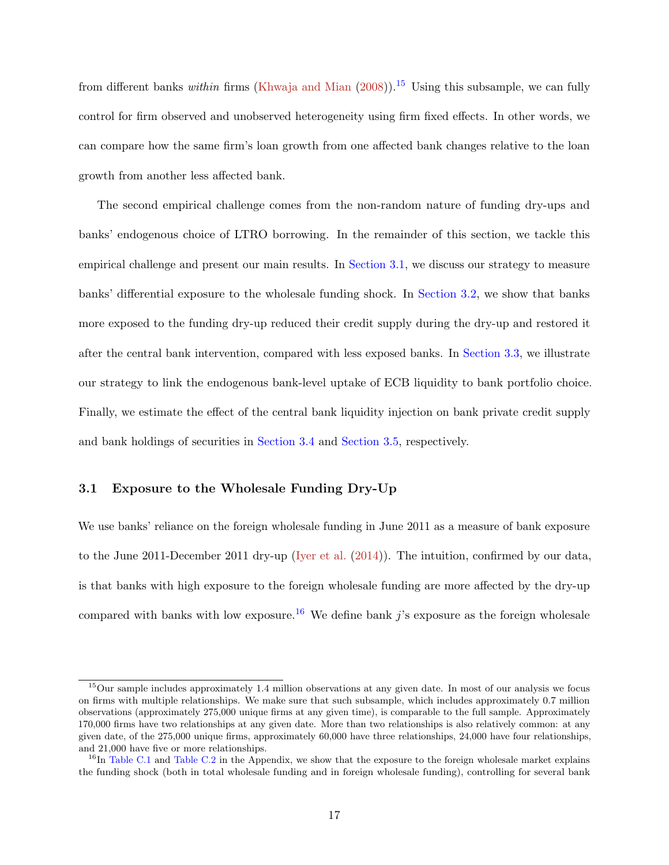from different banks within firms [\(Khwaja and Mian](#page-49-0)  $(2008)$ ).<sup>[15](#page-17-0)</sup> Using this subsample, we can fully control for firm observed and unobserved heterogeneity using firm fixed effects. In other words, we can compare how the same firm's loan growth from one affected bank changes relative to the loan growth from another less affected bank.

The second empirical challenge comes from the non-random nature of funding dry-ups and banks' endogenous choice of LTRO borrowing. In the remainder of this section, we tackle this empirical challenge and present our main results. In [Section](#page-17-1) [3.1,](#page-17-1) we discuss our strategy to measure banks' differential exposure to the wholesale funding shock. In [Section](#page-20-0) [3.2,](#page-20-0) we show that banks more exposed to the funding dry-up reduced their credit supply during the dry-up and restored it after the central bank intervention, compared with less exposed banks. In [Section](#page-25-0) [3.3,](#page-25-0) we illustrate our strategy to link the endogenous bank-level uptake of ECB liquidity to bank portfolio choice. Finally, we estimate the effect of the central bank liquidity injection on bank private credit supply and bank holdings of securities in [Section](#page-29-0) [3.4](#page-29-0) and [Section](#page-31-0) [3.5,](#page-31-0) respectively.

### <span id="page-17-1"></span>3.1 Exposure to the Wholesale Funding Dry-Up

We use banks' reliance on the foreign wholesale funding in June 2011 as a measure of bank exposure to the June 2011-December 2011 dry-up [\(Iyer et al.](#page-48-1) [\(2014\)](#page-48-1)). The intuition, confirmed by our data, is that banks with high exposure to the foreign wholesale funding are more affected by the dry-up compared with banks with low exposure.<sup>[16](#page-17-2)</sup> We define bank j's exposure as the foreign wholesale

<span id="page-17-0"></span><sup>&</sup>lt;sup>15</sup>Our sample includes approximately 1.4 million observations at any given date. In most of our analysis we focus on firms with multiple relationships. We make sure that such subsample, which includes approximately 0.7 million observations (approximately 275,000 unique firms at any given time), is comparable to the full sample. Approximately 170,000 firms have two relationships at any given date. More than two relationships is also relatively common: at any given date, of the 275,000 unique firms, approximately 60,000 have three relationships, 24,000 have four relationships, and 21,000 have five or more relationships.

<span id="page-17-2"></span> $^{16}$ In [Table](#page-55-1) [C.1](#page-55-0) and Table [C.2](#page-55-1) in the Appendix, we show that the exposure to the foreign wholesale market explains the funding shock (both in total wholesale funding and in foreign wholesale funding), controlling for several bank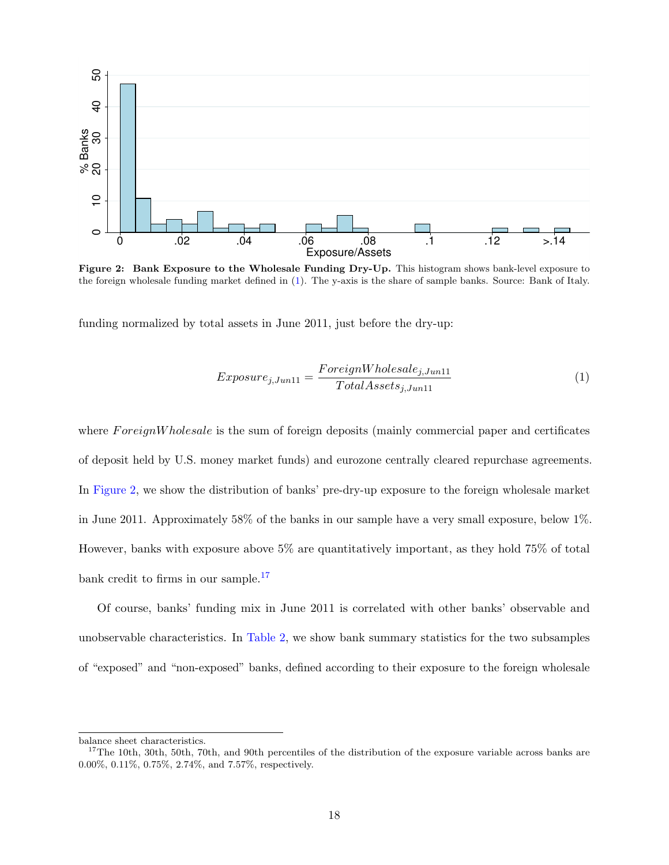<span id="page-18-1"></span>

Figure 2: Bank Exposure to the Wholesale Funding Dry-Up. This histogram shows bank-level exposure to the foreign wholesale funding market defined in [\(1\)](#page-18-0). The y-axis is the share of sample banks. Source: Bank of Italy.

funding normalized by total assets in June 2011, just before the dry-up:

<span id="page-18-0"></span>
$$
Exposure_{j,Jun11} = \frac{ForeignWholesale_{j, Jun11}}{TotalAssets_{j, Jun11}} \tag{1}
$$

where  $ForeignW holesale$  is the sum of foreign deposits (mainly commercial paper and certificates of deposit held by U.S. money market funds) and eurozone centrally cleared repurchase agreements. In [Figure](#page-18-1) [2,](#page-18-1) we show the distribution of banks' pre-dry-up exposure to the foreign wholesale market in June 2011. Approximately 58% of the banks in our sample have a very small exposure, below 1%. However, banks with exposure above 5% are quantitatively important, as they hold 75% of total bank credit to firms in our sample.[17](#page-18-2)

Of course, banks' funding mix in June 2011 is correlated with other banks' observable and unobservable characteristics. In [Table](#page-19-0) [2,](#page-19-0) we show bank summary statistics for the two subsamples of "exposed" and "non-exposed" banks, defined according to their exposure to the foreign wholesale

balance sheet characteristics.

<span id="page-18-2"></span><sup>&</sup>lt;sup>17</sup>The 10th, 30th, 50th, 70th, and 90th percentiles of the distribution of the exposure variable across banks are 0.00%, 0.11%, 0.75%, 2.74%, and 7.57%, respectively.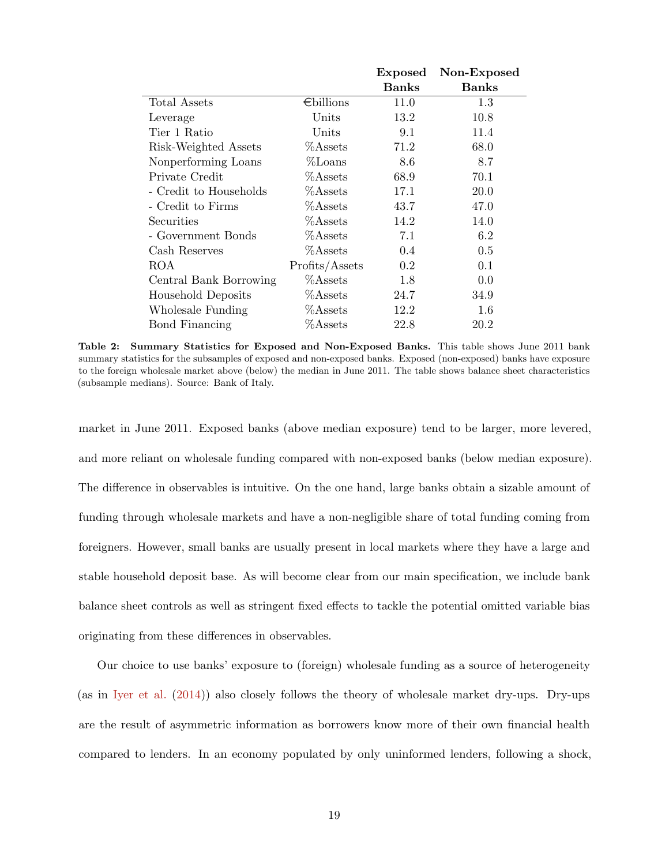<span id="page-19-0"></span>

|                        |                | Exposed      | Non-Exposed |
|------------------------|----------------|--------------|-------------|
|                        |                | <b>Banks</b> | Banks       |
| Total Assets           | $\in$ billions | 11.0         | 1.3         |
| Leverage               | Units          | 13.2         | 10.8        |
| Tier 1 Ratio           | $_{\rm Units}$ | 9.1          | 11.4        |
| Risk-Weighted Assets   | $\%$ Assets    | 71.2         | 68.0        |
| Nonperforming Loans    | %Loans         | 8.6          | 8.7         |
| Private Credit         | %Assets        | 68.9         | 70.1        |
| - Credit to Households | %Assets        | 17.1         | 20.0        |
| - Credit to Firms      | %Assets        | 43.7         | 47.0        |
| Securities             | $\%$ Assets    | 14.2         | 14.0        |
| - Government Bonds     | %Assets        | 7.1          | 6.2         |
| Cash Reserves          | %Assets        | 0.4          | 0.5         |
| <b>ROA</b>             | Profits/Assets | $0.2\,$      | 0.1         |
| Central Bank Borrowing | $\%$ Assets    | 1.8          | 0.0         |
| Household Deposits     | %Assets        | 24.7         | 34.9        |
| Wholesale Funding      | $\%$ Assets    | 12.2         | 1.6         |
| <b>Bond Financing</b>  | $\%$ Assets    | 22.8         | 20.2        |

Table 2: Summary Statistics for Exposed and Non-Exposed Banks. This table shows June 2011 bank summary statistics for the subsamples of exposed and non-exposed banks. Exposed (non-exposed) banks have exposure to the foreign wholesale market above (below) the median in June 2011. The table shows balance sheet characteristics (subsample medians). Source: Bank of Italy.

market in June 2011. Exposed banks (above median exposure) tend to be larger, more levered, and more reliant on wholesale funding compared with non-exposed banks (below median exposure). The difference in observables is intuitive. On the one hand, large banks obtain a sizable amount of funding through wholesale markets and have a non-negligible share of total funding coming from foreigners. However, small banks are usually present in local markets where they have a large and stable household deposit base. As will become clear from our main specification, we include bank balance sheet controls as well as stringent fixed effects to tackle the potential omitted variable bias originating from these differences in observables.

Our choice to use banks' exposure to (foreign) wholesale funding as a source of heterogeneity (as in [Iyer et al.](#page-48-1) [\(2014\)](#page-48-1)) also closely follows the theory of wholesale market dry-ups. Dry-ups are the result of asymmetric information as borrowers know more of their own financial health compared to lenders. In an economy populated by only uninformed lenders, following a shock,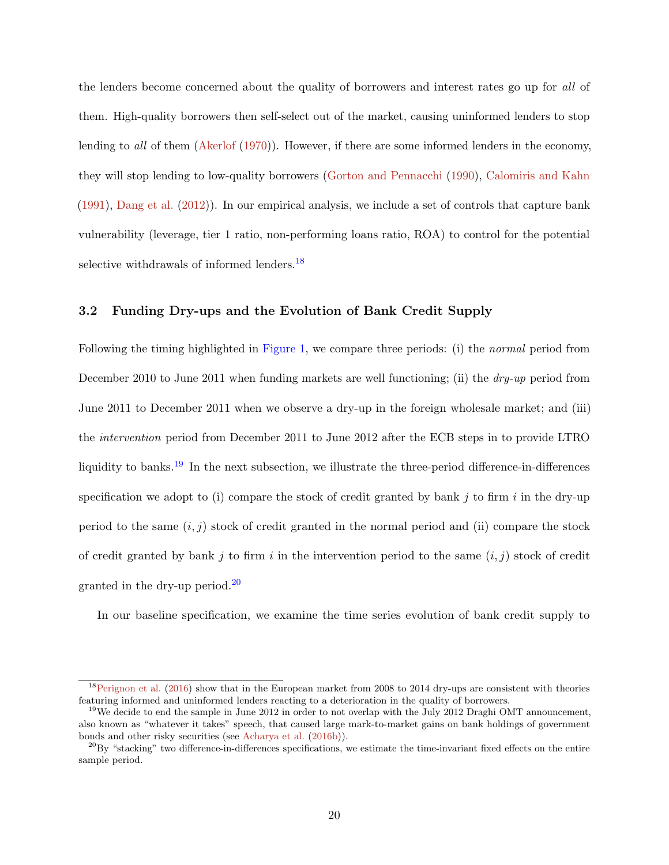the lenders become concerned about the quality of borrowers and interest rates go up for all of them. High-quality borrowers then self-select out of the market, causing uninformed lenders to stop lending to all of them [\(Akerlof](#page-46-13) [\(1970\)](#page-46-13)). However, if there are some informed lenders in the economy, they will stop lending to low-quality borrowers [\(Gorton and Pennacchi](#page-48-15) [\(1990\)](#page-48-15), [Calomiris and Kahn](#page-47-15) [\(1991\)](#page-47-15), [Dang et al.](#page-47-16) [\(2012\)](#page-47-16)). In our empirical analysis, we include a set of controls that capture bank vulnerability (leverage, tier 1 ratio, non-performing loans ratio, ROA) to control for the potential selective withdrawals of informed lenders.<sup>[18](#page-20-1)</sup>

#### <span id="page-20-0"></span>3.2 Funding Dry-ups and the Evolution of Bank Credit Supply

Following the timing highlighted in [Figure](#page-11-0) [1,](#page-11-0) we compare three periods: (i) the normal period from December 2010 to June 2011 when funding markets are well functioning; (ii) the dry-up period from June 2011 to December 2011 when we observe a dry-up in the foreign wholesale market; and (iii) the intervention period from December 2011 to June 2012 after the ECB steps in to provide LTRO liquidity to banks.<sup>[19](#page-20-2)</sup> In the next subsection, we illustrate the three-period difference-in-differences specification we adopt to (i) compare the stock of credit granted by bank  $j$  to firm  $i$  in the dry-up period to the same  $(i, j)$  stock of credit granted in the normal period and (ii) compare the stock of credit granted by bank j to firm i in the intervention period to the same  $(i, j)$  stock of credit granted in the dry-up period.[20](#page-20-3)

In our baseline specification, we examine the time series evolution of bank credit supply to

<span id="page-20-1"></span><sup>&</sup>lt;sup>18</sup>[Perignon et al.](#page-49-12) [\(2016\)](#page-49-12) show that in the European market from 2008 to 2014 dry-ups are consistent with theories featuring informed and uninformed lenders reacting to a deterioration in the quality of borrowers.

<span id="page-20-2"></span><sup>&</sup>lt;sup>19</sup>We decide to end the sample in June 2012 in order to not overlap with the July 2012 Draghi OMT announcement, also known as "whatever it takes" speech, that caused large mark-to-market gains on bank holdings of government bonds and other risky securities (see [Acharya et al.](#page-46-14) [\(2016b\)](#page-46-14)).

<span id="page-20-3"></span> $^{20}$ By "stacking" two difference-in-differences specifications, we estimate the time-invariant fixed effects on the entire sample period.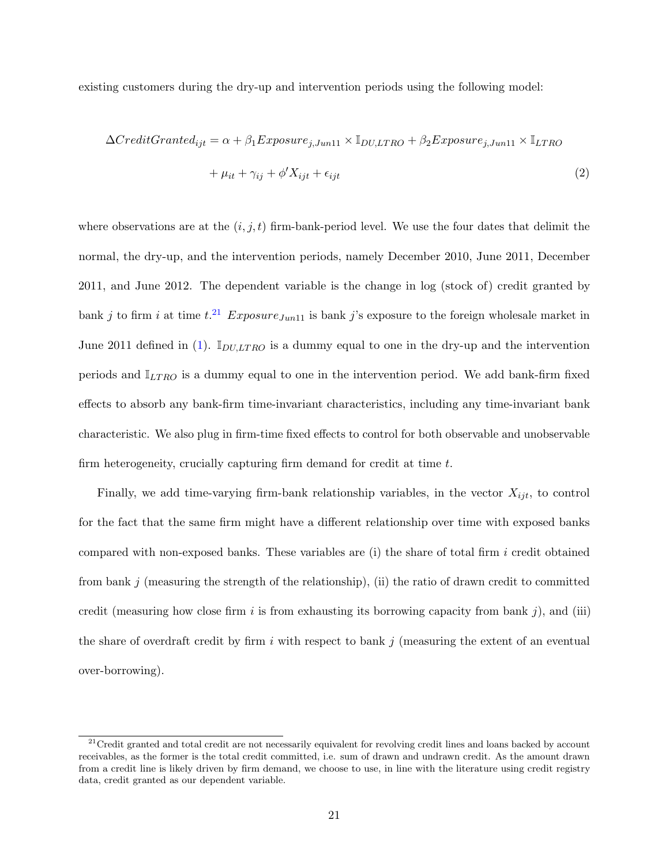existing customers during the dry-up and intervention periods using the following model:

$$
\Delta CreditGranted_{ijt} = \alpha + \beta_1 Exposure_{j, Jun11} \times \mathbb{I}_{DU, LTRO} + \beta_2 Exposure_{j, Jun11} \times \mathbb{I}_{LTRO}
$$

<span id="page-21-1"></span>
$$
+\mu_{it} + \gamma_{ij} + \phi' X_{ijt} + \epsilon_{ijt}
$$
\n<sup>(2)</sup>

where observations are at the  $(i, j, t)$  firm-bank-period level. We use the four dates that delimit the normal, the dry-up, and the intervention periods, namely December 2010, June 2011, December 2011, and June 2012. The dependent variable is the change in log (stock of) credit granted by bank j to firm i at time  $t^{21}$  $t^{21}$  $t^{21}$   $Exposure_{Jun11}$  is bank j's exposure to the foreign wholesale market in June 2011 defined in [\(1\)](#page-18-0).  $\mathbb{I}_{DU,LTRO}$  is a dummy equal to one in the dry-up and the intervention periods and  $\mathbb{I}_{LTRO}$  is a dummy equal to one in the intervention period. We add bank-firm fixed effects to absorb any bank-firm time-invariant characteristics, including any time-invariant bank characteristic. We also plug in firm-time fixed effects to control for both observable and unobservable firm heterogeneity, crucially capturing firm demand for credit at time t.

Finally, we add time-varying firm-bank relationship variables, in the vector  $X_{ijt}$ , to control for the fact that the same firm might have a different relationship over time with exposed banks compared with non-exposed banks. These variables are (i) the share of total firm i credit obtained from bank  $j$  (measuring the strength of the relationship), (ii) the ratio of drawn credit to committed credit (measuring how close firm  $i$  is from exhausting its borrowing capacity from bank  $j$ ), and (iii) the share of overdraft credit by firm i with respect to bank  $j$  (measuring the extent of an eventual over-borrowing).

<span id="page-21-0"></span> $21$ Credit granted and total credit are not necessarily equivalent for revolving credit lines and loans backed by account receivables, as the former is the total credit committed, i.e. sum of drawn and undrawn credit. As the amount drawn from a credit line is likely driven by firm demand, we choose to use, in line with the literature using credit registry data, credit granted as our dependent variable.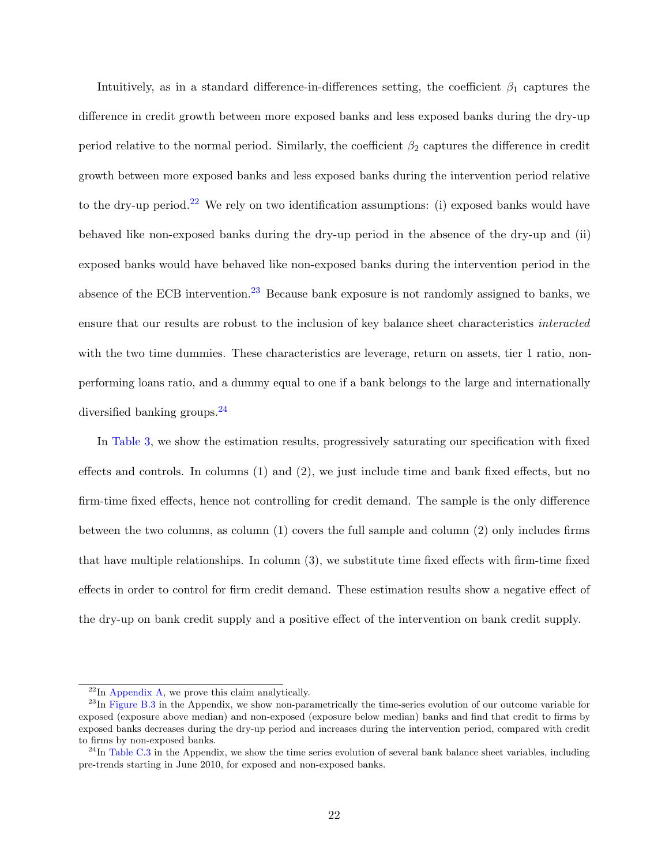Intuitively, as in a standard difference-in-differences setting, the coefficient  $\beta_1$  captures the difference in credit growth between more exposed banks and less exposed banks during the dry-up period relative to the normal period. Similarly, the coefficient  $\beta_2$  captures the difference in credit growth between more exposed banks and less exposed banks during the intervention period relative to the dry-up period.<sup>[22](#page-22-0)</sup> We rely on two identification assumptions: (i) exposed banks would have behaved like non-exposed banks during the dry-up period in the absence of the dry-up and (ii) exposed banks would have behaved like non-exposed banks during the intervention period in the absence of the ECB intervention.[23](#page-22-1) Because bank exposure is not randomly assigned to banks, we ensure that our results are robust to the inclusion of key balance sheet characteristics interacted with the two time dummies. These characteristics are leverage, return on assets, tier 1 ratio, nonperforming loans ratio, and a dummy equal to one if a bank belongs to the large and internationally diversified banking groups.<sup>[24](#page-22-2)</sup>

In [Table](#page-23-0) [3,](#page-23-0) we show the estimation results, progressively saturating our specification with fixed effects and controls. In columns (1) and (2), we just include time and bank fixed effects, but no firm-time fixed effects, hence not controlling for credit demand. The sample is the only difference between the two columns, as column (1) covers the full sample and column (2) only includes firms that have multiple relationships. In column (3), we substitute time fixed effects with firm-time fixed effects in order to control for firm credit demand. These estimation results show a negative effect of the dry-up on bank credit supply and a positive effect of the intervention on bank credit supply.

<span id="page-22-1"></span><span id="page-22-0"></span> $22$ In [Appendix A,](#page-50-0) we prove this claim analytically.

<sup>&</sup>lt;sup>23</sup>In [Figure](#page-53-0) [B.3](#page-53-0) in the Appendix, we show non-parametrically the time-series evolution of our outcome variable for exposed (exposure above median) and non-exposed (exposure below median) banks and find that credit to firms by exposed banks decreases during the dry-up period and increases during the intervention period, compared with credit to firms by non-exposed banks.

<span id="page-22-2"></span> $^{24}$ In [Table](#page-56-0) [C.3](#page-56-0) in the Appendix, we show the time series evolution of several bank balance sheet variables, including pre-trends starting in June 2010, for exposed and non-exposed banks.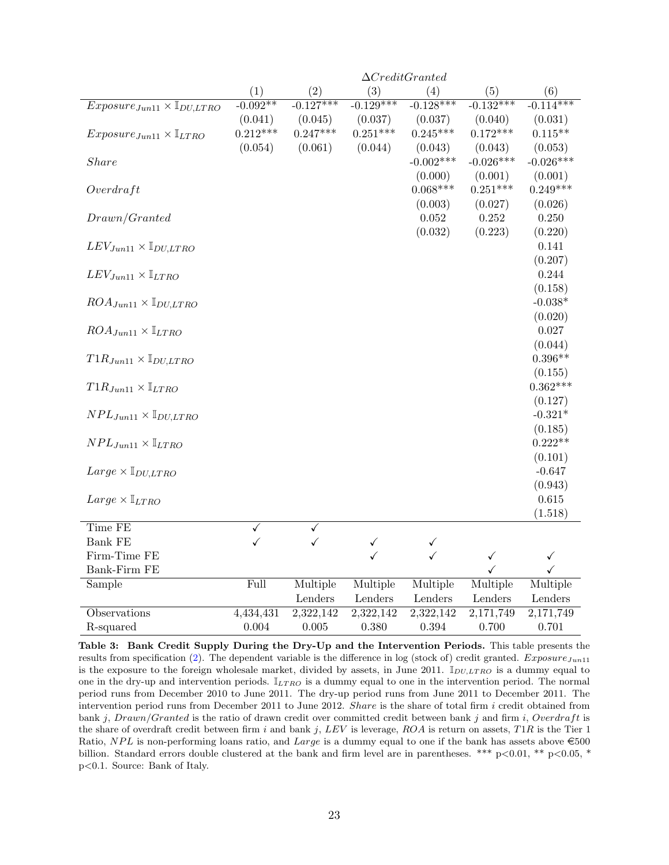<span id="page-23-0"></span>

|                                                 |              |                              |                              | $\Delta C$ redit $Granted$ |              |             |
|-------------------------------------------------|--------------|------------------------------|------------------------------|----------------------------|--------------|-------------|
|                                                 | (1)          | (2)                          | (3)                          | (4)                        | (5)          | (6)         |
| $Exposure_{Jun11} \times \mathbb{I}_{DU, LTRO}$ | $-0.092**$   | $-0.127***$                  | $-0.129***$                  | $-0.128***$                | $-0.132***$  | $-0.114***$ |
|                                                 | (0.041)      | (0.045)                      | (0.037)                      | (0.037)                    | (0.040)      | (0.031)     |
| $Exposure_{Jun11} \times \mathbb{I}_{LTRO}$     | $0.212***$   | $0.247***$                   | $0.251***$                   | $0.245***$                 | $0.172***$   | $0.115**$   |
|                                                 | (0.054)      | (0.061)                      | (0.044)                      | (0.043)                    | (0.043)      | (0.053)     |
| <b>Share</b>                                    |              |                              |                              | $-0.002***$                | $-0.026***$  | $-0.026***$ |
|                                                 |              |                              |                              | (0.000)                    | (0.001)      | (0.001)     |
| Overdraff                                       |              |                              |                              | $0.068***$                 | $0.251***$   | $0.249***$  |
|                                                 |              |                              |                              | (0.003)                    | (0.027)      | (0.026)     |
| Drawn/Granted                                   |              |                              |                              | 0.052                      | 0.252        | 0.250       |
|                                                 |              |                              |                              | (0.032)                    | (0.223)      | (0.220)     |
| $LEV_{Jun11} \times I_{DU,LTRO}$                |              |                              |                              |                            |              | 0.141       |
|                                                 |              |                              |                              |                            |              | (0.207)     |
| $LEV_{Jun11} \times \mathbb{I}_{LTRO}$          |              |                              |                              |                            |              | 0.244       |
|                                                 |              |                              |                              |                            |              | (0.158)     |
| $ROA_{Jun11} \times I_{DU,LTRO}$                |              |                              |                              |                            |              | $-0.038*$   |
|                                                 |              |                              |                              |                            |              | (0.020)     |
| $ROA_{Jun11} \times \mathbb{I}_{LTRO}$          |              |                              |                              |                            |              | 0.027       |
|                                                 |              |                              |                              |                            |              | (0.044)     |
| $T1R_{Jun11} \times I_{DU,LTRO}$                |              |                              |                              |                            |              | $0.396**$   |
|                                                 |              |                              |                              |                            |              | (0.155)     |
| $T1R_{Jun11} \times I_{LTRO}$                   |              |                              |                              |                            |              | $0.362***$  |
|                                                 |              |                              |                              |                            |              | (0.127)     |
| $NPL_{Jun11} \times \mathbb{I}_{DU, LTRO}$      |              |                              |                              |                            |              | $-0.321*$   |
|                                                 |              |                              |                              |                            |              | (0.185)     |
| $NPL_{Jun11} \times \mathbb{I}_{LTRO}$          |              |                              |                              |                            |              | $0.222**$   |
|                                                 |              |                              |                              |                            |              | (0.101)     |
| $Large \times I_{DU,LTRO}$                      |              |                              |                              |                            |              | $-0.647$    |
|                                                 |              |                              |                              |                            |              | (0.943)     |
| $Large \times I_{LTRO}$                         |              |                              |                              |                            |              | $0.615\,$   |
|                                                 |              |                              |                              |                            |              | (1.518)     |
| Time FE                                         | $\checkmark$ | $\checkmark$                 |                              |                            |              |             |
| <b>Bank FE</b>                                  | $\checkmark$ | $\checkmark$                 | $\checkmark$                 | $\checkmark$               |              |             |
| Firm-Time FE                                    |              |                              | ✓                            | $\checkmark$               | $\checkmark$ | ✓           |
| Bank-Firm FE                                    |              |                              |                              |                            | ✓            |             |
| Sample                                          | Full         | $\overline{\text{Multiple}}$ | $\overline{\text{Multiple}}$ | Multiple                   | Multiple     | Multiple    |
|                                                 |              | Lenders                      | Lenders                      | Lenders                    | Lenders      | Lenders     |
| Observations                                    | 4,434,431    | 2,322,142                    | 2,322,142                    | 2,322,142                  | 2,171,749    | 2,171,749   |
| R-squared                                       | 0.004        | 0.005                        | 0.380                        | 0.394                      | 0.700        | 0.701       |

Table 3: Bank Credit Supply During the Dry-Up and the Intervention Periods. This table presents the results from specification [\(2\)](#page-21-1). The dependent variable is the difference in log (stock of) credit granted.  $Exposure_{Jun11}$ is the exposure to the foreign wholesale market, divided by assets, in June 2011.  $\mathbb{I}_{DU,LTRO}$  is a dummy equal to one in the dry-up and intervention periods.  $\mathbb{I}_{LTRO}$  is a dummy equal to one in the intervention period. The normal period runs from December 2010 to June 2011. The dry-up period runs from June 2011 to December 2011. The intervention period runs from December 2011 to June 2012. Share is the share of total firm  $i$  credit obtained from bank j, Drawn/Granted is the ratio of drawn credit over committed credit between bank j and firm i, Overdraft is the share of overdraft credit between firm i and bank j, LEV is leverage, ROA is return on assets, T1R is the Tier 1 Ratio,  $NPL$  is non-performing loans ratio, and  $Large$  is a dummy equal to one if the bank has assets above  $\epsilon$ 500 billion. Standard errors double clustered at the bank and firm level are in parentheses. \*\*\* p<0.01, \*\* p<0.05, \* p<0.1. Source: Bank of Italy.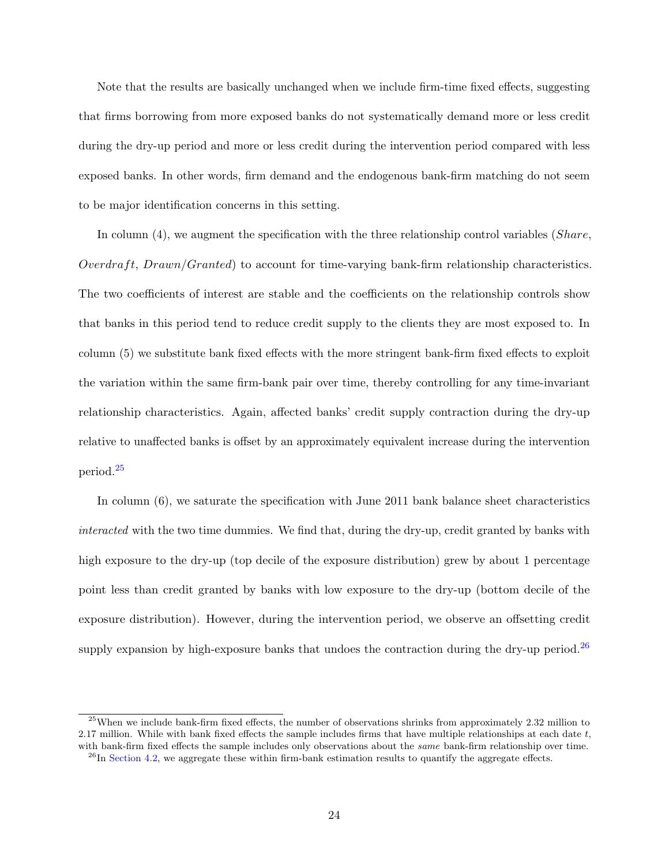Note that the results are basically unchanged when we include firm-time fixed effects, suggesting that firms borrowing from more exposed banks do not systematically demand more or less credit during the dry-up period and more or less credit during the intervention period compared with less exposed banks. In other words, firm demand and the endogenous bank-firm matching do not seem to be major identification concerns in this setting.

In column  $(4)$ , we augment the specification with the three relationship control variables (Share, Overdraft, Drawn/Granted) to account for time-varying bank-firm relationship characteristics. The two coefficients of interest are stable and the coefficients on the relationship controls show that banks in this period tend to reduce credit supply to the clients they are most exposed to. In column (5) we substitute bank fixed effects with the more stringent bank-firm fixed effects to exploit the variation within the same firm-bank pair over time, thereby controlling for any time-invariant relationship characteristics. Again, affected banks' credit supply contraction during the dry-up relative to unaffected banks is offset by an approximately equivalent increase during the intervention period.[25](#page-24-0)

In column (6), we saturate the specification with June 2011 bank balance sheet characteristics interacted with the two time dummies. We find that, during the dry-up, credit granted by banks with high exposure to the dry-up (top decile of the exposure distribution) grew by about 1 percentage point less than credit granted by banks with low exposure to the dry-up (bottom decile of the exposure distribution). However, during the intervention period, we observe an offsetting credit supply expansion by high-exposure banks that undoes the contraction during the dry-up period.<sup>[26](#page-24-1)</sup>

<span id="page-24-0"></span> $^{25}$ When we include bank-firm fixed effects, the number of observations shrinks from approximately 2.32 million to 2.17 million. While with bank fixed effects the sample includes firms that have multiple relationships at each date  $t$ , with bank-firm fixed effects the sample includes only observations about the *same* bank-firm relationship over time.

<span id="page-24-1"></span> $^{26}$ In [Section](#page-37-0) [4.2,](#page-37-0) we aggregate these within firm-bank estimation results to quantify the aggregate effects.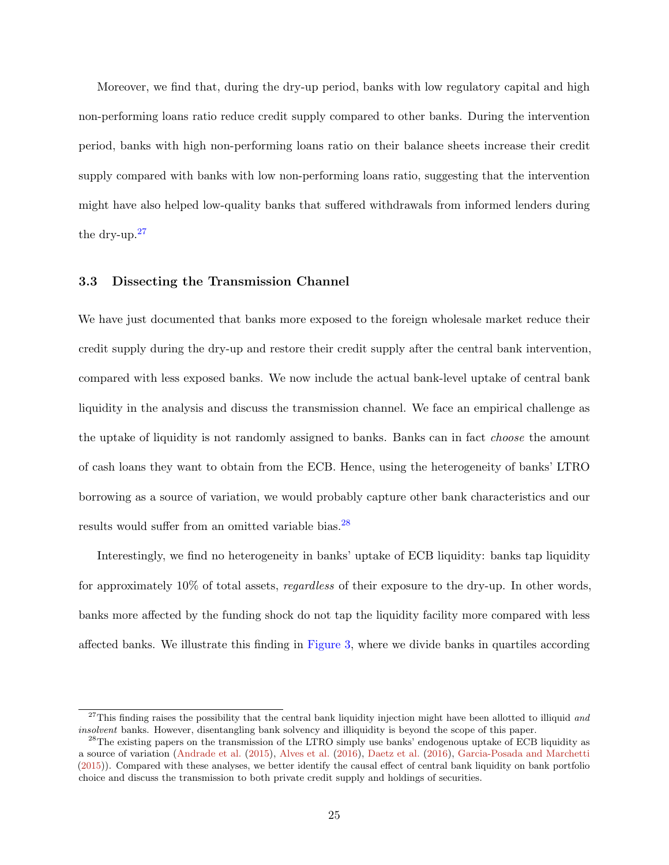Moreover, we find that, during the dry-up period, banks with low regulatory capital and high non-performing loans ratio reduce credit supply compared to other banks. During the intervention period, banks with high non-performing loans ratio on their balance sheets increase their credit supply compared with banks with low non-performing loans ratio, suggesting that the intervention might have also helped low-quality banks that suffered withdrawals from informed lenders during the dry-up.[27](#page-25-1)

#### <span id="page-25-0"></span>3.3 Dissecting the Transmission Channel

We have just documented that banks more exposed to the foreign wholesale market reduce their credit supply during the dry-up and restore their credit supply after the central bank intervention, compared with less exposed banks. We now include the actual bank-level uptake of central bank liquidity in the analysis and discuss the transmission channel. We face an empirical challenge as the uptake of liquidity is not randomly assigned to banks. Banks can in fact choose the amount of cash loans they want to obtain from the ECB. Hence, using the heterogeneity of banks' LTRO borrowing as a source of variation, we would probably capture other bank characteristics and our results would suffer from an omitted variable bias.<sup>[28](#page-25-2)</sup>

Interestingly, we find no heterogeneity in banks' uptake of ECB liquidity: banks tap liquidity for approximately 10% of total assets, regardless of their exposure to the dry-up. In other words, banks more affected by the funding shock do not tap the liquidity facility more compared with less affected banks. We illustrate this finding in [Figure](#page-26-0) [3,](#page-26-0) where we divide banks in quartiles according

<span id="page-25-1"></span><sup>&</sup>lt;sup>27</sup>This finding raises the possibility that the central bank liquidity injection might have been allotted to illiquid and insolvent banks. However, disentangling bank solvency and illiquidity is beyond the scope of this paper.

<span id="page-25-2"></span><sup>&</sup>lt;sup>28</sup>The existing papers on the transmission of the LTRO simply use banks' endogenous uptake of ECB liquidity as a source of variation [\(Andrade et al.](#page-46-10) [\(2015\)](#page-46-10), [Alves et al.](#page-46-9) [\(2016\)](#page-46-9), [Daetz et al.](#page-47-14) [\(2016\)](#page-47-14), [Garcia-Posada and Marchetti](#page-48-12) [\(2015\)](#page-48-12)). Compared with these analyses, we better identify the causal effect of central bank liquidity on bank portfolio choice and discuss the transmission to both private credit supply and holdings of securities.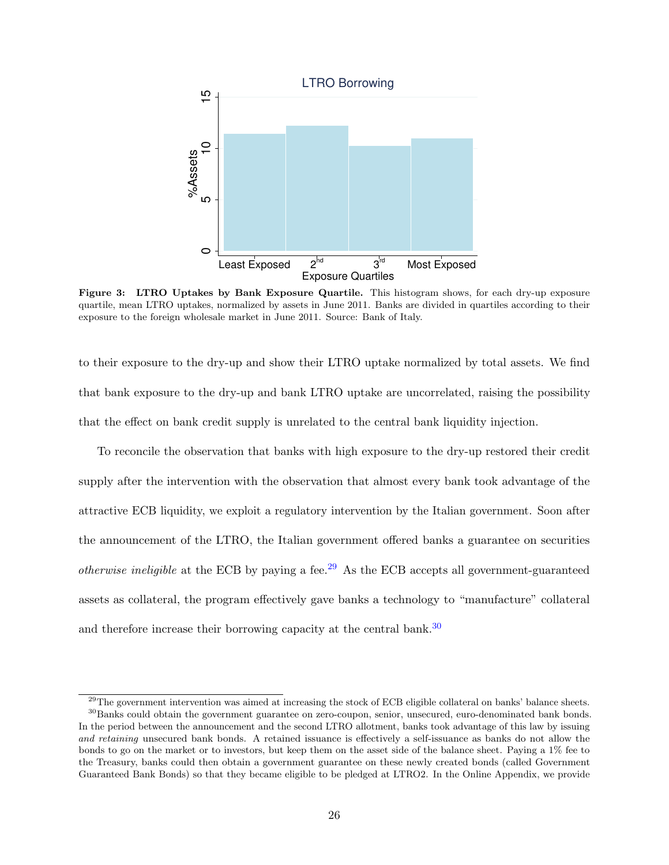<span id="page-26-0"></span>

Figure 3: LTRO Uptakes by Bank Exposure Quartile. This histogram shows, for each dry-up exposure quartile, mean LTRO uptakes, normalized by assets in June 2011. Banks are divided in quartiles according to their exposure to the foreign wholesale market in June 2011. Source: Bank of Italy.

to their exposure to the dry-up and show their LTRO uptake normalized by total assets. We find that bank exposure to the dry-up and bank LTRO uptake are uncorrelated, raising the possibility that the effect on bank credit supply is unrelated to the central bank liquidity injection.

To reconcile the observation that banks with high exposure to the dry-up restored their credit supply after the intervention with the observation that almost every bank took advantage of the attractive ECB liquidity, we exploit a regulatory intervention by the Italian government. Soon after the announcement of the LTRO, the Italian government offered banks a guarantee on securities *otherwise ineligible* at the ECB by paying a fee.<sup>[29](#page-26-1)</sup> As the ECB accepts all government-guaranteed assets as collateral, the program effectively gave banks a technology to "manufacture" collateral and therefore increase their borrowing capacity at the central bank.<sup>[30](#page-26-2)</sup>

<span id="page-26-2"></span><span id="page-26-1"></span> $29$ The government intervention was aimed at increasing the stock of ECB eligible collateral on banks' balance sheets. <sup>30</sup>Banks could obtain the government guarantee on zero-coupon, senior, unsecured, euro-denominated bank bonds. In the period between the announcement and the second LTRO allotment, banks took advantage of this law by issuing and retaining unsecured bank bonds. A retained issuance is effectively a self-issuance as banks do not allow the bonds to go on the market or to investors, but keep them on the asset side of the balance sheet. Paying a 1% fee to the Treasury, banks could then obtain a government guarantee on these newly created bonds (called Government Guaranteed Bank Bonds) so that they became eligible to be pledged at LTRO2. In the Online Appendix, we provide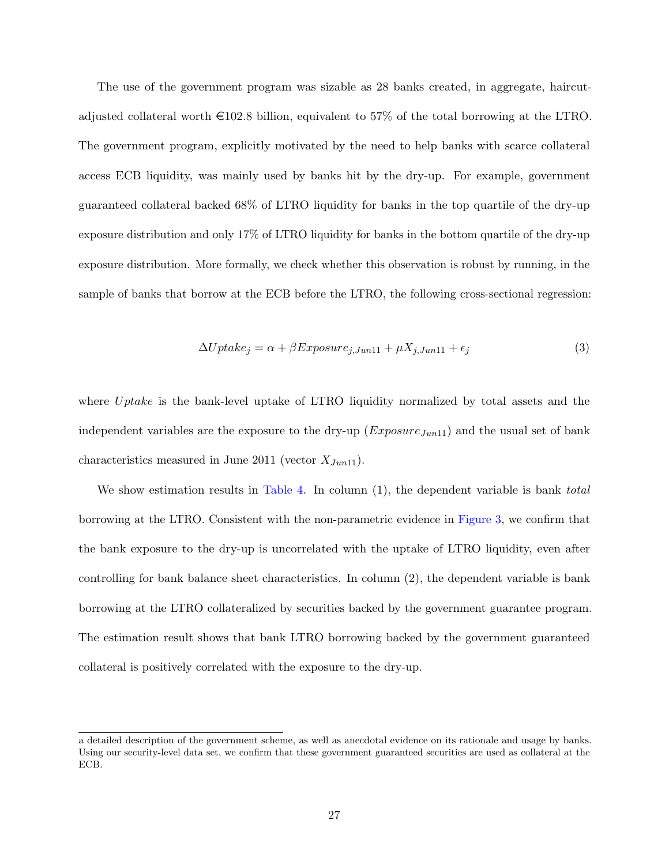The use of the government program was sizable as 28 banks created, in aggregate, haircutadjusted collateral worth  $\epsilon$ 102.8 billion, equivalent to 57% of the total borrowing at the LTRO. The government program, explicitly motivated by the need to help banks with scarce collateral access ECB liquidity, was mainly used by banks hit by the dry-up. For example, government guaranteed collateral backed 68% of LTRO liquidity for banks in the top quartile of the dry-up exposure distribution and only 17% of LTRO liquidity for banks in the bottom quartile of the dry-up exposure distribution. More formally, we check whether this observation is robust by running, in the sample of banks that borrow at the ECB before the LTRO, the following cross-sectional regression:

<span id="page-27-0"></span>
$$
\Delta Uptake_j = \alpha + \beta Exposure_{j, Jun11} + \mu X_{j, Jun11} + \epsilon_j \tag{3}
$$

where  $Uptake$  is the bank-level uptake of LTRO liquidity normalized by total assets and the independent variables are the exposure to the dry-up  $(Exposure_{Jun11})$  and the usual set of bank characteristics measured in June 2011 (vector  $X_{Jun11}$ ).

We show estimation results in [Table](#page-28-0) [4.](#page-28-0) In column (1), the dependent variable is bank *total* borrowing at the LTRO. Consistent with the non-parametric evidence in [Figure](#page-26-0) [3,](#page-26-0) we confirm that the bank exposure to the dry-up is uncorrelated with the uptake of LTRO liquidity, even after controlling for bank balance sheet characteristics. In column (2), the dependent variable is bank borrowing at the LTRO collateralized by securities backed by the government guarantee program. The estimation result shows that bank LTRO borrowing backed by the government guaranteed collateral is positively correlated with the exposure to the dry-up.

a detailed description of the government scheme, as well as anecdotal evidence on its rationale and usage by banks. Using our security-level data set, we confirm that these government guaranteed securities are used as collateral at the ECB.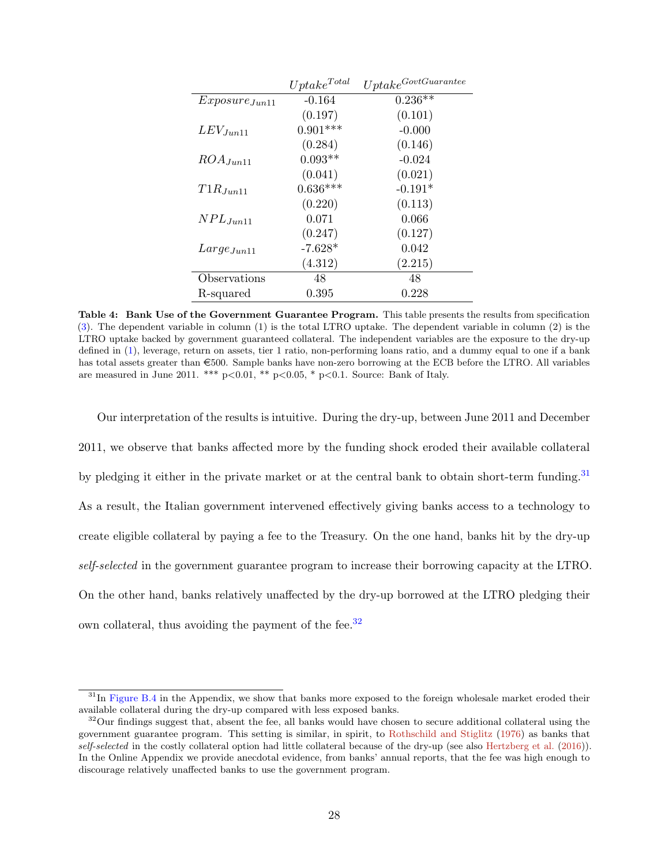<span id="page-28-0"></span>

|                    | $Uptake^{Total}$ | $\label{thm:opt} Up take GovtGuarantee$ |
|--------------------|------------------|-----------------------------------------|
| $Exposure_{Jun11}$ | $-0.164$         | $0.236**$                               |
|                    | (0.197)          | (0.101)                                 |
| $LEV_{Jun11}$      | $0.901***$       | $-0.000$                                |
|                    | (0.284)          | (0.146)                                 |
| $ROA_{Jun11}$      | $0.093**$        | $-0.024$                                |
|                    | (0.041)          | (0.021)                                 |
| $T1R_{Jun11}$      | $0.636***$       | $-0.191*$                               |
|                    | (0.220)          | (0.113)                                 |
| $NPL_{Jun11}$      | 0.071            | 0.066                                   |
|                    | (0.247)          | (0.127)                                 |
| $Large_{Jun11}$    | $-7.628*$        | 0.042                                   |
|                    | (4.312)          | (2.215)                                 |
| Observations       | 48               | 48                                      |
| R-squared          | 0.395            | 0.228                                   |

Table 4: Bank Use of the Government Guarantee Program. This table presents the results from specification [\(3\)](#page-27-0). The dependent variable in column (1) is the total LTRO uptake. The dependent variable in column (2) is the LTRO uptake backed by government guaranteed collateral. The independent variables are the exposure to the dry-up defined in [\(1\)](#page-18-0), leverage, return on assets, tier 1 ratio, non-performing loans ratio, and a dummy equal to one if a bank has total assets greater than  $\epsilon$ 500. Sample banks have non-zero borrowing at the ECB before the LTRO. All variables are measured in June 2011. \*\*\*  $p<0.01$ , \*\*  $p<0.05$ , \*  $p<0.1$ . Source: Bank of Italy.

Our interpretation of the results is intuitive. During the dry-up, between June 2011 and December 2011, we observe that banks affected more by the funding shock eroded their available collateral by pledging it either in the private market or at the central bank to obtain short-term funding.<sup>[31](#page-28-1)</sup> As a result, the Italian government intervened effectively giving banks access to a technology to create eligible collateral by paying a fee to the Treasury. On the one hand, banks hit by the dry-up self-selected in the government guarantee program to increase their borrowing capacity at the LTRO. On the other hand, banks relatively unaffected by the dry-up borrowed at the LTRO pledging their own collateral, thus avoiding the payment of the fee.[32](#page-28-2)

<span id="page-28-1"></span> $31$ In [Figure](#page-54-0) [B.4](#page-54-0) in the Appendix, we show that banks more exposed to the foreign wholesale market eroded their available collateral during the dry-up compared with less exposed banks.

<span id="page-28-2"></span> $32$ Our findings suggest that, absent the fee, all banks would have chosen to secure additional collateral using the government guarantee program. This setting is similar, in spirit, to [Rothschild and Stiglitz](#page-49-13) [\(1976\)](#page-49-13) as banks that self-selected in the costly collateral option had little collateral because of the dry-up (see also [Hertzberg et al.](#page-48-16) [\(2016\)](#page-48-16)). In the Online Appendix we provide anecdotal evidence, from banks' annual reports, that the fee was high enough to discourage relatively unaffected banks to use the government program.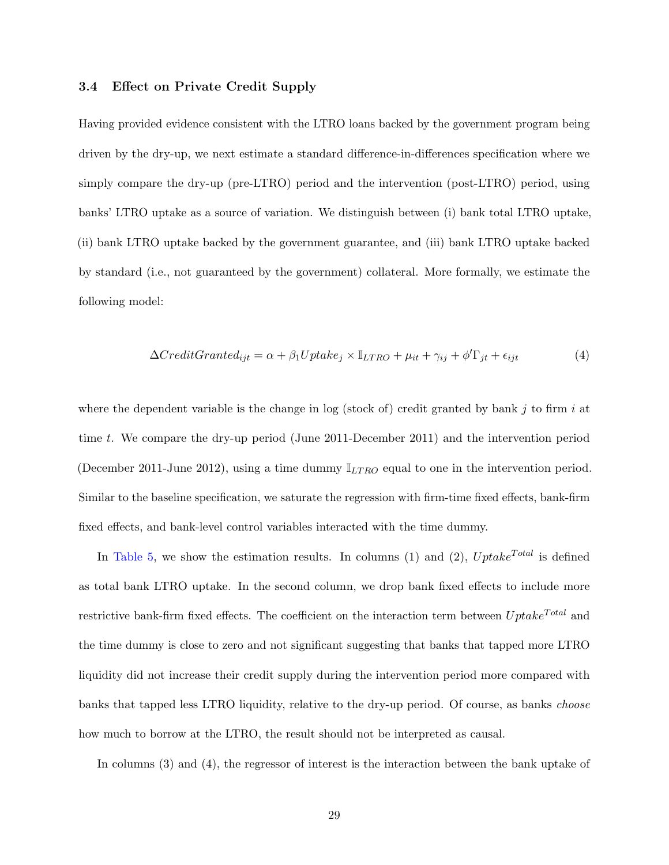#### <span id="page-29-0"></span>3.4 Effect on Private Credit Supply

Having provided evidence consistent with the LTRO loans backed by the government program being driven by the dry-up, we next estimate a standard difference-in-differences specification where we simply compare the dry-up (pre-LTRO) period and the intervention (post-LTRO) period, using banks' LTRO uptake as a source of variation. We distinguish between (i) bank total LTRO uptake, (ii) bank LTRO uptake backed by the government guarantee, and (iii) bank LTRO uptake backed by standard (i.e., not guaranteed by the government) collateral. More formally, we estimate the following model:

<span id="page-29-1"></span>
$$
\Delta CreditGranted_{ijt} = \alpha + \beta_1 Uptake_j \times \mathbb{I}_{LTRO} + \mu_{it} + \gamma_{ij} + \phi' \Gamma_{jt} + \epsilon_{ijt}
$$
\n
$$
\tag{4}
$$

where the dependent variable is the change in log (stock of) credit granted by bank j to firm i at time t. We compare the dry-up period (June 2011-December 2011) and the intervention period (December 2011-June 2012), using a time dummy  $\mathbb{I}_{LTRO}$  equal to one in the intervention period. Similar to the baseline specification, we saturate the regression with firm-time fixed effects, bank-firm fixed effects, and bank-level control variables interacted with the time dummy.

In [Table](#page-30-0) [5,](#page-30-0) we show the estimation results. In columns (1) and (2),  $Uptake<sup>Total</sup>$  is defined as total bank LTRO uptake. In the second column, we drop bank fixed effects to include more restrictive bank-firm fixed effects. The coefficient on the interaction term between  $Uptake<sup>Total</sup>$  and the time dummy is close to zero and not significant suggesting that banks that tapped more LTRO liquidity did not increase their credit supply during the intervention period more compared with banks that tapped less LTRO liquidity, relative to the dry-up period. Of course, as banks choose how much to borrow at the LTRO, the result should not be interpreted as causal.

In columns (3) and (4), the regressor of interest is the interaction between the bank uptake of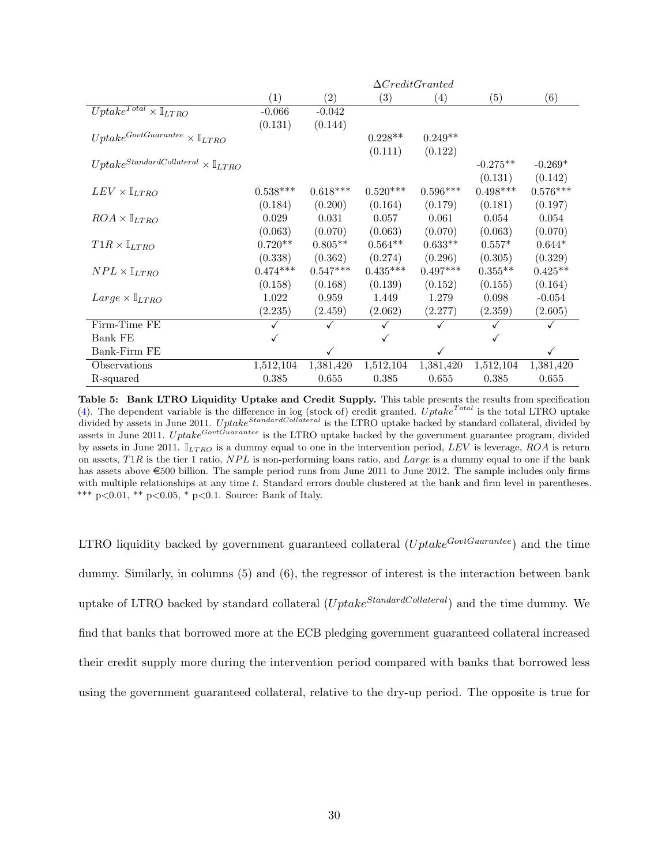<span id="page-30-0"></span>

|                                                        |            |              |            | $\Delta C$ reditGranted |            |              |
|--------------------------------------------------------|------------|--------------|------------|-------------------------|------------|--------------|
|                                                        | (1)        | (2)          | (3)        | $\left( 4\right)$       | (5)        | (6)          |
| $Uptake^{Total} \times \mathbb{I}_{LTRO}$              | $-0.066$   | $-0.042$     |            |                         |            |              |
|                                                        | (0.131)    | (0.144)      |            |                         |            |              |
| $Uptake^{GovtGuarantee} \times \mathbb{I}_{LTRO}$      |            |              | $0.228**$  | $0.249**$               |            |              |
|                                                        |            |              | (0.111)    | (0.122)                 |            |              |
| $Uptake^{StandardCollateral} \times \mathbb{I}_{LTRO}$ |            |              |            |                         | $-0.275**$ | $-0.269*$    |
|                                                        |            |              |            |                         | (0.131)    | (0.142)      |
| $LEV \times I_{LTRO}$                                  | $0.538***$ | $0.618***$   | $0.520***$ | $0.596***$              | $0.498***$ | $0.576***$   |
|                                                        | (0.184)    | (0.200)      | (0.164)    | (0.179)                 | (0.181)    | (0.197)      |
| $ROA \times \mathbb{I}_{LTRO}$                         | 0.029      | 0.031        | 0.057      | 0.061                   | 0.054      | 0.054        |
|                                                        | (0.063)    | (0.070)      | (0.063)    | (0.070)                 | (0.063)    | (0.070)      |
| $T1R \times \mathbb{I}_{LTRO}$                         | $0.720**$  | $0.805**$    | $0.564**$  | $0.633**$               | $0.557*$   | $0.644*$     |
|                                                        | (0.338)    | (0.362)      | (0.274)    | (0.296)                 | (0.305)    | (0.329)      |
| $NPL \times \mathbb{I}_{LTRO}$                         | $0.474***$ | $0.547***$   | $0.435***$ | $0.497***$              | $0.355**$  | $0.425**$    |
|                                                        | (0.158)    | (0.168)      | (0.139)    | (0.152)                 | (0.155)    | (0.164)      |
| $Large \times \mathbb{I}_{LTRO}$                       | 1.022      | 0.959        | 1.449      | 1.279                   | 0.098      | $-0.054$     |
|                                                        | (2.235)    | (2.459)      | (2.062)    | (2.277)                 | (2.359)    | (2.605)      |
| Firm-Time FE                                           | ✓          | $\checkmark$ |            | ✓                       |            | $\checkmark$ |
| Bank FE                                                | ✓          |              |            |                         |            |              |
| Bank-Firm FE                                           |            | $\checkmark$ |            | $\checkmark$            |            | ✓            |
| Observations                                           | 1,512,104  | 1,381,420    | 1,512,104  | 1,381,420               | 1,512,104  | 1,381,420    |
| R-squared                                              | 0.385      | 0.655        | 0.385      | 0.655                   | 0.385      | 0.655        |

Table 5: Bank LTRO Liquidity Uptake and Credit Supply. This table presents the results from specification [\(4\)](#page-29-1). The dependent variable is the difference in log (stock of) credit granted. Uptake<sup>Total</sup> is the total LTRO uptake divided by assets in June 2011.  $Update^{StandardCollateral}$  is the LTRO uptake backed by standard collateral, divided by assets in June 2011. Uptake<sup>GovtGuarantee</sup> is the LTRO uptake backed by the government guarantee program, divided by assets in June 2011.  $\mathbb{I}_{LTRO}$  is a dummy equal to one in the intervention period, LEV is leverage, ROA is return on assets,  $T1R$  is the tier 1 ratio,  $NPL$  is non-performing loans ratio, and Large is a dummy equal to one if the bank has assets above  $\epsilon$ 500 billion. The sample period runs from June 2011 to June 2012. The sample includes only firms with multiple relationships at any time t. Standard errors double clustered at the bank and firm level in parentheses. \*\*\* p<0.01, \*\* p<0.05, \* p<0.1. Source: Bank of Italy.

LTRO liquidity backed by government guaranteed collateral  $(Uptake^{GovtGuarantee})$  and the time dummy. Similarly, in columns (5) and (6), the regressor of interest is the interaction between bank uptake of LTRO backed by standard collateral  $(Uptake^{StandardCollateral})$  and the time dummy. We find that banks that borrowed more at the ECB pledging government guaranteed collateral increased their credit supply more during the intervention period compared with banks that borrowed less using the government guaranteed collateral, relative to the dry-up period. The opposite is true for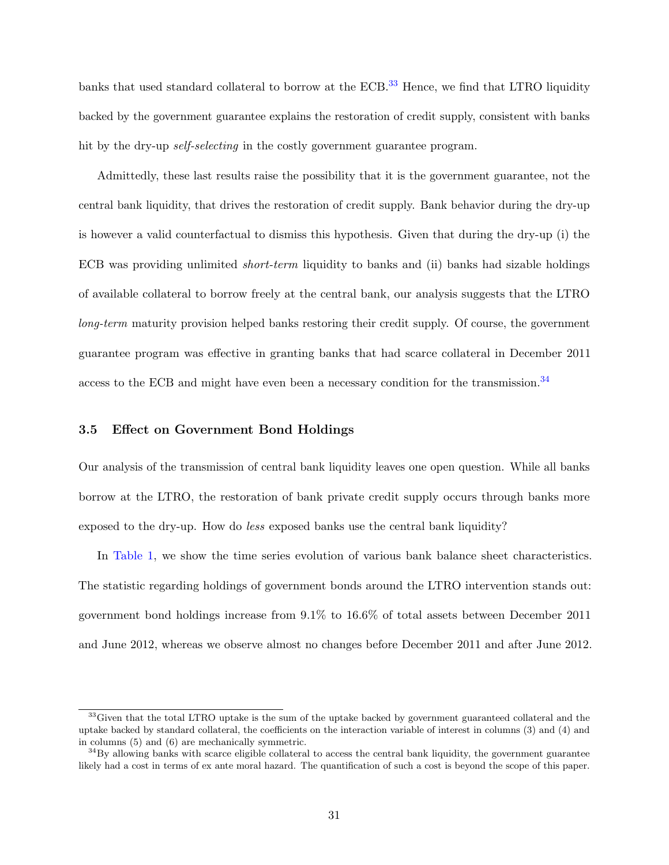banks that used standard collateral to borrow at the ECB.<sup>[33](#page-31-1)</sup> Hence, we find that LTRO liquidity backed by the government guarantee explains the restoration of credit supply, consistent with banks hit by the dry-up *self-selecting* in the costly government guarantee program.

Admittedly, these last results raise the possibility that it is the government guarantee, not the central bank liquidity, that drives the restoration of credit supply. Bank behavior during the dry-up is however a valid counterfactual to dismiss this hypothesis. Given that during the dry-up (i) the ECB was providing unlimited short-term liquidity to banks and (ii) banks had sizable holdings of available collateral to borrow freely at the central bank, our analysis suggests that the LTRO long-term maturity provision helped banks restoring their credit supply. Of course, the government guarantee program was effective in granting banks that had scarce collateral in December 2011 access to the ECB and might have even been a necessary condition for the transmission.<sup>[34](#page-31-2)</sup>

#### <span id="page-31-0"></span>3.5 Effect on Government Bond Holdings

Our analysis of the transmission of central bank liquidity leaves one open question. While all banks borrow at the LTRO, the restoration of bank private credit supply occurs through banks more exposed to the dry-up. How do less exposed banks use the central bank liquidity?

In [Table](#page-14-0) [1,](#page-14-0) we show the time series evolution of various bank balance sheet characteristics. The statistic regarding holdings of government bonds around the LTRO intervention stands out: government bond holdings increase from 9.1% to 16.6% of total assets between December 2011 and June 2012, whereas we observe almost no changes before December 2011 and after June 2012.

<span id="page-31-1"></span><sup>&</sup>lt;sup>33</sup>Given that the total LTRO uptake is the sum of the uptake backed by government guaranteed collateral and the uptake backed by standard collateral, the coefficients on the interaction variable of interest in columns (3) and (4) and in columns (5) and (6) are mechanically symmetric.

<span id="page-31-2"></span> $34\text{By allowing banks with scarce eligible collateral to access the central bank liquidity, the government guarantee.}$ likely had a cost in terms of ex ante moral hazard. The quantification of such a cost is beyond the scope of this paper.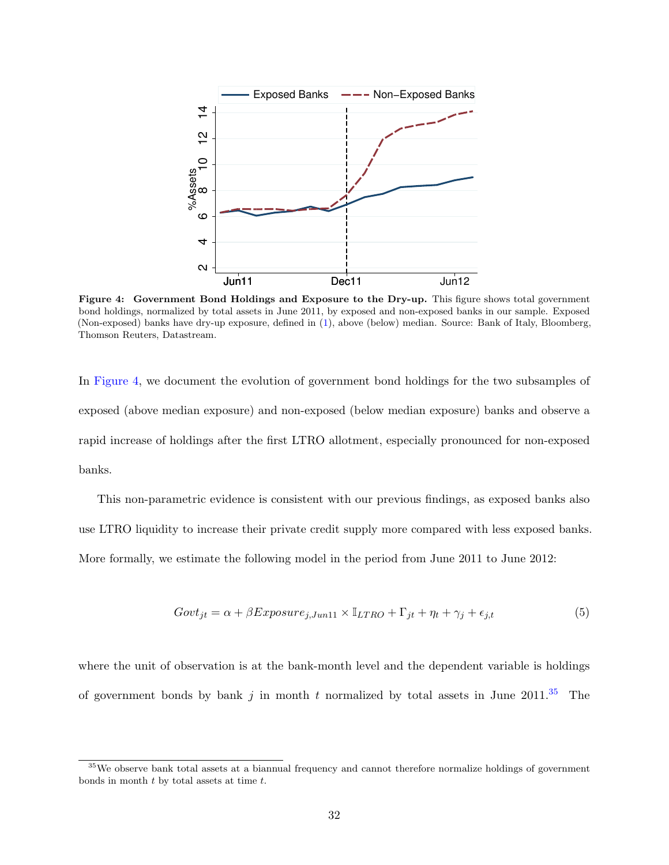<span id="page-32-0"></span>

Figure 4: Government Bond Holdings and Exposure to the Dry-up. This figure shows total government bond holdings, normalized by total assets in June 2011, by exposed and non-exposed banks in our sample. Exposed (Non-exposed) banks have dry-up exposure, defined in [\(1\)](#page-18-0), above (below) median. Source: Bank of Italy, Bloomberg, Thomson Reuters, Datastream.

In [Figure](#page-32-0) [4,](#page-32-0) we document the evolution of government bond holdings for the two subsamples of exposed (above median exposure) and non-exposed (below median exposure) banks and observe a rapid increase of holdings after the first LTRO allotment, especially pronounced for non-exposed banks.

This non-parametric evidence is consistent with our previous findings, as exposed banks also use LTRO liquidity to increase their private credit supply more compared with less exposed banks. More formally, we estimate the following model in the period from June 2011 to June 2012:

<span id="page-32-2"></span>
$$
Govt_{jt} = \alpha + \beta Exposure_{j, Jun11} \times \mathbb{I}_{LTRO} + \Gamma_{jt} + \eta_t + \gamma_j + \epsilon_{j,t}
$$
\n
$$
\tag{5}
$$

where the unit of observation is at the bank-month level and the dependent variable is holdings of government bonds by bank j in month t normalized by total assets in June  $2011^{35}$  $2011^{35}$  $2011^{35}$  The

<span id="page-32-1"></span><sup>&</sup>lt;sup>35</sup>We observe bank total assets at a biannual frequency and cannot therefore normalize holdings of government bonds in month  $t$  by total assets at time  $t$ .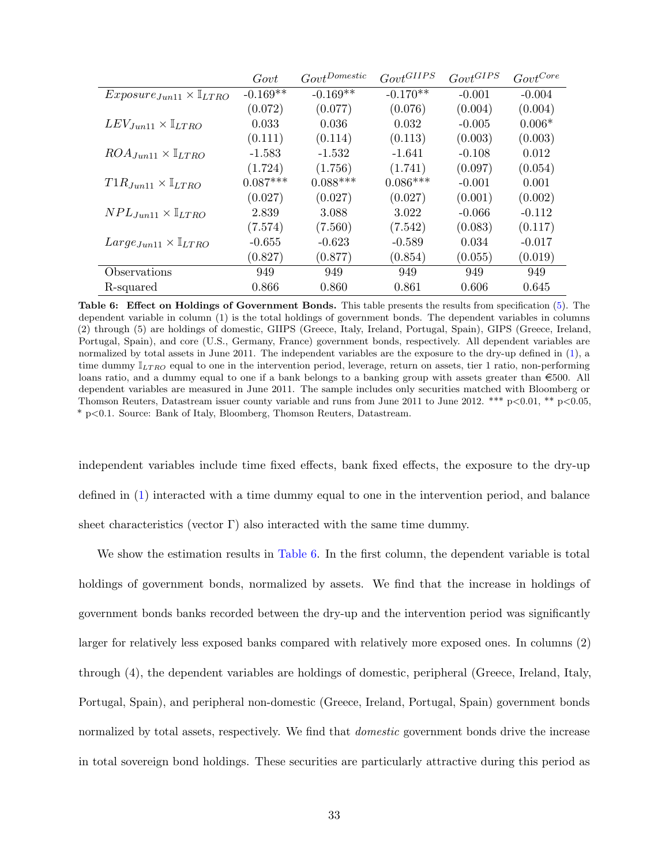<span id="page-33-0"></span>

|                                             | Govt       | $Govt^{Domestic}$ | $Govt^{GIIPS}$ | $Gov t^{GIPS}$ | $Govt^{Core}$ |
|---------------------------------------------|------------|-------------------|----------------|----------------|---------------|
| $Exposure_{Jun11} \times \mathbb{I}_{LTRO}$ | $-0.169**$ | $-0.169**$        | $-0.170**$     | $-0.001$       | $-0.004$      |
|                                             | (0.072)    | (0.077)           | (0.076)        | (0.004)        | (0.004)       |
| $LEV_{Jun11} \times \mathbb{I}_{LTRO}$      | 0.033      | 0.036             | 0.032          | $-0.005$       | $0.006*$      |
|                                             | (0.111)    | (0.114)           | (0.113)        | (0.003)        | (0.003)       |
| $ROA_{Jun11} \times \mathbb{I}_{LTRO}$      | $-1.583$   | $-1.532$          | $-1.641$       | $-0.108$       | 0.012         |
|                                             | (1.724)    | (1.756)           | (1.741)        | (0.097)        | (0.054)       |
| $T1R_{Jun11} \times \mathbb{I}_{LTRO}$      | $0.087***$ | $0.088***$        | $0.086***$     | $-0.001$       | 0.001         |
|                                             | (0.027)    | (0.027)           | (0.027)        | (0.001)        | (0.002)       |
| $NPL_{Jun11} \times \mathbb{I}_{LTRO}$      | 2.839      | 3.088             | 3.022          | $-0.066$       | $-0.112$      |
|                                             | (7.574)    | (7.560)           | (7.542)        | (0.083)        | (0.117)       |
| $Large_{Jun11} \times \mathbb{I}_{LTRO}$    | $-0.655$   | $-0.623$          | $-0.589$       | 0.034          | $-0.017$      |
|                                             | (0.827)    | (0.877)           | (0.854)        | (0.055)        | (0.019)       |
| Observations                                | 949        | 949               | 949            | 949            | 949           |
| R-squared                                   | 0.866      | 0.860             | 0.861          | 0.606          | 0.645         |

Table 6: Effect on Holdings of Government Bonds. This table presents the results from specification [\(5\)](#page-32-2). The dependent variable in column (1) is the total holdings of government bonds. The dependent variables in columns (2) through (5) are holdings of domestic, GIIPS (Greece, Italy, Ireland, Portugal, Spain), GIPS (Greece, Ireland, Portugal, Spain), and core (U.S., Germany, France) government bonds, respectively. All dependent variables are normalized by total assets in June 2011. The independent variables are the exposure to the dry-up defined in [\(1\)](#page-18-0), a time dummy  $\mathbb{I}_{LTRO}$  equal to one in the intervention period, leverage, return on assets, tier 1 ratio, non-performing loans ratio, and a dummy equal to one if a bank belongs to a banking group with assets greater than  $\epsilon$ 500. All dependent variables are measured in June 2011. The sample includes only securities matched with Bloomberg or Thomson Reuters, Datastream issuer county variable and runs from June 2011 to June 2012. \*\*\*  $p<0.01$ , \*\*  $p<0.05$ , \* p<0.1. Source: Bank of Italy, Bloomberg, Thomson Reuters, Datastream.

independent variables include time fixed effects, bank fixed effects, the exposure to the dry-up defined in [\(1\)](#page-18-0) interacted with a time dummy equal to one in the intervention period, and balance sheet characteristics (vector  $\Gamma$ ) also interacted with the same time dummy.

We show the estimation results in [Table](#page-33-0) [6.](#page-33-0) In the first column, the dependent variable is total holdings of government bonds, normalized by assets. We find that the increase in holdings of government bonds banks recorded between the dry-up and the intervention period was significantly larger for relatively less exposed banks compared with relatively more exposed ones. In columns (2) through (4), the dependent variables are holdings of domestic, peripheral (Greece, Ireland, Italy, Portugal, Spain), and peripheral non-domestic (Greece, Ireland, Portugal, Spain) government bonds normalized by total assets, respectively. We find that *domestic* government bonds drive the increase in total sovereign bond holdings. These securities are particularly attractive during this period as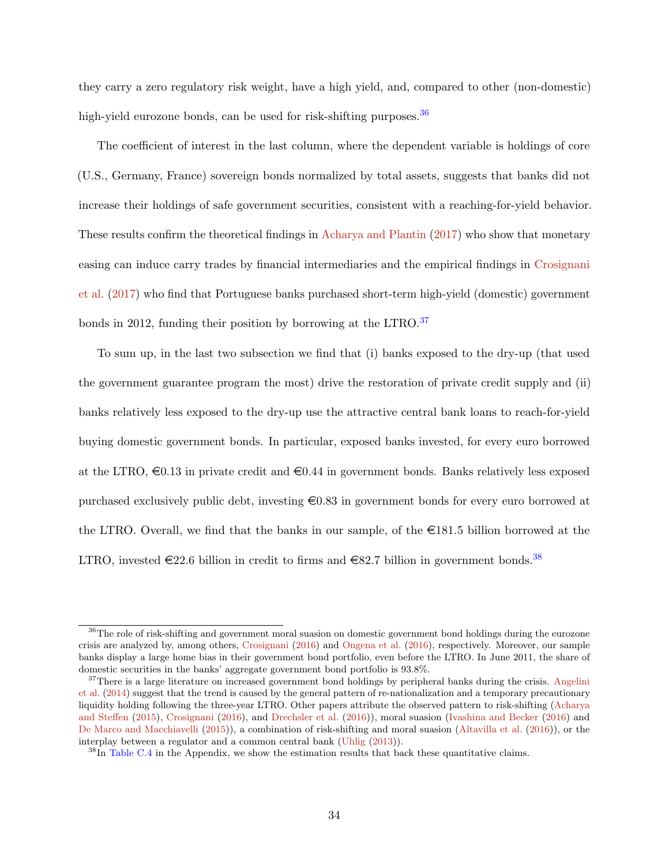they carry a zero regulatory risk weight, have a high yield, and, compared to other (non-domestic) high-yield eurozone bonds, can be used for risk-shifting purposes.  $36$ 

The coefficient of interest in the last column, where the dependent variable is holdings of core (U.S., Germany, France) sovereign bonds normalized by total assets, suggests that banks did not increase their holdings of safe government securities, consistent with a reaching-for-yield behavior. These results confirm the theoretical findings in [Acharya and Plantin](#page-46-15) [\(2017\)](#page-46-15) who show that monetary easing can induce carry trades by financial intermediaries and the empirical findings in [Crosignani](#page-47-13) [et al.](#page-47-13) [\(2017\)](#page-47-13) who find that Portuguese banks purchased short-term high-yield (domestic) government bonds in 2012, funding their position by borrowing at the LTRO.[37](#page-34-1)

To sum up, in the last two subsection we find that (i) banks exposed to the dry-up (that used the government guarantee program the most) drive the restoration of private credit supply and (ii) banks relatively less exposed to the dry-up use the attractive central bank loans to reach-for-yield buying domestic government bonds. In particular, exposed banks invested, for every euro borrowed at the LTRO,  $\epsilon$ 0.13 in private credit and  $\epsilon$ 0.44 in government bonds. Banks relatively less exposed purchased exclusively public debt, investing  $\epsilon 0.83$  in government bonds for every euro borrowed at the LTRO. Overall, we find that the banks in our sample, of the  $\epsilon$ 181.5 billion borrowed at the LTRO, invested  $\in 22.6$  billion in credit to firms and  $\in 82.7$  billion in government bonds.<sup>[38](#page-34-2)</sup>

<span id="page-34-0"></span><sup>&</sup>lt;sup>36</sup>The role of risk-shifting and government moral suasion on domestic government bond holdings during the eurozone crisis are analyzed by, among others, [Crosignani](#page-47-17) [\(2016\)](#page-47-17) and [Ongena et al.](#page-49-14) [\(2016\)](#page-49-14), respectively. Moreover, our sample banks display a large home bias in their government bond portfolio, even before the LTRO. In June 2011, the share of domestic securities in the banks' aggregate government bond portfolio is 93.8%.

<span id="page-34-1"></span><sup>&</sup>lt;sup>37</sup>There is a large literature on increased government bond holdings by peripheral banks during the crisis. [Angelini](#page-46-16) [et al.](#page-46-16) [\(2014\)](#page-46-16) suggest that the trend is caused by the general pattern of re-nationalization and a temporary precautionary liquidity holding following the three-year LTRO. Other papers attribute the observed pattern to risk-shifting [\(Acharya](#page-46-17) [and Steffen](#page-46-17) [\(2015\)](#page-46-17), [Crosignani](#page-47-17) [\(2016\)](#page-47-17), and [Drechsler et al.](#page-48-14) [\(2016\)](#page-48-14)), moral suasion [\(Ivashina and Becker](#page-48-17) [\(2016\)](#page-48-17) and [De Marco and Macchiavelli](#page-47-18) [\(2015\)](#page-47-18)), a combination of risk-shifting and moral suasion [\(Altavilla et al.](#page-46-18) [\(2016\)](#page-46-18)), or the interplay between a regulator and a common central bank [\(Uhlig](#page-49-15) [\(2013\)](#page-49-15)).

<span id="page-34-2"></span> $38$ In [Table](#page-57-0) [C.4](#page-57-0) in the Appendix, we show the estimation results that back these quantitative claims.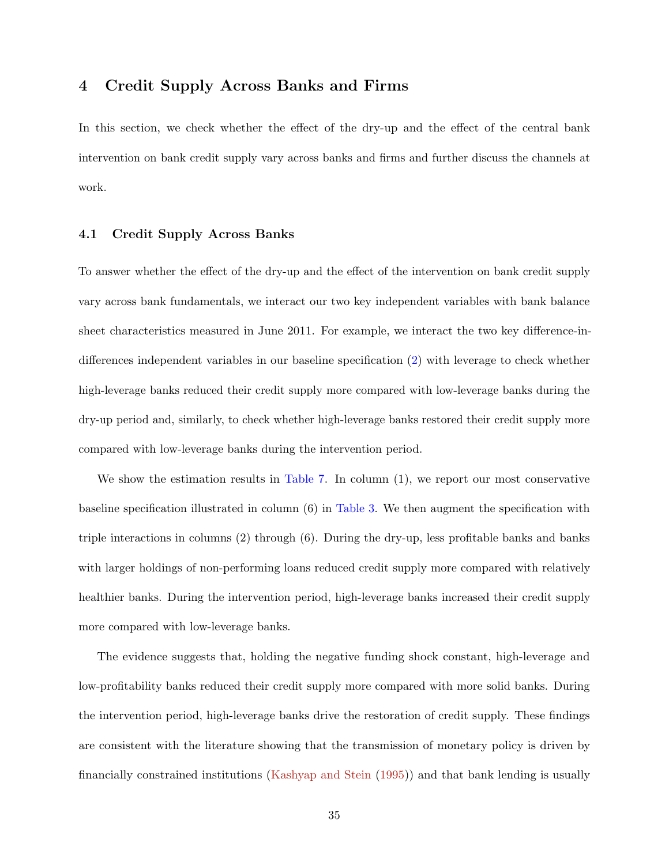## <span id="page-35-0"></span>4 Credit Supply Across Banks and Firms

In this section, we check whether the effect of the dry-up and the effect of the central bank intervention on bank credit supply vary across banks and firms and further discuss the channels at work.

#### 4.1 Credit Supply Across Banks

To answer whether the effect of the dry-up and the effect of the intervention on bank credit supply vary across bank fundamentals, we interact our two key independent variables with bank balance sheet characteristics measured in June 2011. For example, we interact the two key difference-indifferences independent variables in our baseline specification [\(2\)](#page-21-1) with leverage to check whether high-leverage banks reduced their credit supply more compared with low-leverage banks during the dry-up period and, similarly, to check whether high-leverage banks restored their credit supply more compared with low-leverage banks during the intervention period.

We show the estimation results in [Table](#page-36-0) [7.](#page-36-0) In column  $(1)$ , we report our most conservative baseline specification illustrated in column (6) in [Table](#page-23-0) [3.](#page-23-0) We then augment the specification with triple interactions in columns (2) through (6). During the dry-up, less profitable banks and banks with larger holdings of non-performing loans reduced credit supply more compared with relatively healthier banks. During the intervention period, high-leverage banks increased their credit supply more compared with low-leverage banks.

The evidence suggests that, holding the negative funding shock constant, high-leverage and low-profitability banks reduced their credit supply more compared with more solid banks. During the intervention period, high-leverage banks drive the restoration of credit supply. These findings are consistent with the literature showing that the transmission of monetary policy is driven by financially constrained institutions [\(Kashyap and Stein](#page-49-3) [\(1995\)](#page-49-3)) and that bank lending is usually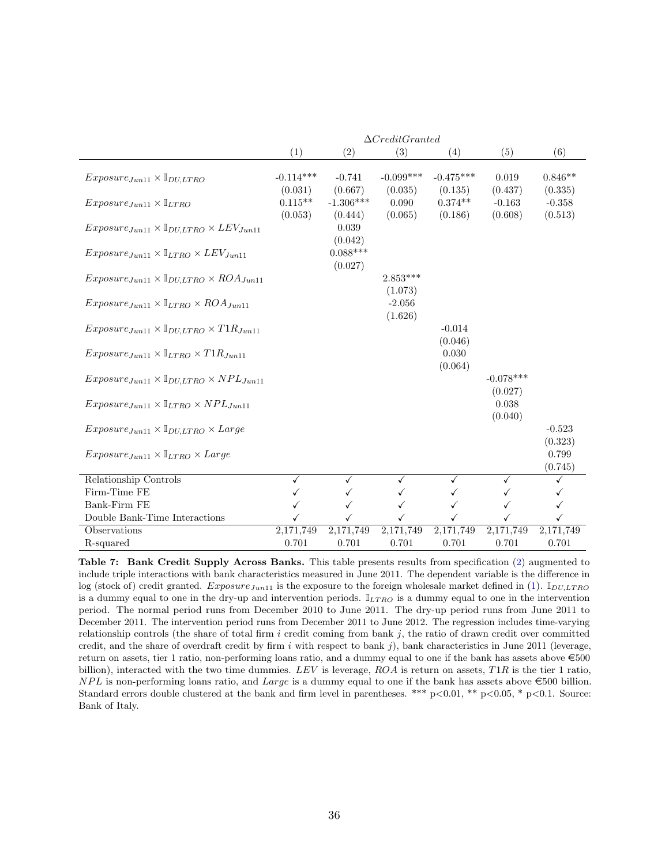<span id="page-36-0"></span>

|                                                                    |             |             | $\Delta C$ redit $Granted$ |             |             |           |
|--------------------------------------------------------------------|-------------|-------------|----------------------------|-------------|-------------|-----------|
|                                                                    | (1)         | (2)         | $\left( 3\right)$          | (4)         | (5)         | (6)       |
|                                                                    |             |             |                            |             |             |           |
| $Exposure_{Jun11} \times \mathbb{I}_{DU, LTRO}$                    | $-0.114***$ | $-0.741$    | $-0.099***$                | $-0.475***$ | 0.019       | $0.846**$ |
|                                                                    | (0.031)     | (0.667)     | (0.035)                    | (0.135)     | (0.437)     | (0.335)   |
| $Exposure_{Jun11} \times \mathbb{I}_{LTRO}$                        | $0.115**$   | $-1.306***$ | 0.090                      | $0.374**$   | $-0.163$    | $-0.358$  |
|                                                                    | (0.053)     | (0.444)     | (0.065)                    | (0.186)     | (0.608)     | (0.513)   |
| $Exposure_{Jun11} \times \mathbb{I}_{DU, LTRO} \times LEV_{Jun11}$ |             | 0.039       |                            |             |             |           |
|                                                                    |             | (0.042)     |                            |             |             |           |
| $Exposure_{Jun11} \times \mathbb{I}_{LTRO} \times LEV_{Jun11}$     |             | $0.088***$  |                            |             |             |           |
|                                                                    |             | (0.027)     |                            |             |             |           |
| $Exposure_{Jun11} \times \mathbb{I}_{DU, LTRO} \times ROA_{Jun11}$ |             |             | $2.853***$                 |             |             |           |
|                                                                    |             |             | (1.073)                    |             |             |           |
| $Exposure_{Jun11} \times \mathbb{I}_{LTRO} \times ROA_{Jun11}$     |             |             | $-2.056$                   |             |             |           |
|                                                                    |             |             | (1.626)                    |             |             |           |
| $Exposure_{Jun11} \times \mathbb{I}_{DU, LTRO} \times T1R_{Jun11}$ |             |             |                            | $-0.014$    |             |           |
|                                                                    |             |             |                            | (0.046)     |             |           |
| $Exposure_{Jun11} \times \mathbb{I}_{LTRO} \times T1R_{Jun11}$     |             |             |                            | 0.030       |             |           |
|                                                                    |             |             |                            | (0.064)     |             |           |
|                                                                    |             |             |                            |             | $-0.078***$ |           |
| $Exposure_{Jun11} \times \mathbb{I}_{DU, LTRO} \times NPL_{Jun11}$ |             |             |                            |             |             |           |
|                                                                    |             |             |                            |             | (0.027)     |           |
| $Exposure_{Jun11} \times \mathbb{I}_{LTRO} \times NPL_{Jun11}$     |             |             |                            |             | 0.038       |           |
|                                                                    |             |             |                            |             | (0.040)     |           |
| $Exposure_{Jun11} \times \mathbb{I}_{DU,LTRO} \times Large$        |             |             |                            |             |             | $-0.523$  |
|                                                                    |             |             |                            |             |             | (0.323)   |
| $Exposure_{Jun11} \times \mathbb{I}_{LTRO} \times Large$           |             |             |                            |             |             | 0.799     |
|                                                                    |             |             |                            |             |             | (0.745)   |
| Relationship Controls                                              |             | ✓           |                            |             | ✓           | ✓         |
| Firm-Time FE                                                       |             |             |                            |             |             |           |
| Bank-Firm FE                                                       |             |             |                            |             |             | ✓         |
| Double Bank-Time Interactions                                      |             |             |                            |             |             |           |
| Observations                                                       | 2,171,749   | 2,171,749   | 2,171,749                  | 2,171,749   | 2,171,749   | 2,171,749 |
| R-squared                                                          | 0.701       | 0.701       | 0.701                      | 0.701       | 0.701       | 0.701     |

Table 7: Bank Credit Supply Across Banks. This table presents results from specification [\(2\)](#page-21-1) augmented to include triple interactions with bank characteristics measured in June 2011. The dependent variable is the difference in log (stock of) credit granted. Exposure  $J_{un11}$  is the exposure to the foreign wholesale market defined in [\(1\)](#page-18-0).  $\mathbb{I}_{DU,LTRO}$ is a dummy equal to one in the dry-up and intervention periods.  $\mathbb{I}_{LTRO}$  is a dummy equal to one in the intervention period. The normal period runs from December 2010 to June 2011. The dry-up period runs from June 2011 to December 2011. The intervention period runs from December 2011 to June 2012. The regression includes time-varying relationship controls (the share of total firm i credit coming from bank  $j$ , the ratio of drawn credit over committed credit, and the share of overdraft credit by firm i with respect to bank j), bank characteristics in June 2011 (leverage, return on assets, tier 1 ratio, non-performing loans ratio, and a dummy equal to one if the bank has assets above  $\epsilon$ 500 billion), interacted with the two time dummies. LEV is leverage,  $ROA$  is return on assets,  $T1R$  is the tier 1 ratio,  $NPL$  is non-performing loans ratio, and Large is a dummy equal to one if the bank has assets above  $\epsilon$ 500 billion. Standard errors double clustered at the bank and firm level in parentheses. \*\*\*  $p < 0.01$ , \*\*  $p < 0.05$ , \*  $p < 0.1$ . Source: Bank of Italy.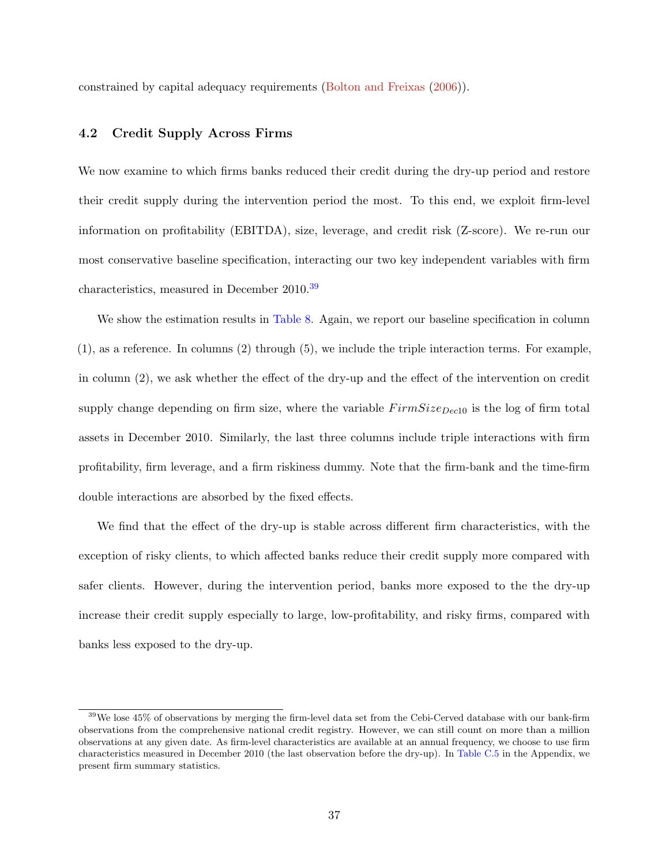constrained by capital adequacy requirements [\(Bolton and Freixas](#page-47-19) [\(2006\)](#page-47-19)).

#### <span id="page-37-0"></span>4.2 Credit Supply Across Firms

We now examine to which firms banks reduced their credit during the dry-up period and restore their credit supply during the intervention period the most. To this end, we exploit firm-level information on profitability (EBITDA), size, leverage, and credit risk (Z-score). We re-run our most conservative baseline specification, interacting our two key independent variables with firm characteristics, measured in December 2010.[39](#page-37-1)

We show the estimation results in [Table](#page-38-0) [8.](#page-38-0) Again, we report our baseline specification in column (1), as a reference. In columns (2) through (5), we include the triple interaction terms. For example, in column (2), we ask whether the effect of the dry-up and the effect of the intervention on credit supply change depending on firm size, where the variable  $FirmSize_{\text{Decl}}$  is the log of firm total assets in December 2010. Similarly, the last three columns include triple interactions with firm profitability, firm leverage, and a firm riskiness dummy. Note that the firm-bank and the time-firm double interactions are absorbed by the fixed effects.

We find that the effect of the dry-up is stable across different firm characteristics, with the exception of risky clients, to which affected banks reduce their credit supply more compared with safer clients. However, during the intervention period, banks more exposed to the the dry-up increase their credit supply especially to large, low-profitability, and risky firms, compared with banks less exposed to the dry-up.

<span id="page-37-1"></span><sup>39</sup>We lose 45% of observations by merging the firm-level data set from the Cebi-Cerved database with our bank-firm observations from the comprehensive national credit registry. However, we can still count on more than a million observations at any given date. As firm-level characteristics are available at an annual frequency, we choose to use firm characteristics measured in December 2010 (the last observation before the dry-up). In [Table](#page-58-0) [C.5](#page-58-0) in the Appendix, we present firm summary statistics.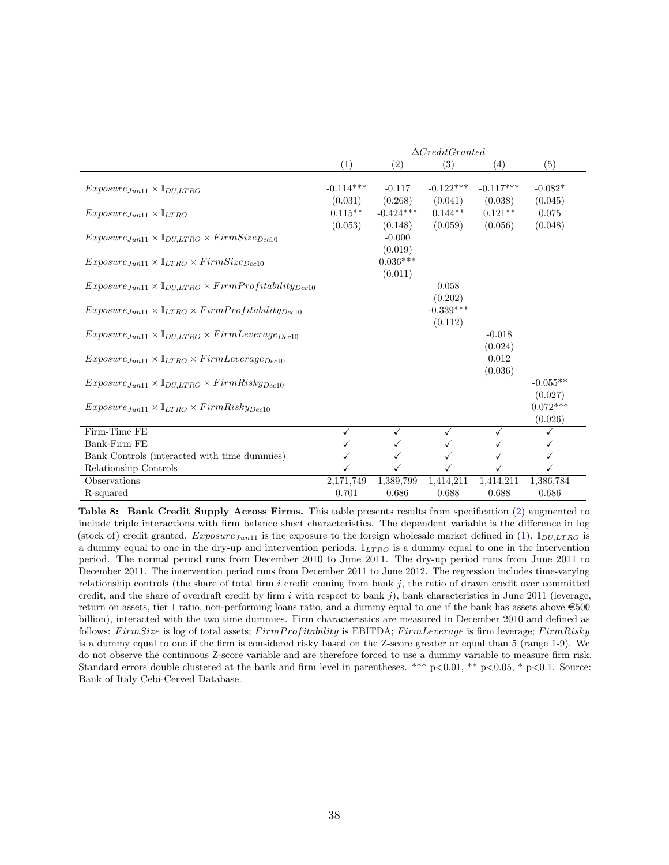<span id="page-38-0"></span>

|                                                                                 | $\Delta C$ redit $Granted$ |                                |                        |                        |                       |  |  |  |  |
|---------------------------------------------------------------------------------|----------------------------|--------------------------------|------------------------|------------------------|-----------------------|--|--|--|--|
|                                                                                 | (1)                        | (2)                            | (3)                    | (4)                    | (5)                   |  |  |  |  |
| $Exposure_{Jun11} \times \mathbb{I}_{DU, LTRO}$                                 | $-0.114***$<br>(0.031)     | $-0.117$<br>(0.268)            | $-0.122***$<br>(0.041) | $-0.117***$<br>(0.038) | $-0.082*$<br>(0.045)  |  |  |  |  |
| $Exposure_{Jun11} \times \mathbb{I}_{LTRO}$                                     | $0.115**$                  | $-0.424***$                    | $0.144**$              | $0.121**$              | 0.075                 |  |  |  |  |
| $Exposure_{Jun11} \times \mathbb{I}_{DULTRO} \times FirmSize_{Dec10}$           | (0.053)                    | (0.148)<br>$-0.000$<br>(0.019) | (0.059)                | (0.056)                | (0.048)               |  |  |  |  |
| $Exposure_{Jun11} \times \mathbb{I}_{LTRO} \times FirmSize_{Dec10}$             |                            | $0.036***$<br>(0.011)          |                        |                        |                       |  |  |  |  |
| $Exposure_{Jun11} \times \mathbb{I}_{DU,LTRO} \times FirmProfitability_{Dec10}$ |                            |                                | 0.058<br>(0.202)       |                        |                       |  |  |  |  |
| $Exposure_{Jun11} \times \mathbb{I}_{LTRO} \times FirmProfitability_{Dec10}$    |                            |                                | $-0.339***$<br>(0.112) |                        |                       |  |  |  |  |
| $Exposure_{Jun11} \times \mathbb{I}_{DU, LTRO} \times FirmLeverage_{Dec10}$     |                            |                                |                        | $-0.018$<br>(0.024)    |                       |  |  |  |  |
| $Exposure_{Jun11} \times \mathbb{I}_{LTRO} \times FirmLeverage_{Dec10}$         |                            |                                |                        | 0.012<br>(0.036)       |                       |  |  |  |  |
| $Exposure_{Jun11} \times \mathbb{I}_{DULTRO} \times FirmRisky_{Dec10}$          |                            |                                |                        |                        | $-0.055**$<br>(0.027) |  |  |  |  |
| $Exposure_{Jun11} \times \mathbb{I}_{LTRO} \times FirmRisky_{Dec10}$            |                            |                                |                        |                        | $0.072***$<br>(0.026) |  |  |  |  |
| Firm-Time FE                                                                    |                            | ✓                              |                        |                        |                       |  |  |  |  |
| Bank-Firm FE                                                                    |                            |                                |                        |                        |                       |  |  |  |  |
| Bank Controls (interacted with time dummies)                                    |                            |                                |                        |                        |                       |  |  |  |  |
| Relationship Controls                                                           |                            |                                |                        |                        |                       |  |  |  |  |
| Observations                                                                    | 2,171,749                  | 1,389,799                      | 1,414,211              | 1,414,211              | 1,386,784             |  |  |  |  |
| R-squared                                                                       | 0.701                      | 0.686                          | 0.688                  | 0.688                  | 0.686                 |  |  |  |  |

Table 8: Bank Credit Supply Across Firms. This table presents results from specification [\(2\)](#page-21-1) augmented to include triple interactions with firm balance sheet characteristics. The dependent variable is the difference in log (stock of) credit granted.  $Exposure_{Jun11}$  is the exposure to the foreign wholesale market defined in [\(1\)](#page-18-0).  $\mathbb{I}_{DU,LTRO}$  is a dummy equal to one in the dry-up and intervention periods.  $\mathbb{I}_{LTRO}$  is a dummy equal to one in the intervention period. The normal period runs from December 2010 to June 2011. The dry-up period runs from June 2011 to December 2011. The intervention period runs from December 2011 to June 2012. The regression includes time-varying relationship controls (the share of total firm  $i$  credit coming from bank  $j$ , the ratio of drawn credit over committed credit, and the share of overdraft credit by firm i with respect to bank j), bank characteristics in June 2011 (leverage, return on assets, tier 1 ratio, non-performing loans ratio, and a dummy equal to one if the bank has assets above  $\epsilon$ 500 billion), interacted with the two time dummies. Firm characteristics are measured in December 2010 and defined as follows: FirmSize is log of total assets;  $F \text{irmProfitability}$  is EBITDA;  $F \text{irmLeverage}$  is firm leverage;  $F \text{irmRisky}$ is a dummy equal to one if the firm is considered risky based on the Z-score greater or equal than 5 (range 1-9). We do not observe the continuous Z-score variable and are therefore forced to use a dummy variable to measure firm risk. Standard errors double clustered at the bank and firm level in parentheses. \*\*\*  $p<0.01$ , \*\*  $p<0.05$ , \*  $p<0.1$ . Source: Bank of Italy Cebi-Cerved Database.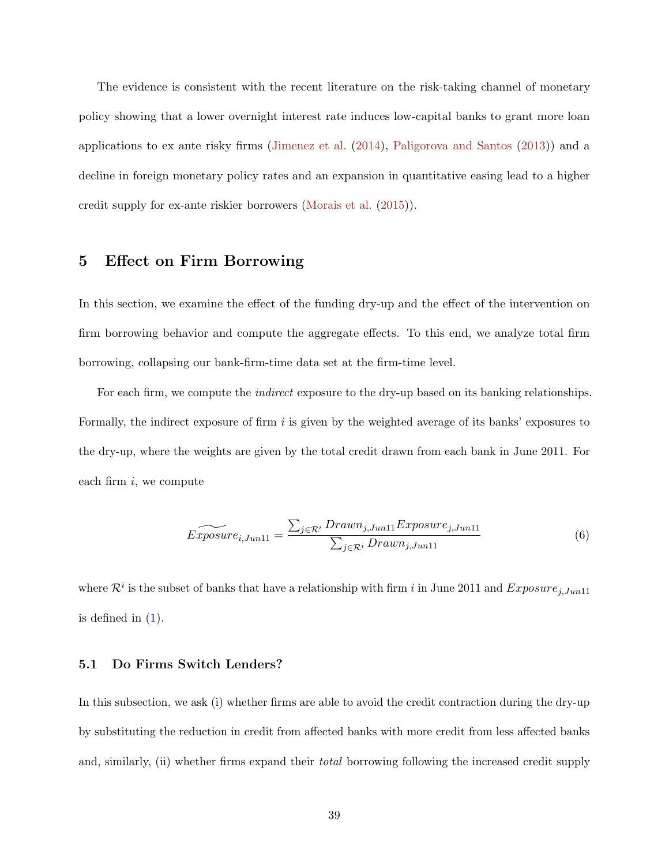The evidence is consistent with the recent literature on the risk-taking channel of monetary policy showing that a lower overnight interest rate induces low-capital banks to grant more loan applications to ex ante risky firms [\(Jimenez et al.](#page-48-4) [\(2014\)](#page-48-4), [Paligorova and Santos](#page-49-16) [\(2013\)](#page-49-16)) and a decline in foreign monetary policy rates and an expansion in quantitative easing lead to a higher credit supply for ex-ante riskier borrowers [\(Morais et al.](#page-49-17) [\(2015\)](#page-49-17)).

## <span id="page-39-0"></span>5 Effect on Firm Borrowing

In this section, we examine the effect of the funding dry-up and the effect of the intervention on firm borrowing behavior and compute the aggregate effects. To this end, we analyze total firm borrowing, collapsing our bank-firm-time data set at the firm-time level.

For each firm, we compute the *indirect* exposure to the dry-up based on its banking relationships. Formally, the indirect exposure of firm  $i$  is given by the weighted average of its banks' exposures to the dry-up, where the weights are given by the total credit drawn from each bank in June 2011. For each firm  $i$ , we compute

<span id="page-39-1"></span>
$$
\widetilde{Exposure}_{i, Jun11} = \frac{\sum_{j \in \mathcal{R}^i} Drawn_{j, Jun11} Exposure_{j, Jun11}}{\sum_{j \in \mathcal{R}^i} Drawn_{j, Jun11}} \tag{6}
$$

where  $\mathcal{R}^i$  is the subset of banks that have a relationship with firm i in June 2011 and  $Exposure_{j,Jun11}$ is defined in  $(1)$ .

#### 5.1 Do Firms Switch Lenders?

In this subsection, we ask (i) whether firms are able to avoid the credit contraction during the dry-up by substituting the reduction in credit from affected banks with more credit from less affected banks and, similarly, (ii) whether firms expand their total borrowing following the increased credit supply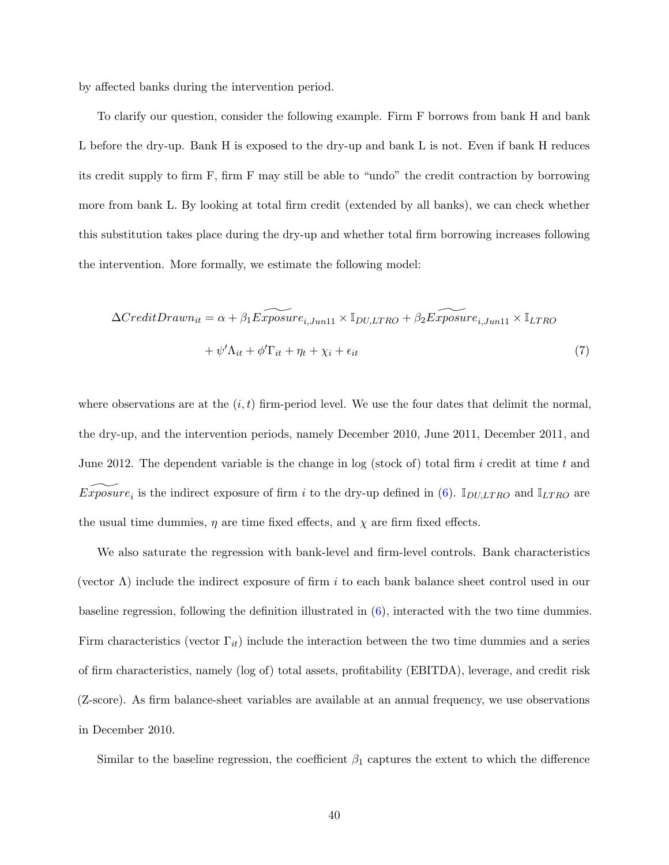by affected banks during the intervention period.

To clarify our question, consider the following example. Firm F borrows from bank H and bank L before the dry-up. Bank H is exposed to the dry-up and bank L is not. Even if bank H reduces its credit supply to firm F, firm F may still be able to "undo" the credit contraction by borrowing more from bank L. By looking at total firm credit (extended by all banks), we can check whether this substitution takes place during the dry-up and whether total firm borrowing increases following the intervention. More formally, we estimate the following model:

<span id="page-40-0"></span>
$$
\Delta CreditDrawn_{it} = \alpha + \beta_1 \widetilde{Exposure}_{i, Jun11} \times \mathbb{I}_{DU,LTRO} + \beta_2 \widetilde{Exposure}_{i, Jun11} \times \mathbb{I}_{LTRO}
$$

$$
+ \psi' \Lambda_{it} + \phi' \Gamma_{it} + \eta_t + \chi_i + \epsilon_{it}
$$
(7)

where observations are at the  $(i, t)$  firm-period level. We use the four dates that delimit the normal, the dry-up, and the intervention periods, namely December 2010, June 2011, December 2011, and June 2012. The dependent variable is the change in log (stock of) total firm i credit at time t and  $\widetilde{Exposure}_i$  is the indirect exposure of firm i to the dry-up defined in [\(6\)](#page-39-1).  $\mathbb{I}_{DU,LTRO}$  and  $\mathbb{I}_{LTRO}$  are the usual time dummies,  $\eta$  are time fixed effects, and  $\chi$  are firm fixed effects.

We also saturate the regression with bank-level and firm-level controls. Bank characteristics (vector  $\Lambda$ ) include the indirect exposure of firm i to each bank balance sheet control used in our baseline regression, following the definition illustrated in [\(6\)](#page-39-1), interacted with the two time dummies. Firm characteristics (vector  $\Gamma_{it}$ ) include the interaction between the two time dummies and a series of firm characteristics, namely (log of) total assets, profitability (EBITDA), leverage, and credit risk (Z-score). As firm balance-sheet variables are available at an annual frequency, we use observations in December 2010.

Similar to the baseline regression, the coefficient  $\beta_1$  captures the extent to which the difference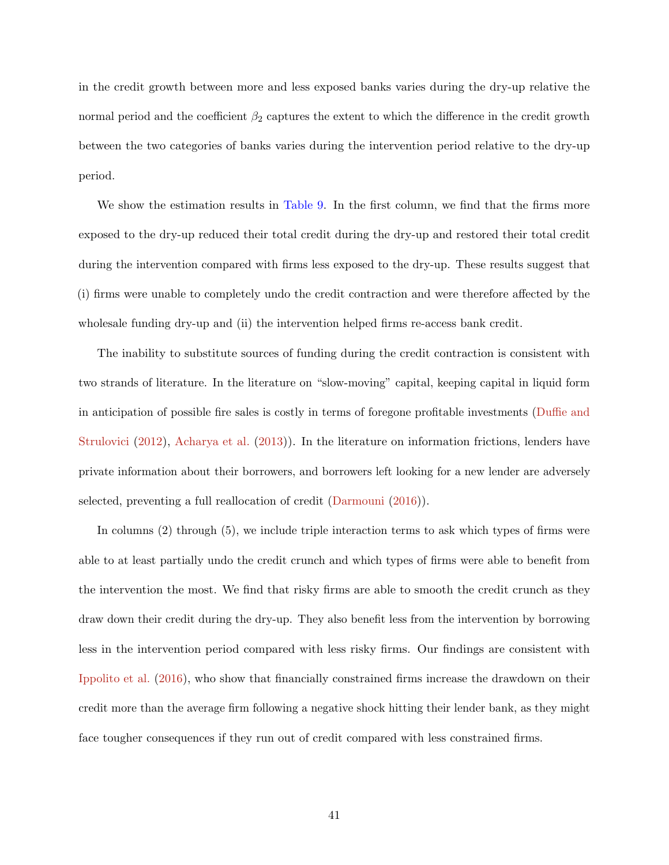in the credit growth between more and less exposed banks varies during the dry-up relative the normal period and the coefficient  $\beta_2$  captures the extent to which the difference in the credit growth between the two categories of banks varies during the intervention period relative to the dry-up period.

We show the estimation results in [Table](#page-42-0) [9.](#page-42-0) In the first column, we find that the firms more exposed to the dry-up reduced their total credit during the dry-up and restored their total credit during the intervention compared with firms less exposed to the dry-up. These results suggest that (i) firms were unable to completely undo the credit contraction and were therefore affected by the wholesale funding dry-up and (ii) the intervention helped firms re-access bank credit.

The inability to substitute sources of funding during the credit contraction is consistent with two strands of literature. In the literature on "slow-moving" capital, keeping capital in liquid form in anticipation of possible fire sales is costly in terms of foregone profitable investments [\(Duffie and](#page-48-8) [Strulovici](#page-48-8) [\(2012\)](#page-48-8), [Acharya et al.](#page-46-19) [\(2013\)](#page-46-19)). In the literature on information frictions, lenders have private information about their borrowers, and borrowers left looking for a new lender are adversely selected, preventing a full reallocation of credit [\(Darmouni](#page-47-5) [\(2016\)](#page-47-5)).

In columns (2) through (5), we include triple interaction terms to ask which types of firms were able to at least partially undo the credit crunch and which types of firms were able to benefit from the intervention the most. We find that risky firms are able to smooth the credit crunch as they draw down their credit during the dry-up. They also benefit less from the intervention by borrowing less in the intervention period compared with less risky firms. Our findings are consistent with [Ippolito et al.](#page-48-18) [\(2016\)](#page-48-18), who show that financially constrained firms increase the drawdown on their credit more than the average firm following a negative shock hitting their lender bank, as they might face tougher consequences if they run out of credit compared with less constrained firms.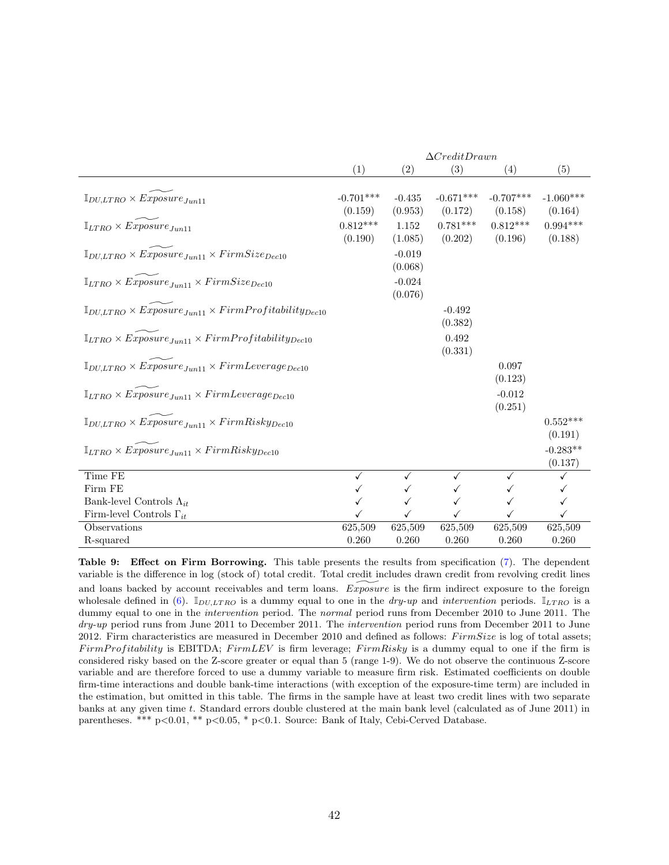<span id="page-42-0"></span>

|                                                                                 |             |          | $\Delta C$ reditDrawn |             |             |
|---------------------------------------------------------------------------------|-------------|----------|-----------------------|-------------|-------------|
|                                                                                 | (1)         | (2)      | (3)                   | (4)         | (5)         |
|                                                                                 |             |          |                       |             |             |
| $\mathbb{I}_{DU,LTRO} \times Exposure_{Jun11}$                                  | $-0.701***$ | $-0.435$ | $-0.671***$           | $-0.707***$ | $-1.060***$ |
|                                                                                 | (0.159)     | (0.953)  | (0.172)               | (0.158)     | (0.164)     |
| $\mathbb{I}_{LTRO} \times Exposure_{Jun11}$                                     | $0.812***$  | 1.152    | $0.781***$            | $0.812***$  | $0.994***$  |
|                                                                                 | (0.190)     | (1.085)  | (0.202)               | (0.196)     | (0.188)     |
| $\mathbb{I}_{DU,LTRO} \times Exposure_{Jun11} \times FirmSize_{Dec10}$          |             | $-0.019$ |                       |             |             |
|                                                                                 |             | (0.068)  |                       |             |             |
| $\mathbb{I}_{LTRO} \times Exposure_{Jun11} \times FirmSize_{Dec10}$             |             | $-0.024$ |                       |             |             |
|                                                                                 |             | (0.076)  |                       |             |             |
| $\mathbb{I}_{DU,LTRO} \times Expasure_{Jun11} \times FirmProfitability_{Dec10}$ |             |          | $-0.492$              |             |             |
|                                                                                 |             |          | (0.382)               |             |             |
| $\mathbb{I}_{LTRO} \times Exposure_{Jun11} \times FirmProfitability_{Dec10}$    |             |          | 0.492                 |             |             |
|                                                                                 |             |          | (0.331)               |             |             |
| $\mathbb{I}_{DU,LTRO} \times Exposure_{Jun11} \times FirmLeverage_{Dec10}$      |             |          |                       | 0.097       |             |
|                                                                                 |             |          |                       | (0.123)     |             |
| $\mathbb{I}_{LTRO} \times Exposure_{Jun11} \times FirmLeverage_{Dec10}$         |             |          |                       | $-0.012$    |             |
|                                                                                 |             |          |                       | (0.251)     |             |
| $\mathbb{I}_{DU, LTRO} \times Expasure_{Jun11} \times FirmRisky_{Dec10}$        |             |          |                       |             | $0.552***$  |
|                                                                                 |             |          |                       |             | (0.191)     |
| $\mathbb{I}_{LTRO} \times Exposure_{Jun11} \times FirmRisky_{Dec10}$            |             |          |                       |             | $-0.283**$  |
|                                                                                 |             |          |                       |             | (0.137)     |
| Time FE                                                                         |             |          |                       |             |             |
| Firm FE                                                                         |             |          |                       |             |             |
| Bank-level Controls $\Lambda_{it}$                                              |             |          | ✓                     |             | ✓           |
| Firm-level Controls $\Gamma_{it}$                                               |             |          |                       |             | ✓           |
| Observations                                                                    | 625,509     | 625,509  | 625,509               | 625,509     | 625,509     |
| R-squared                                                                       | 0.260       | 0.260    | 0.260                 | 0.260       | 0.260       |

Table 9: Effect on Firm Borrowing. This table presents the results from specification [\(7\)](#page-40-0). The dependent variable is the difference in log (stock of) total credit. Total credit includes drawn credit from revolving credit lines and loans backed by account receivables and term loans. Exposure is the firm indirect exposure to the foreign wholesale defined in [\(6\)](#page-39-1).  $\mathbb{I}_{DU,LTRO}$  is a dummy equal to one in the *dry-up* and *intervention* periods.  $\mathbb{I}_{LTRO}$  is a dummy equal to one in the *intervention* period. The normal period runs from December 2010 to June 2011. The dry-up period runs from June 2011 to December 2011. The intervention period runs from December 2011 to June 2012. Firm characteristics are measured in December 2010 and defined as follows:  $FirmSize$  is log of total assets;  $FirmProfitability$  is EBITDA;  $FirmLEV$  is firm leverage;  $FirmRisky$  is a dummy equal to one if the firm is considered risky based on the Z-score greater or equal than 5 (range 1-9). We do not observe the continuous Z-score variable and are therefore forced to use a dummy variable to measure firm risk. Estimated coefficients on double firm-time interactions and double bank-time interactions (with exception of the exposure-time term) are included in the estimation, but omitted in this table. The firms in the sample have at least two credit lines with two separate banks at any given time t. Standard errors double clustered at the main bank level (calculated as of June 2011) in parentheses. \*\*\* p<0.01, \*\* p<0.05, \* p<0.1. Source: Bank of Italy, Cebi-Cerved Database.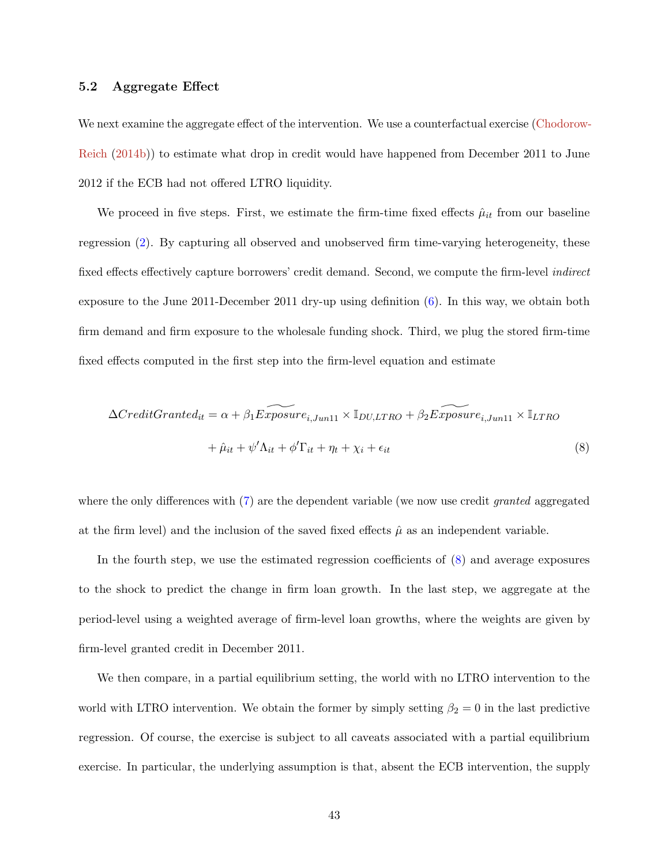#### 5.2 Aggregate Effect

We next examine the aggregate effect of the intervention. We use a counterfactual exercise [\(Chodorow-](#page-47-3)[Reich](#page-47-3) [\(2014b\)](#page-47-3)) to estimate what drop in credit would have happened from December 2011 to June 2012 if the ECB had not offered LTRO liquidity.

We proceed in five steps. First, we estimate the firm-time fixed effects  $\hat{\mu}_{it}$  from our baseline regression [\(2\)](#page-21-1). By capturing all observed and unobserved firm time-varying heterogeneity, these fixed effects effectively capture borrowers' credit demand. Second, we compute the firm-level *indirect* exposure to the June 2011-December 2011 dry-up using definition [\(6\)](#page-39-1). In this way, we obtain both firm demand and firm exposure to the wholesale funding shock. Third, we plug the stored firm-time fixed effects computed in the first step into the firm-level equation and estimate

<span id="page-43-0"></span>
$$
\Delta CreditGranted_{it} = \alpha + \beta_1 \widetilde{Exposure}_{i, Jun11} \times \mathbb{I}_{DU, LTRO} + \beta_2 \widetilde{Exposure}_{i, Jun11} \times \mathbb{I}_{LTRO}
$$

$$
+ \hat{\mu}_{it} + \psi' \Lambda_{it} + \phi' \Gamma_{it} + \eta_t + \chi_i + \epsilon_{it}
$$
(8)

where the only differences with  $(7)$  are the dependent variable (we now use credit *granted* aggregated at the firm level) and the inclusion of the saved fixed effects  $\hat{\mu}$  as an independent variable.

In the fourth step, we use the estimated regression coefficients of [\(8\)](#page-43-0) and average exposures to the shock to predict the change in firm loan growth. In the last step, we aggregate at the period-level using a weighted average of firm-level loan growths, where the weights are given by firm-level granted credit in December 2011.

We then compare, in a partial equilibrium setting, the world with no LTRO intervention to the world with LTRO intervention. We obtain the former by simply setting  $\beta_2 = 0$  in the last predictive regression. Of course, the exercise is subject to all caveats associated with a partial equilibrium exercise. In particular, the underlying assumption is that, absent the ECB intervention, the supply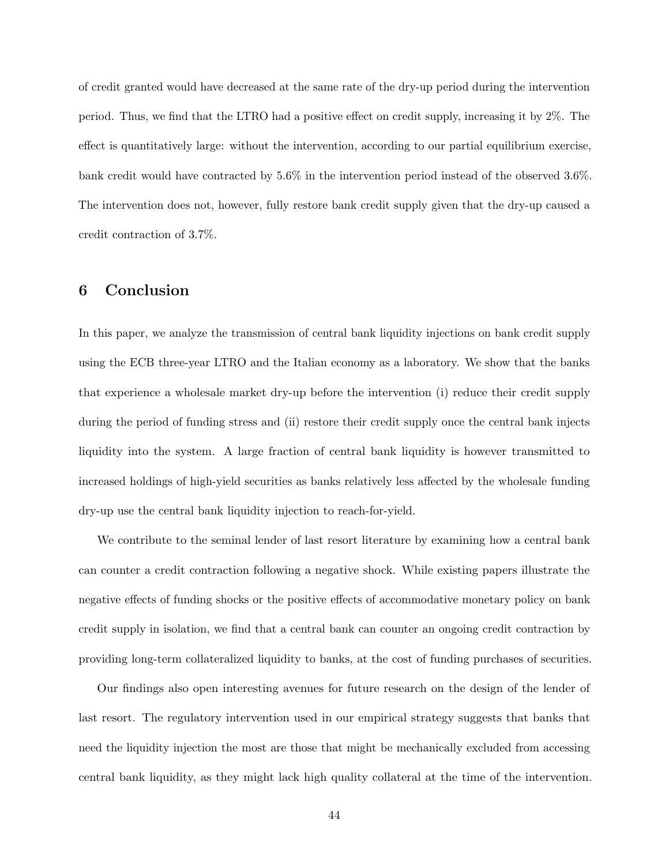of credit granted would have decreased at the same rate of the dry-up period during the intervention period. Thus, we find that the LTRO had a positive effect on credit supply, increasing it by 2%. The effect is quantitatively large: without the intervention, according to our partial equilibrium exercise, bank credit would have contracted by 5.6% in the intervention period instead of the observed 3.6%. The intervention does not, however, fully restore bank credit supply given that the dry-up caused a credit contraction of 3.7%.

## <span id="page-44-0"></span>6 Conclusion

In this paper, we analyze the transmission of central bank liquidity injections on bank credit supply using the ECB three-year LTRO and the Italian economy as a laboratory. We show that the banks that experience a wholesale market dry-up before the intervention (i) reduce their credit supply during the period of funding stress and (ii) restore their credit supply once the central bank injects liquidity into the system. A large fraction of central bank liquidity is however transmitted to increased holdings of high-yield securities as banks relatively less affected by the wholesale funding dry-up use the central bank liquidity injection to reach-for-yield.

We contribute to the seminal lender of last resort literature by examining how a central bank can counter a credit contraction following a negative shock. While existing papers illustrate the negative effects of funding shocks or the positive effects of accommodative monetary policy on bank credit supply in isolation, we find that a central bank can counter an ongoing credit contraction by providing long-term collateralized liquidity to banks, at the cost of funding purchases of securities.

Our findings also open interesting avenues for future research on the design of the lender of last resort. The regulatory intervention used in our empirical strategy suggests that banks that need the liquidity injection the most are those that might be mechanically excluded from accessing central bank liquidity, as they might lack high quality collateral at the time of the intervention.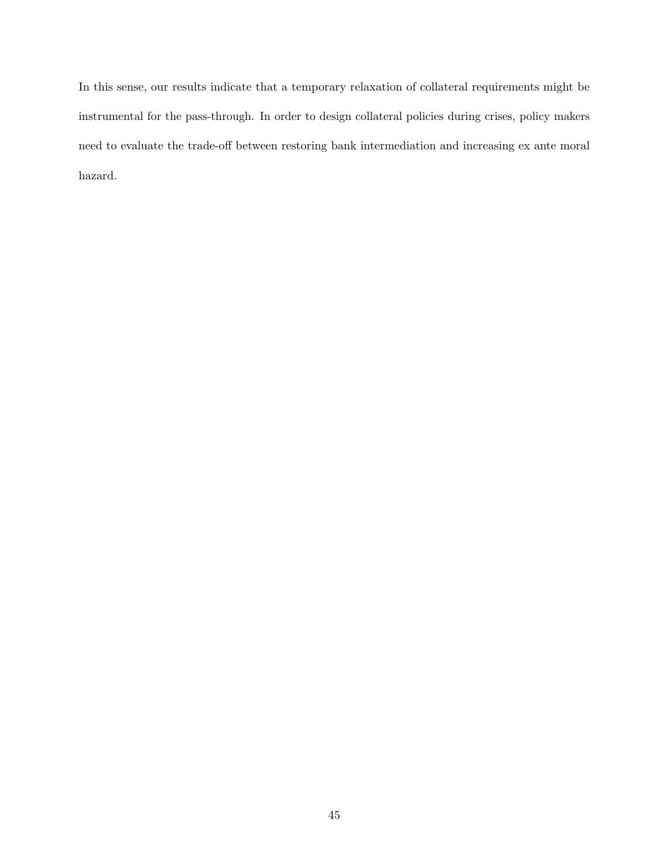In this sense, our results indicate that a temporary relaxation of collateral requirements might be instrumental for the pass-through. In order to design collateral policies during crises, policy makers need to evaluate the trade-off between restoring bank intermediation and increasing ex ante moral hazard.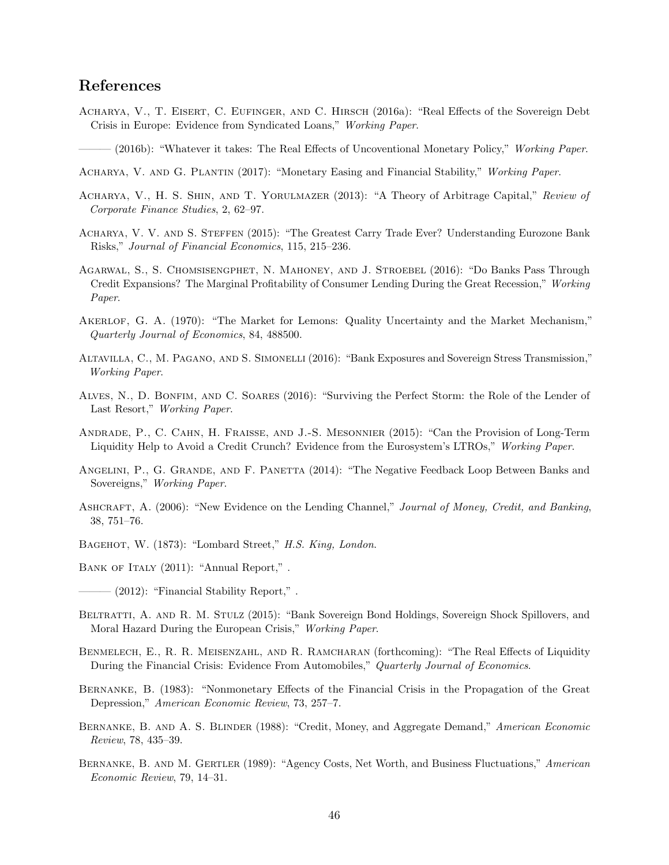## References

- <span id="page-46-6"></span>Acharya, V., T. Eisert, C. Eufinger, and C. Hirsch (2016a): "Real Effects of the Sovereign Debt Crisis in Europe: Evidence from Syndicated Loans," Working Paper.
- <span id="page-46-14"></span>(2016b): "Whatever it takes: The Real Effects of Uncoventional Monetary Policy," Working Paper.
- <span id="page-46-15"></span>ACHARYA, V. AND G. PLANTIN (2017): "Monetary Easing and Financial Stability," Working Paper.
- <span id="page-46-19"></span>ACHARYA, V., H. S. SHIN, AND T. YORULMAZER (2013): "A Theory of Arbitrage Capital," Review of Corporate Finance Studies, 2, 62–97.
- <span id="page-46-17"></span>Acharya, V. V. and S. Steffen (2015): "The Greatest Carry Trade Ever? Understanding Eurozone Bank Risks," Journal of Financial Economics, 115, 215–236.
- <span id="page-46-8"></span>Agarwal, S., S. Chomsisengphet, N. Mahoney, and J. Stroebel (2016): "Do Banks Pass Through Credit Expansions? The Marginal Profitability of Consumer Lending During the Great Recession," Working Paper.
- <span id="page-46-13"></span>Akerlof, G. A. (1970): "The Market for Lemons: Quality Uncertainty and the Market Mechanism," Quarterly Journal of Economics, 84, 488500.
- <span id="page-46-18"></span>Altavilla, C., M. Pagano, and S. Simonelli (2016): "Bank Exposures and Sovereign Stress Transmission," Working Paper.
- <span id="page-46-9"></span>Alves, N., D. Bonfim, and C. Soares (2016): "Surviving the Perfect Storm: the Role of the Lender of Last Resort," Working Paper.
- <span id="page-46-10"></span>Andrade, P., C. Cahn, H. Fraisse, and J.-S. Mesonnier (2015): "Can the Provision of Long-Term Liquidity Help to Avoid a Credit Crunch? Evidence from the Eurosystem's LTROs," Working Paper.
- <span id="page-46-16"></span>Angelini, P., G. Grande, and F. Panetta (2014): "The Negative Feedback Loop Between Banks and Sovereigns," Working Paper.
- <span id="page-46-4"></span>ASHCRAFT, A. (2006): "New Evidence on the Lending Channel," Journal of Money, Credit, and Banking, 38, 751–76.
- <span id="page-46-0"></span>BAGEHOT, W. (1873): "Lombard Street," H.S. King, London.
- <span id="page-46-11"></span>BANK OF ITALY (2011): "Annual Report,".
- <span id="page-46-12"></span> $-$  (2012): "Financial Stability Report,".
- <span id="page-46-7"></span>BELTRATTI, A. AND R. M. STULZ (2015): "Bank Sovereign Bond Holdings, Sovereign Shock Spillovers, and Moral Hazard During the European Crisis," Working Paper.
- <span id="page-46-5"></span>Benmelech, E., R. R. Meisenzahl, and R. Ramcharan (forthcoming): "The Real Effects of Liquidity During the Financial Crisis: Evidence From Automobiles," Quarterly Journal of Economics.
- <span id="page-46-3"></span>Bernanke, B. (1983): "Nonmonetary Effects of the Financial Crisis in the Propagation of the Great Depression," American Economic Review, 73, 257–7.
- <span id="page-46-1"></span>BERNANKE, B. AND A. S. BLINDER (1988): "Credit, Money, and Aggregate Demand," American Economic Review, 78, 435–39.
- <span id="page-46-2"></span>Bernanke, B. and M. Gertler (1989): "Agency Costs, Net Worth, and Business Fluctuations," American Economic Review, 79, 14–31.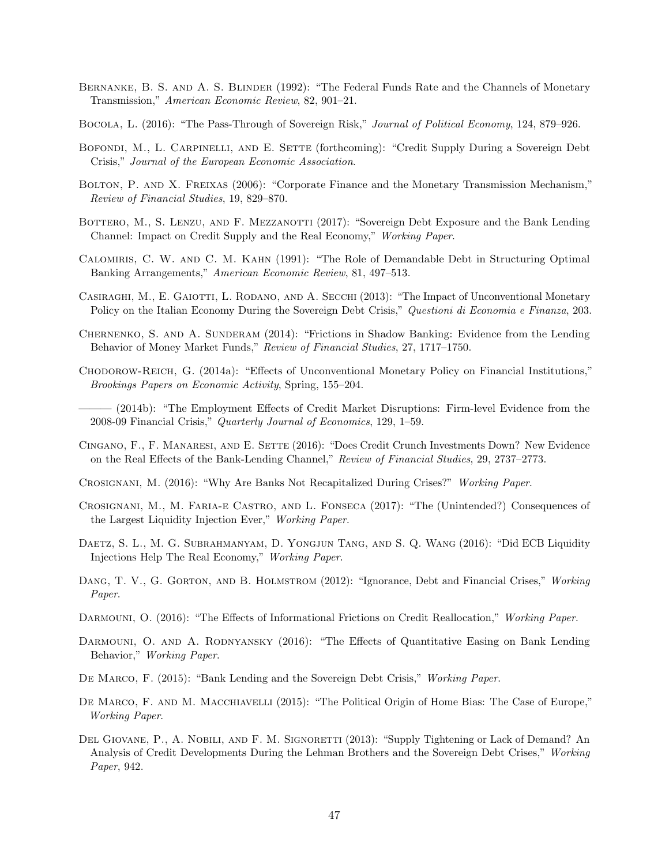- <span id="page-47-2"></span>BERNANKE, B. S. AND A. S. BLINDER (1992): "The Federal Funds Rate and the Channels of Monetary Transmission," American Economic Review, 82, 901–21.
- <span id="page-47-4"></span>Bocola, L. (2016): "The Pass-Through of Sovereign Risk," Journal of Political Economy, 124, 879–926.
- <span id="page-47-8"></span>BOFONDI, M., L. CARPINELLI, AND E. SETTE (forthcoming): "Credit Supply During a Sovereign Debt Crisis," Journal of the European Economic Association.
- <span id="page-47-19"></span>BOLTON, P. AND X. FREIXAS (2006): "Corporate Finance and the Monetary Transmission Mechanism," Review of Financial Studies, 19, 829–870.
- <span id="page-47-9"></span>BOTTERO, M., S. LENZU, AND F. MEZZANOTTI (2017): "Sovereign Debt Exposure and the Bank Lending Channel: Impact on Credit Supply and the Real Economy," Working Paper.
- <span id="page-47-15"></span>Calomiris, C. W. and C. M. Kahn (1991): "The Role of Demandable Debt in Structuring Optimal Banking Arrangements," American Economic Review, 81, 497–513.
- <span id="page-47-12"></span>CASIRAGHI, M., E. GAIOTTI, L. RODANO, AND A. SECCHI (2013): "The Impact of Unconventional Monetary Policy on the Italian Economy During the Sovereign Debt Crisis," Questioni di Economia e Finanza, 203.
- <span id="page-47-1"></span>CHERNENKO, S. AND A. SUNDERAM (2014): "Frictions in Shadow Banking: Evidence from the Lending Behavior of Money Market Funds," Review of Financial Studies, 27, 1717–1750.
- <span id="page-47-11"></span>Chodorow-Reich, G. (2014a): "Effects of Unconventional Monetary Policy on Financial Institutions," Brookings Papers on Economic Activity, Spring, 155–204.
- <span id="page-47-3"></span>(2014b): "The Employment Effects of Credit Market Disruptions: Firm-level Evidence from the 2008-09 Financial Crisis," Quarterly Journal of Economics, 129, 1–59.
- <span id="page-47-7"></span>Cingano, F., F. Manaresi, and E. Sette (2016): "Does Credit Crunch Investments Down? New Evidence on the Real Effects of the Bank-Lending Channel," Review of Financial Studies, 29, 2737–2773.
- <span id="page-47-17"></span>Crosignani, M. (2016): "Why Are Banks Not Recapitalized During Crises?" Working Paper.
- <span id="page-47-13"></span>Crosignani, M., M. Faria-e Castro, and L. Fonseca (2017): "The (Unintended?) Consequences of the Largest Liquidity Injection Ever," Working Paper.
- <span id="page-47-14"></span>Daetz, S. L., M. G. Subrahmanyam, D. Yongjun Tang, and S. Q. Wang (2016): "Did ECB Liquidity Injections Help The Real Economy," Working Paper.
- <span id="page-47-16"></span>DANG, T. V., G. GORTON, AND B. HOLMSTROM (2012): "Ignorance, Debt and Financial Crises," Working Paper.
- <span id="page-47-5"></span>DARMOUNI, O. (2016): "The Effects of Informational Frictions on Credit Reallocation," Working Paper.
- <span id="page-47-0"></span>DARMOUNI, O. AND A. RODNYANSKY (2016): "The Effects of Quantitative Easing on Bank Lending Behavior," Working Paper.
- <span id="page-47-6"></span>De Marco, F. (2015): "Bank Lending and the Sovereign Debt Crisis," Working Paper.
- <span id="page-47-18"></span>DE MARCO, F. AND M. MACCHIAVELLI (2015): "The Political Origin of Home Bias: The Case of Europe," Working Paper.
- <span id="page-47-10"></span>DEL GIOVANE, P., A. NOBILI, AND F. M. SIGNORETTI (2013): "Supply Tightening or Lack of Demand? An Analysis of Credit Developments During the Lehman Brothers and the Sovereign Debt Crises," Working Paper, 942.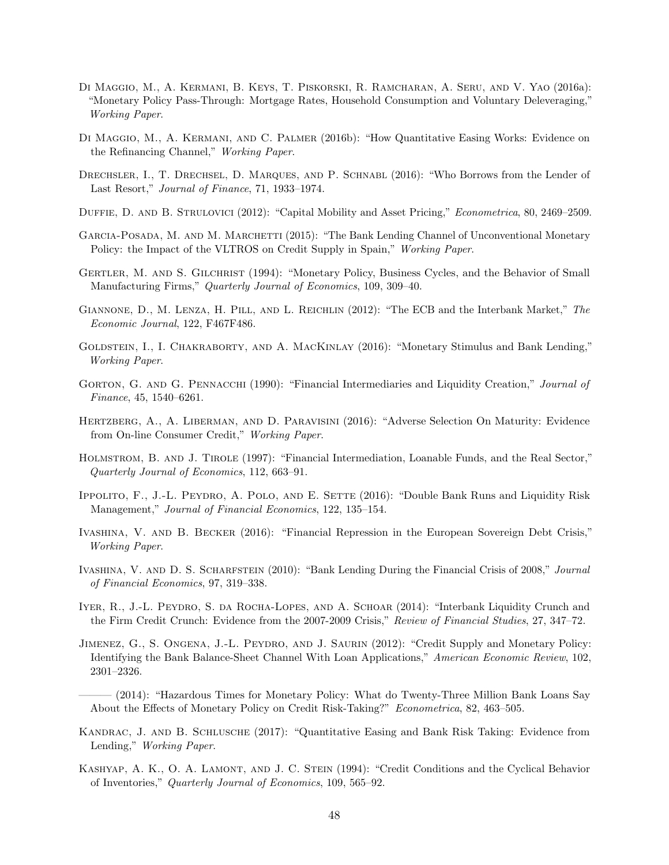- <span id="page-48-10"></span>Di Maggio, M., A. Kermani, B. Keys, T. Piskorski, R. Ramcharan, A. Seru, and V. Yao (2016a): "Monetary Policy Pass-Through: Mortgage Rates, Household Consumption and Voluntary Deleveraging," Working Paper.
- <span id="page-48-3"></span>Di Maggio, M., A. Kermani, and C. Palmer (2016b): "How Quantitative Easing Works: Evidence on the Refinancing Channel," Working Paper.
- <span id="page-48-14"></span>DRECHSLER, I., T. DRECHSEL, D. MARQUES, AND P. SCHNABL (2016): "Who Borrows from the Lender of Last Resort," Journal of Finance, 71, 1933–1974.
- <span id="page-48-8"></span>DUFFIE, D. AND B. STRULOVICI (2012): "Capital Mobility and Asset Pricing," *Econometrica*, 80, 2469–2509.
- <span id="page-48-12"></span>GARCIA-POSADA, M. AND M. MARCHETTI (2015): "The Bank Lending Channel of Unconventional Monetary Policy: the Impact of the VLTROS on Credit Supply in Spain," Working Paper.
- <span id="page-48-6"></span>Gertler, M. and S. Gilchrist (1994): "Monetary Policy, Business Cycles, and the Behavior of Small Manufacturing Firms," Quarterly Journal of Economics, 109, 309–40.
- <span id="page-48-13"></span>GIANNONE, D., M. LENZA, H. PILL, AND L. REICHLIN (2012): "The ECB and the Interbank Market," The Economic Journal, 122, F467F486.
- <span id="page-48-2"></span>GOLDSTEIN, I., I. CHAKRABORTY, AND A. MACKINLAY (2016): "Monetary Stimulus and Bank Lending," Working Paper.
- <span id="page-48-15"></span>GORTON, G. AND G. PENNACCHI (1990): "Financial Intermediaries and Liquidity Creation," Journal of Finance, 45, 1540–6261.
- <span id="page-48-16"></span>Hertzberg, A., A. Liberman, and D. Paravisini (2016): "Adverse Selection On Maturity: Evidence from On-line Consumer Credit," Working Paper.
- <span id="page-48-5"></span>Holmstrom, B. and J. Tirole (1997): "Financial Intermediation, Loanable Funds, and the Real Sector," Quarterly Journal of Economics, 112, 663–91.
- <span id="page-48-18"></span>Ippolito, F., J.-L. Peydro, A. Polo, and E. Sette (2016): "Double Bank Runs and Liquidity Risk Management," Journal of Financial Economics, 122, 135–154.
- <span id="page-48-17"></span>Ivashina, V. and B. Becker (2016): "Financial Repression in the European Sovereign Debt Crisis," Working Paper.
- <span id="page-48-0"></span>IVASHINA, V. AND D. S. SCHARFSTEIN (2010): "Bank Lending During the Financial Crisis of 2008," Journal of Financial Economics, 97, 319–338.
- <span id="page-48-1"></span>IYER, R., J.-L. PEYDRO, S. DA ROCHA-LOPES, AND A. SCHOAR (2014): "Interbank Liquidity Crunch and the Firm Credit Crunch: Evidence from the 2007-2009 Crisis," Review of Financial Studies, 27, 347–72.
- <span id="page-48-9"></span>JIMENEZ, G., S. ONGENA, J.-L. PEYDRO, AND J. SAURIN (2012): "Credit Supply and Monetary Policy: Identifying the Bank Balance-Sheet Channel With Loan Applications," American Economic Review, 102, 2301–2326.
- <span id="page-48-4"></span>– (2014): "Hazardous Times for Monetary Policy: What do Twenty-Three Million Bank Loans Say About the Effects of Monetary Policy on Credit Risk-Taking?" Econometrica, 82, 463–505.
- <span id="page-48-11"></span>Kandrac, J. and B. Schlusche (2017): "Quantitative Easing and Bank Risk Taking: Evidence from Lending," Working Paper.
- <span id="page-48-7"></span>KASHYAP, A. K., O. A. LAMONT, AND J. C. STEIN (1994): "Credit Conditions and the Cyclical Behavior of Inventories," Quarterly Journal of Economics, 109, 565–92.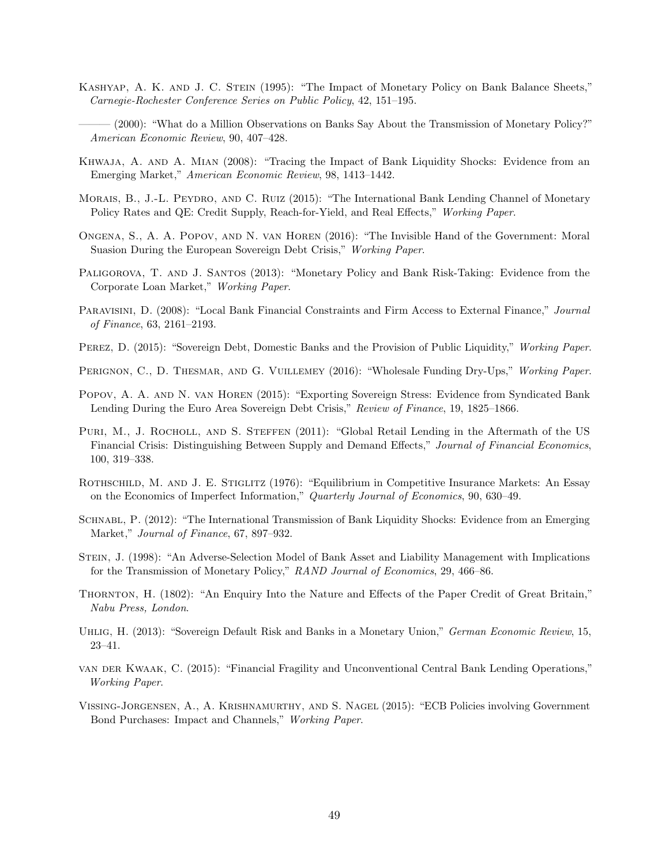- <span id="page-49-5"></span><span id="page-49-3"></span>KASHYAP, A. K. AND J. C. STEIN (1995): "The Impact of Monetary Policy on Bank Balance Sheets," Carnegie-Rochester Conference Series on Public Policy, 42, 151–195.
	- (2000): "What do a Million Observations on Banks Say About the Transmission of Monetary Policy?" American Economic Review, 90, 407–428.
- <span id="page-49-0"></span>Khwaja, A. and A. Mian (2008): "Tracing the Impact of Bank Liquidity Shocks: Evidence from an Emerging Market," American Economic Review, 98, 1413–1442.
- <span id="page-49-17"></span>Morais, B., J.-L. Peydro, and C. Ruiz (2015): "The International Bank Lending Channel of Monetary Policy Rates and QE: Credit Supply, Reach-for-Yield, and Real Effects," Working Paper.
- <span id="page-49-14"></span>Ongena, S., A. A. Popov, and N. van Horen (2016): "The Invisible Hand of the Government: Moral Suasion During the European Sovereign Debt Crisis," Working Paper.
- <span id="page-49-16"></span>PALIGOROVA, T. AND J. SANTOS (2013): "Monetary Policy and Bank Risk-Taking: Evidence from the Corporate Loan Market," Working Paper.
- <span id="page-49-2"></span>Paravisini, D. (2008): "Local Bank Financial Constraints and Firm Access to External Finance," Journal of Finance, 63, 2161–2193.
- <span id="page-49-7"></span>PEREZ, D. (2015): "Sovereign Debt, Domestic Banks and the Provision of Public Liquidity," Working Paper.
- <span id="page-49-12"></span>PERIGNON, C., D. THESMAR, AND G. VUILLEMEY (2016): "Wholesale Funding Dry-Ups," Working Paper.
- <span id="page-49-8"></span>Popov, A. A. and N. van Horen (2015): "Exporting Sovereign Stress: Evidence from Syndicated Bank Lending During the Euro Area Sovereign Debt Crisis," Review of Finance, 19, 1825–1866.
- <span id="page-49-6"></span>PURI, M., J. ROCHOLL, AND S. STEFFEN (2011): "Global Retail Lending in the Aftermath of the US Financial Crisis: Distinguishing Between Supply and Demand Effects," Journal of Financial Economics, 100, 319–338.
- <span id="page-49-13"></span>ROTHSCHILD, M. AND J. E. STIGLITZ (1976): "Equilibrium in Competitive Insurance Markets: An Essay on the Economics of Imperfect Information," Quarterly Journal of Economics, 90, 630–49.
- <span id="page-49-1"></span>SCHNABL, P. (2012): "The International Transmission of Bank Liquidity Shocks: Evidence from an Emerging Market," Journal of Finance, 67, 897–932.
- <span id="page-49-4"></span>Stein, J. (1998): "An Adverse-Selection Model of Bank Asset and Liability Management with Implications for the Transmission of Monetary Policy," RAND Journal of Economics, 29, 466–86.
- <span id="page-49-9"></span>Thornton, H. (1802): "An Enquiry Into the Nature and Effects of the Paper Credit of Great Britain," Nabu Press, London.
- <span id="page-49-15"></span>UHLIG, H. (2013): "Sovereign Default Risk and Banks in a Monetary Union," German Economic Review, 15, 23–41.
- <span id="page-49-10"></span>van der Kwaak, C. (2015): "Financial Fragility and Unconventional Central Bank Lending Operations," Working Paper.
- <span id="page-49-11"></span>Vissing-Jorgensen, A., A. Krishnamurthy, and S. Nagel (2015): "ECB Policies involving Government Bond Purchases: Impact and Channels," Working Paper.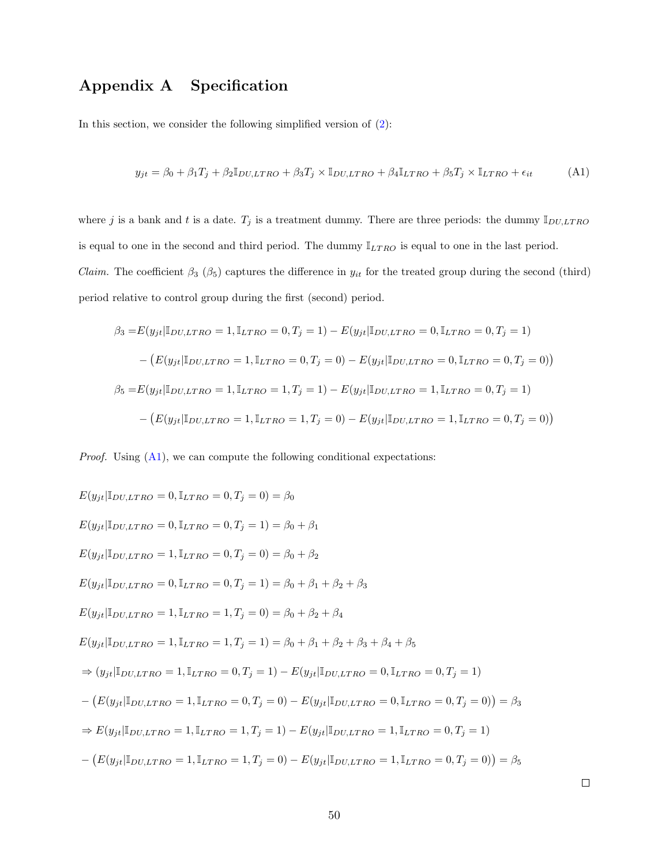## <span id="page-50-0"></span>Appendix A Specification

In this section, we consider the following simplified version of  $(2)$ :

<span id="page-50-1"></span>
$$
y_{jt} = \beta_0 + \beta_1 T_j + \beta_2 \mathbb{I}_{DU,LTRO} + \beta_3 T_j \times \mathbb{I}_{DU,LTRO} + \beta_4 \mathbb{I}_{LTRO} + \beta_5 T_j \times \mathbb{I}_{LTRO} + \epsilon_{it}
$$
(A1)

where j is a bank and t is a date.  $T_j$  is a treatment dummy. There are three periods: the dummy  $\mathbb{I}_{DU,LTRO}$ is equal to one in the second and third period. The dummy  $\mathbb{I}_{LTRO}$  is equal to one in the last period. *Claim.* The coefficient  $\beta_3$  ( $\beta_5$ ) captures the difference in  $y_{it}$  for the treated group during the second (third) period relative to control group during the first (second) period.

$$
\beta_3 = E(y_{jt}|\mathbb{I}_{DU,LTRO} = 1, \mathbb{I}_{LTRO} = 0, T_j = 1) - E(y_{jt}|\mathbb{I}_{DU,LTRO} = 0, \mathbb{I}_{LTRO} = 0, T_j = 1)
$$

$$
- (E(y_{jt}|\mathbb{I}_{DU,LTRO} = 1, \mathbb{I}_{LTRO} = 0, T_j = 0) - E(y_{jt}|\mathbb{I}_{DU,LTRO} = 0, \mathbb{I}_{LTRO} = 0, T_j = 0))
$$

$$
\beta_5 = E(y_{jt}|\mathbb{I}_{DU,LTRO} = 1, \mathbb{I}_{LTRO} = 1, T_j = 1) - E(y_{jt}|\mathbb{I}_{DU,LTRO} = 1, \mathbb{I}_{LTRO} = 0, T_j = 1)
$$

$$
- (E(y_{jt}|\mathbb{I}_{DU,LTRO} = 1, \mathbb{I}_{LTRO} = 1, T_j = 0) - E(y_{jt}|\mathbb{I}_{DU,LTRO} = 1, \mathbb{I}_{LTRO} = 0, T_j = 0))
$$

*Proof.* Using  $(A1)$ , we can compute the following conditional expectations:

 $E(y_{jt}|\mathbb{I}_{DU,LTRO} = 0, \mathbb{I}_{LTRO} = 0, T_j = 0) = \beta_0$  $E(y_{jt}|\mathbb{I}_{DU,LTRO} = 0, \mathbb{I}_{LTRO} = 0, T_j = 1) = \beta_0 + \beta_1$  $E(y_{jt}|\mathbb{I}_{DU,LTRO} = 1, \mathbb{I}_{LTRO} = 0, T_j = 0) = \beta_0 + \beta_2$  $E(y_{jt}|\mathbb{I}_{DU,LTRO} = 0, \mathbb{I}_{LTRO} = 0, T_j = 1) = \beta_0 + \beta_1 + \beta_2 + \beta_3$  $E(y_{jt}|\mathbb{I}_{DU,LTRO} = 1, \mathbb{I}_{LTRO} = 1, T_j = 0) = \beta_0 + \beta_2 + \beta_4$  $E(y_{jt}|\mathbb{I}_{DU,LTRO} = 1, \mathbb{I}_{LTRO} = 1, T_j = 1) = \beta_0 + \beta_1 + \beta_2 + \beta_3 + \beta_4 + \beta_5$  $\Rightarrow (y_{jt}|\mathbb{I}_{DU,LTRO}=1,\mathbb{I}_{LTRO}=0,T_j=1) - E(y_{jt}|\mathbb{I}_{DU,LTRO}=0,\mathbb{I}_{LTRO}=0,T_j=1)$  $-\left(E(y_{jt}|\mathbb{I}_{DU,LTRO}=1, \mathbb{I}_{LTRO}=0, T_j=0\right) - E(y_{jt}|\mathbb{I}_{DU,LTRO}=0, \mathbb{I}_{LTRO}=0, T_j=0)\right) = \beta_3$  $\Rightarrow E(y_{jt}|\mathbb{I}_{DU,LTRO}=1,\mathbb{I}_{LTRO}=1,T_j=1)-E(y_{jt}|\mathbb{I}_{DU,LTRO}=1,\mathbb{I}_{LTRO}=0,T_j=1)$  $-\left(E(y_{jt}|\mathbb{I}_{DU,LTRO}=1, \mathbb{I}_{LTRO}=1, T_j=0\right) - E(y_{jt}|\mathbb{I}_{DU,LTRO}=1, \mathbb{I}_{LTRO}=0, T_j=0)\right) = \beta_5$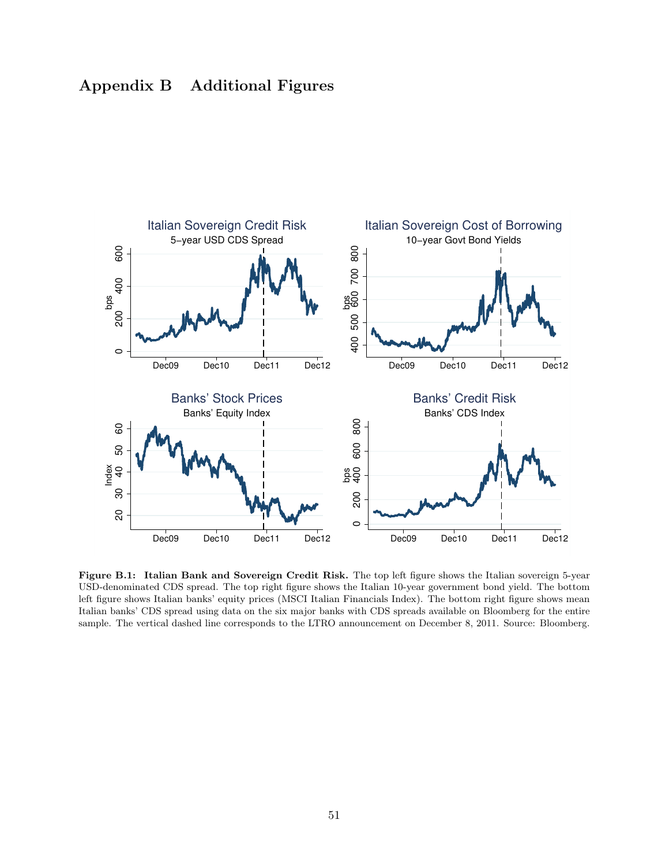# <span id="page-51-0"></span>Appendix B Additional Figures



Figure B.1: Italian Bank and Sovereign Credit Risk. The top left figure shows the Italian sovereign 5-year USD-denominated CDS spread. The top right figure shows the Italian 10-year government bond yield. The bottom left figure shows Italian banks' equity prices (MSCI Italian Financials Index). The bottom right figure shows mean Italian banks' CDS spread using data on the six major banks with CDS spreads available on Bloomberg for the entire sample. The vertical dashed line corresponds to the LTRO announcement on December 8, 2011. Source: Bloomberg.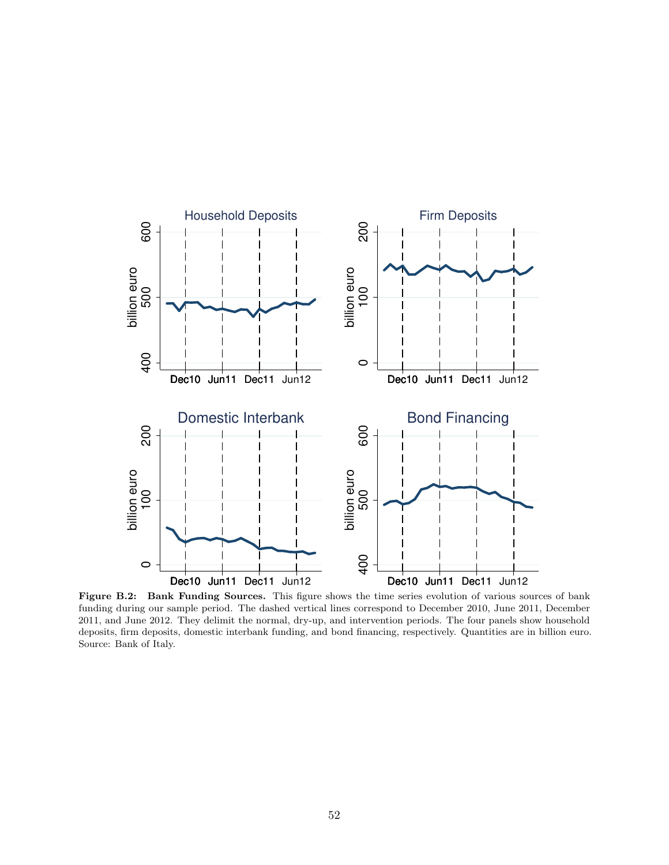<span id="page-52-0"></span>

Figure B.2: Bank Funding Sources. This figure shows the time series evolution of various sources of bank funding during our sample period. The dashed vertical lines correspond to December 2010, June 2011, December 2011, and June 2012. They delimit the normal, dry-up, and intervention periods. The four panels show household deposits, firm deposits, domestic interbank funding, and bond financing, respectively. Quantities are in billion euro. Source: Bank of Italy.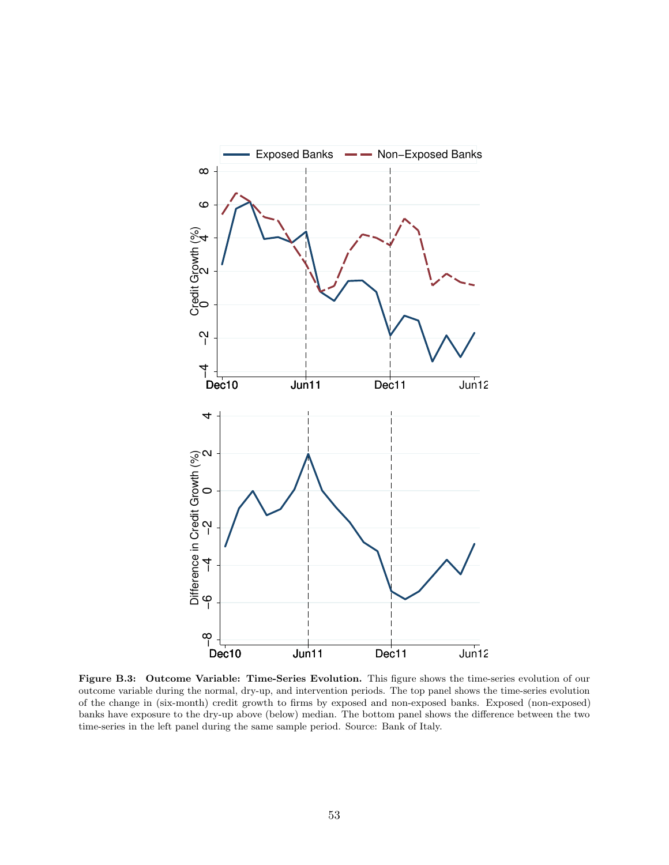<span id="page-53-0"></span>

Figure B.3: Outcome Variable: Time-Series Evolution. This figure shows the time-series evolution of our outcome variable during the normal, dry-up, and intervention periods. The top panel shows the time-series evolution of the change in (six-month) credit growth to firms by exposed and non-exposed banks. Exposed (non-exposed) banks have exposure to the dry-up above (below) median. The bottom panel shows the difference between the two time-series in the left panel during the same sample period. Source: Bank of Italy.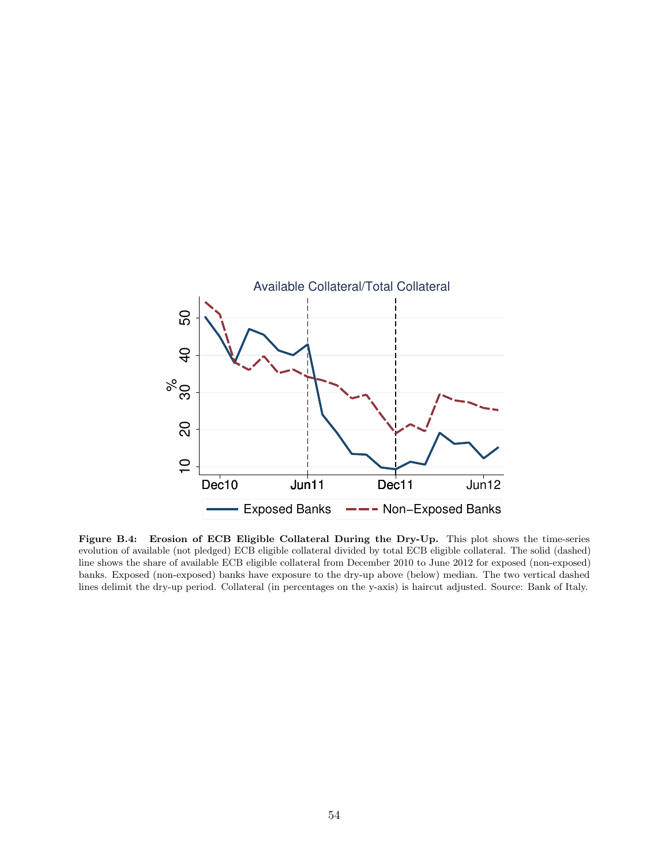<span id="page-54-0"></span>

Figure B.4: Erosion of ECB Eligible Collateral During the Dry-Up. This plot shows the time-series evolution of available (not pledged) ECB eligible collateral divided by total ECB eligible collateral. The solid (dashed) line shows the share of available ECB eligible collateral from December 2010 to June 2012 for exposed (non-exposed) banks. Exposed (non-exposed) banks have exposure to the dry-up above (below) median. The two vertical dashed lines delimit the dry-up period. Collateral (in percentages on the y-axis) is haircut adjusted. Source: Bank of Italy.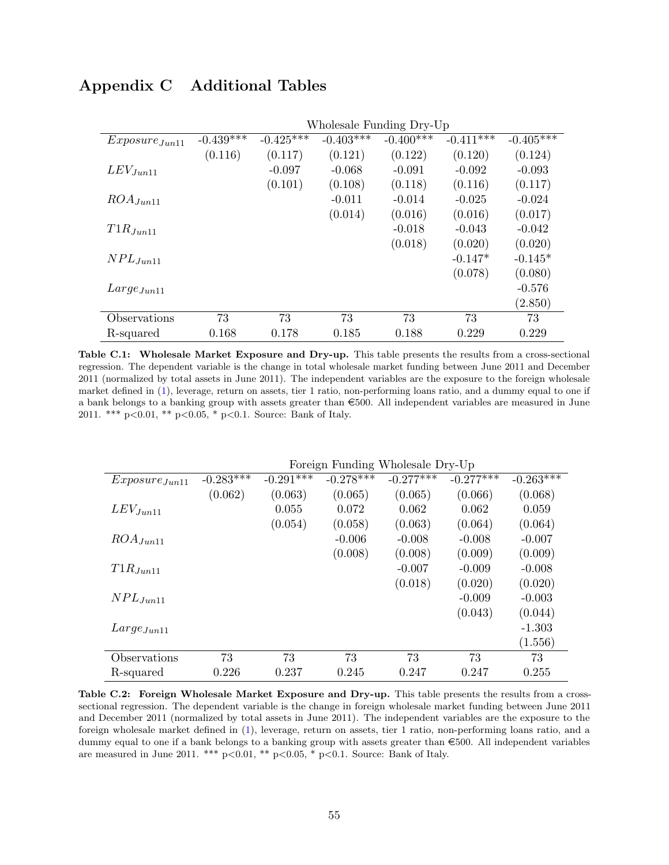<span id="page-55-0"></span>

|                    | Wholesale Funding Dry-Up |             |             |             |             |             |  |  |  |
|--------------------|--------------------------|-------------|-------------|-------------|-------------|-------------|--|--|--|
| $Exposure_{Jun11}$ | $-0.439***$              | $-0.425***$ | $-0.403***$ | $-0.400***$ | $-0.411***$ | $-0.405***$ |  |  |  |
|                    | (0.116)                  | (0.117)     | (0.121)     | (0.122)     | (0.120)     | (0.124)     |  |  |  |
| $LEV_{Jun11}$      |                          | $-0.097$    | $-0.068$    | $-0.091$    | $-0.092$    | $-0.093$    |  |  |  |
|                    |                          | (0.101)     | (0.108)     | (0.118)     | (0.116)     | (0.117)     |  |  |  |
| $ROA_{Jun11}$      |                          |             | $-0.011$    | $-0.014$    | $-0.025$    | $-0.024$    |  |  |  |
|                    |                          |             | (0.014)     | (0.016)     | (0.016)     | (0.017)     |  |  |  |
| $T1R_{Jun11}$      |                          |             |             | $-0.018$    | $-0.043$    | $-0.042$    |  |  |  |
|                    |                          |             |             | (0.018)     | (0.020)     | (0.020)     |  |  |  |
| $NPL_{Jun11}$      |                          |             |             |             | $-0.147*$   | $-0.145*$   |  |  |  |
|                    |                          |             |             |             | (0.078)     | (0.080)     |  |  |  |
| $Large_{Jun11}$    |                          |             |             |             |             | $-0.576$    |  |  |  |
|                    |                          |             |             |             |             | (2.850)     |  |  |  |
| Observations       | 73                       | 73          | 73          | 73          | 73          | 73          |  |  |  |
| R-squared          | 0.168                    | 0.178       | 0.185       | 0.188       | 0.229       | 0.229       |  |  |  |

# Appendix C Additional Tables

Table C.1: Wholesale Market Exposure and Dry-up. This table presents the results from a cross-sectional regression. The dependent variable is the change in total wholesale market funding between June 2011 and December 2011 (normalized by total assets in June 2011). The independent variables are the exposure to the foreign wholesale market defined in [\(1\)](#page-18-0), leverage, return on assets, tier 1 ratio, non-performing loans ratio, and a dummy equal to one if a bank belongs to a banking group with assets greater than  $\epsilon$ 500. All independent variables are measured in June 2011. \*\*\* p<0.01, \*\* p<0.05, \* p<0.1. Source: Bank of Italy.

<span id="page-55-1"></span>

|                    | Foreign Funding Wholesale Dry-Up |             |             |             |             |             |  |  |  |
|--------------------|----------------------------------|-------------|-------------|-------------|-------------|-------------|--|--|--|
| $Exposure_{Jun11}$ | $-0.283***$                      | $-0.291***$ | $-0.278***$ | $-0.277***$ | $-0.277***$ | $-0.263***$ |  |  |  |
|                    | (0.062)                          | (0.063)     | (0.065)     | (0.065)     | (0.066)     | (0.068)     |  |  |  |
| $LEV_{Jun11}$      |                                  | 0.055       | 0.072       | 0.062       | 0.062       | 0.059       |  |  |  |
|                    |                                  | (0.054)     | (0.058)     | (0.063)     | (0.064)     | (0.064)     |  |  |  |
| $ROA_{Jun11}$      |                                  |             | $-0.006$    | $-0.008$    | $-0.008$    | $-0.007$    |  |  |  |
|                    |                                  |             | (0.008)     | (0.008)     | (0.009)     | (0.009)     |  |  |  |
| $T1R_{Jun11}$      |                                  |             |             | $-0.007$    | $-0.009$    | $-0.008$    |  |  |  |
|                    |                                  |             |             | (0.018)     | (0.020)     | (0.020)     |  |  |  |
| $NPL_{Jun11}$      |                                  |             |             |             | $-0.009$    | $-0.003$    |  |  |  |
|                    |                                  |             |             |             | (0.043)     | (0.044)     |  |  |  |
| $Large_{Jun11}$    |                                  |             |             |             |             | $-1.303$    |  |  |  |
|                    |                                  |             |             |             |             | (1.556)     |  |  |  |
| Observations       | 73                               | 73          | 73          | 73          | 73          | 73          |  |  |  |
| R-squared          | 0.226                            | 0.237       | 0.245       | 0.247       | 0.247       | 0.255       |  |  |  |

Table C.2: Foreign Wholesale Market Exposure and Dry-up. This table presents the results from a crosssectional regression. The dependent variable is the change in foreign wholesale market funding between June 2011 and December 2011 (normalized by total assets in June 2011). The independent variables are the exposure to the foreign wholesale market defined in [\(1\)](#page-18-0), leverage, return on assets, tier 1 ratio, non-performing loans ratio, and a dummy equal to one if a bank belongs to a banking group with assets greater than  $\epsilon$ 500. All independent variables are measured in June 2011. \*\*\*  $p<0.01$ , \*\*  $p<0.05$ , \*  $p<0.1$ . Source: Bank of Italy.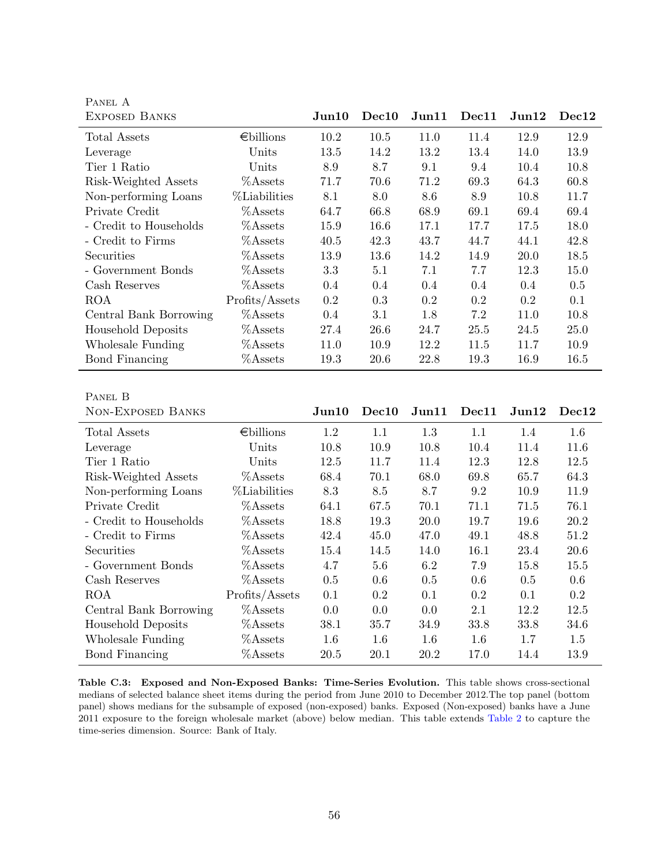<span id="page-56-0"></span>

| PANEL A                |                            |                  |         |         |         |       |       |
|------------------------|----------------------------|------------------|---------|---------|---------|-------|-------|
| <b>EXPOSED BANKS</b>   |                            | $\mathbf{Jun10}$ | Dec10   | Jun11   | Dec11   | Jun12 | Dec12 |
| Total Assets           | $\in$ billions             | 10.2             | 10.5    | 11.0    | 11.4    | 12.9  | 12.9  |
| Leverage               | Units                      | 13.5             | 14.2    | 13.2    | 13.4    | 14.0  | 13.9  |
| Tier 1 Ratio           | Units                      | 8.9              | 8.7     | 9.1     | 9.4     | 10.4  | 10.8  |
| Risk-Weighted Assets   | %Assets                    | 71.7             | 70.6    | 71.2    | 69.3    | 64.3  | 60.8  |
| Non-performing Loans   | <i><b>%Liabilities</b></i> | 8.1              | 8.0     | 8.6     | 8.9     | 10.8  | 11.7  |
| Private Credit         | $\%$ Assets                | 64.7             | 66.8    | 68.9    | 69.1    | 69.4  | 69.4  |
| - Credit to Households | $\%$ Assets                | 15.9             | 16.6    | 17.1    | 17.7    | 17.5  | 18.0  |
| - Credit to Firms      | $\%$ Assets                | 40.5             | 42.3    | 43.7    | 44.7    | 44.1  | 42.8  |
| Securities             | $\%$ Assets                | 13.9             | 13.6    | 14.2    | 14.9    | 20.0  | 18.5  |
| - Government Bonds     | $\%$ Assets                | 3.3              | 5.1     | 7.1     | 7.7     | 12.3  | 15.0  |
| Cash Reserves          | $\%$ Assets                | 0.4              | 0.4     | 0.4     | 0.4     | 0.4   | 0.5   |
| <b>ROA</b>             | Profits/Assets             | 0.2              | 0.3     | $0.2\,$ | $0.2\,$ | 0.2   | 0.1   |
| Central Bank Borrowing | $\%$ Assets                | 0.4              | $3.1\,$ | 1.8     | 7.2     | 11.0  | 10.8  |
| Household Deposits     | $\%$ Assets                | 27.4             | 26.6    | 24.7    | 25.5    | 24.5  | 25.0  |
| Wholesale Funding      | $\%$ Assets                | 11.0             | 10.9    | 12.2    | 11.5    | 11.7  | 10.9  |
| <b>Bond Financing</b>  | $\%$ Assets                | 19.3             | 20.6    | 22.8    | 19.3    | 16.9  | 16.5  |

| PANEL B                  |                |       |       |       |       |       |         |
|--------------------------|----------------|-------|-------|-------|-------|-------|---------|
| <b>NON-EXPOSED BANKS</b> |                | Jun10 | Dec10 | Jun11 | Dec11 | Jun12 | Dec12   |
| Total Assets             | $\in$ billions | 1.2   | 1.1   | 1.3   | 1.1   | 1.4   | $1.6\,$ |
| Leverage                 | Units          | 10.8  | 10.9  | 10.8  | 10.4  | 11.4  | 11.6    |
| Tier 1 Ratio             | Units          | 12.5  | 11.7  | 11.4  | 12.3  | 12.8  | 12.5    |
| Risk-Weighted Assets     | $\%$ Assets    | 68.4  | 70.1  | 68.0  | 69.8  | 65.7  | 64.3    |
| Non-performing Loans     | %Liabilities   | 8.3   | 8.5   | 8.7   | 9.2   | 10.9  | 11.9    |
| Private Credit           | $\%$ Assets    | 64.1  | 67.5  | 70.1  | 71.1  | 71.5  | 76.1    |
| - Credit to Households   | $\%$ Assets    | 18.8  | 19.3  | 20.0  | 19.7  | 19.6  | 20.2    |
| - Credit to Firms        | $\%$ Assets    | 42.4  | 45.0  | 47.0  | 49.1  | 48.8  | 51.2    |
| Securities               | $\%$ Assets    | 15.4  | 14.5  | 14.0  | 16.1  | 23.4  | 20.6    |
| - Government Bonds       | $\%$ Assets    | 4.7   | 5.6   | 6.2   | 7.9   | 15.8  | 15.5    |
| Cash Reserves            | $\%$ Assets    | 0.5   | 0.6   | 0.5   | 0.6   | 0.5   | 0.6     |
| <b>ROA</b>               | Profits/Assets | 0.1   | 0.2   | 0.1   | 0.2   | 0.1   | 0.2     |
| Central Bank Borrowing   | $\%$ Assets    | 0.0   | 0.0   | 0.0   | 2.1   | 12.2  | 12.5    |
| Household Deposits       | $\%$ Assets    | 38.1  | 35.7  | 34.9  | 33.8  | 33.8  | 34.6    |
| Wholesale Funding        | $\%$ Assets    | 1.6   | 1.6   | 1.6   | 1.6   | 1.7   | 1.5     |
| <b>Bond Financing</b>    | $\%$ Assets    | 20.5  | 20.1  | 20.2  | 17.0  | 14.4  | 13.9    |

Table C.3: Exposed and Non-Exposed Banks: Time-Series Evolution. This table shows cross-sectional medians of selected balance sheet items during the period from June 2010 to December 2012.The top panel (bottom panel) shows medians for the subsample of exposed (non-exposed) banks. Exposed (Non-exposed) banks have a June 2011 exposure to the foreign wholesale market (above) below median. This table extends [Table](#page-19-0) [2](#page-19-0) to capture the time-series dimension. Source: Bank of Italy.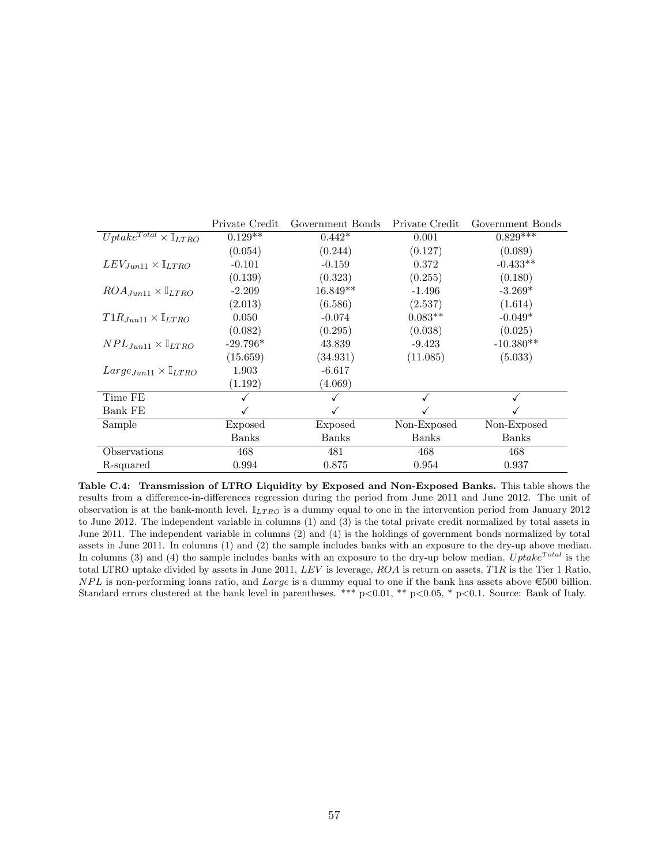<span id="page-57-0"></span>

|                                                      | Private Credit | Government Bonds | Private Credit | Government Bonds |
|------------------------------------------------------|----------------|------------------|----------------|------------------|
| $\overline{Uptake^{Total} \times \mathbb{I}_{LTRO}}$ | $0.129***$     | $0.442*$         | 0.001          | $0.829***$       |
|                                                      | (0.054)        | (0.244)          | (0.127)        | (0.089)          |
| $LEV_{Jun11} \times \mathbb{I}_{LTRO}$               | $-0.101$       | $-0.159$         | 0.372          | $-0.433**$       |
|                                                      | (0.139)        | (0.323)          | (0.255)        | (0.180)          |
| $ROA_{Jun11} \times \mathbb{I}_{LTRO}$               | $-2.209$       | $16.849**$       | $-1.496$       | $-3.269*$        |
|                                                      | (2.013)        | (6.586)          | (2.537)        | (1.614)          |
| $T1R_{Jun11} \times \mathbb{I}_{LTRO}$               | 0.050          | $-0.074$         | $0.083**$      | $-0.049*$        |
|                                                      | (0.082)        | (0.295)          | (0.038)        | (0.025)          |
| $NPL_{Jun11} \times \mathbb{I}_{LTRO}$               | $-29.796*$     | 43.839           | $-9.423$       | $-10.380**$      |
|                                                      | (15.659)       | (34.931)         | (11.085)       | (5.033)          |
| $Large_{Jun11} \times \mathbb{I}_{LTRO}$             | 1.903          | $-6.617$         |                |                  |
|                                                      | (1.192)        | (4.069)          |                |                  |
| Time FE                                              |                |                  |                |                  |
| Bank FE                                              |                |                  |                |                  |
| Sample                                               | Exposed        | Exposed          | Non-Exposed    | Non-Exposed      |
|                                                      | Banks          | <b>Banks</b>     | Banks          | <b>Banks</b>     |
| Observations                                         | 468            | 481              | 468            | 468              |
| R-squared                                            | 0.994          | 0.875            | 0.954          | 0.937            |

Table C.4: Transmission of LTRO Liquidity by Exposed and Non-Exposed Banks. This table shows the results from a difference-in-differences regression during the period from June 2011 and June 2012. The unit of observation is at the bank-month level.  $\mathbb{I}_{LTRO}$  is a dummy equal to one in the intervention period from January 2012 to June 2012. The independent variable in columns (1) and (3) is the total private credit normalized by total assets in June 2011. The independent variable in columns (2) and (4) is the holdings of government bonds normalized by total assets in June 2011. In columns (1) and (2) the sample includes banks with an exposure to the dry-up above median. In columns (3) and (4) the sample includes banks with an exposure to the dry-up below median.  $Update^{Total}$  is the total LTRO uptake divided by assets in June 2011,  $LEV$  is leverage,  $ROA$  is return on assets,  $T1R$  is the Tier 1 Ratio,  $NPL$  is non-performing loans ratio, and Large is a dummy equal to one if the bank has assets above  $\epsilon$ 500 billion. Standard errors clustered at the bank level in parentheses. \*\*\* p<0.01, \*\* p<0.05, \* p<0.1. Source: Bank of Italy.